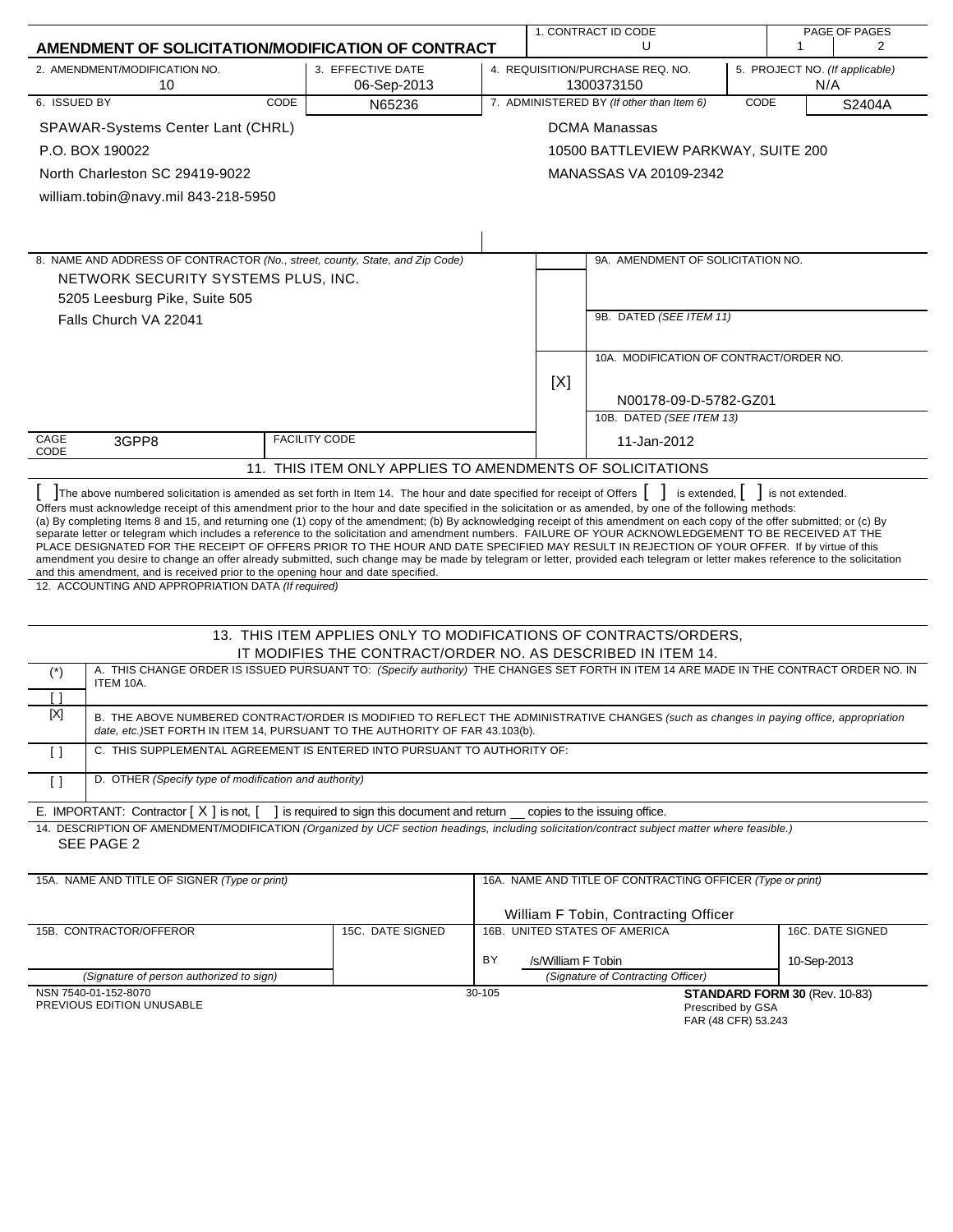|                                                                                                                                          |                                                       |                      |                                                                                                                                                                                                                                                                                                                                                                                                                                                                                                                                                                                                                                                                                                                                                                                                                                                                                                                                                                     | 1. CONTRACT ID CODE<br>U<br>1 |                    |                                                                                         |      | PAGE OF PAGES<br>$\overline{2}$             |                  |  |
|------------------------------------------------------------------------------------------------------------------------------------------|-------------------------------------------------------|----------------------|---------------------------------------------------------------------------------------------------------------------------------------------------------------------------------------------------------------------------------------------------------------------------------------------------------------------------------------------------------------------------------------------------------------------------------------------------------------------------------------------------------------------------------------------------------------------------------------------------------------------------------------------------------------------------------------------------------------------------------------------------------------------------------------------------------------------------------------------------------------------------------------------------------------------------------------------------------------------|-------------------------------|--------------------|-----------------------------------------------------------------------------------------|------|---------------------------------------------|------------------|--|
| AMENDMENT OF SOLICITATION/MODIFICATION OF CONTRACT                                                                                       |                                                       |                      |                                                                                                                                                                                                                                                                                                                                                                                                                                                                                                                                                                                                                                                                                                                                                                                                                                                                                                                                                                     |                               |                    |                                                                                         |      |                                             |                  |  |
| 2. AMENDMENT/MODIFICATION NO.                                                                                                            | 3. EFFECTIVE DATE<br>10<br>06-Sep-2013                |                      |                                                                                                                                                                                                                                                                                                                                                                                                                                                                                                                                                                                                                                                                                                                                                                                                                                                                                                                                                                     |                               |                    | 4. REQUISITION/PURCHASE REQ. NO.<br>5. PROJECT NO. (If applicable)<br>1300373150<br>N/A |      |                                             |                  |  |
| 6. ISSUED BY                                                                                                                             |                                                       | CODE                 | N65236                                                                                                                                                                                                                                                                                                                                                                                                                                                                                                                                                                                                                                                                                                                                                                                                                                                                                                                                                              |                               |                    | 7. ADMINISTERED BY (If other than Item 6)                                               | CODE |                                             | S2404A           |  |
| SPAWAR-Systems Center Lant (CHRL)                                                                                                        |                                                       |                      |                                                                                                                                                                                                                                                                                                                                                                                                                                                                                                                                                                                                                                                                                                                                                                                                                                                                                                                                                                     |                               |                    | <b>DCMA Manassas</b>                                                                    |      |                                             |                  |  |
| P.O. BOX 190022                                                                                                                          |                                                       |                      |                                                                                                                                                                                                                                                                                                                                                                                                                                                                                                                                                                                                                                                                                                                                                                                                                                                                                                                                                                     |                               |                    | 10500 BATTLEVIEW PARKWAY, SUITE 200                                                     |      |                                             |                  |  |
| North Charleston SC 29419-9022                                                                                                           |                                                       |                      |                                                                                                                                                                                                                                                                                                                                                                                                                                                                                                                                                                                                                                                                                                                                                                                                                                                                                                                                                                     |                               |                    | MANASSAS VA 20109-2342                                                                  |      |                                             |                  |  |
| william.tobin@navy.mil 843-218-5950                                                                                                      |                                                       |                      |                                                                                                                                                                                                                                                                                                                                                                                                                                                                                                                                                                                                                                                                                                                                                                                                                                                                                                                                                                     |                               |                    |                                                                                         |      |                                             |                  |  |
|                                                                                                                                          |                                                       |                      |                                                                                                                                                                                                                                                                                                                                                                                                                                                                                                                                                                                                                                                                                                                                                                                                                                                                                                                                                                     |                               |                    |                                                                                         |      |                                             |                  |  |
|                                                                                                                                          |                                                       |                      |                                                                                                                                                                                                                                                                                                                                                                                                                                                                                                                                                                                                                                                                                                                                                                                                                                                                                                                                                                     |                               |                    |                                                                                         |      |                                             |                  |  |
|                                                                                                                                          |                                                       |                      | 8. NAME AND ADDRESS OF CONTRACTOR (No., street, county, State, and Zip Code)                                                                                                                                                                                                                                                                                                                                                                                                                                                                                                                                                                                                                                                                                                                                                                                                                                                                                        |                               |                    | 9A. AMENDMENT OF SOLICITATION NO.                                                       |      |                                             |                  |  |
| NETWORK SECURITY SYSTEMS PLUS, INC.                                                                                                      |                                                       |                      |                                                                                                                                                                                                                                                                                                                                                                                                                                                                                                                                                                                                                                                                                                                                                                                                                                                                                                                                                                     |                               |                    |                                                                                         |      |                                             |                  |  |
| 5205 Leesburg Pike, Suite 505                                                                                                            |                                                       |                      |                                                                                                                                                                                                                                                                                                                                                                                                                                                                                                                                                                                                                                                                                                                                                                                                                                                                                                                                                                     |                               |                    |                                                                                         |      |                                             |                  |  |
| Falls Church VA 22041                                                                                                                    |                                                       |                      |                                                                                                                                                                                                                                                                                                                                                                                                                                                                                                                                                                                                                                                                                                                                                                                                                                                                                                                                                                     |                               |                    | 9B. DATED (SEE ITEM 11)                                                                 |      |                                             |                  |  |
|                                                                                                                                          |                                                       |                      |                                                                                                                                                                                                                                                                                                                                                                                                                                                                                                                                                                                                                                                                                                                                                                                                                                                                                                                                                                     |                               |                    |                                                                                         |      |                                             |                  |  |
|                                                                                                                                          |                                                       |                      |                                                                                                                                                                                                                                                                                                                                                                                                                                                                                                                                                                                                                                                                                                                                                                                                                                                                                                                                                                     |                               |                    | 10A. MODIFICATION OF CONTRACT/ORDER NO.                                                 |      |                                             |                  |  |
|                                                                                                                                          |                                                       |                      |                                                                                                                                                                                                                                                                                                                                                                                                                                                                                                                                                                                                                                                                                                                                                                                                                                                                                                                                                                     |                               | [X]                |                                                                                         |      |                                             |                  |  |
|                                                                                                                                          |                                                       |                      |                                                                                                                                                                                                                                                                                                                                                                                                                                                                                                                                                                                                                                                                                                                                                                                                                                                                                                                                                                     |                               |                    | N00178-09-D-5782-GZ01                                                                   |      |                                             |                  |  |
|                                                                                                                                          |                                                       |                      |                                                                                                                                                                                                                                                                                                                                                                                                                                                                                                                                                                                                                                                                                                                                                                                                                                                                                                                                                                     |                               |                    | 10B. DATED (SEE ITEM 13)                                                                |      |                                             |                  |  |
| CAGE<br>3GPP8<br>CODE                                                                                                                    |                                                       | <b>FACILITY CODE</b> |                                                                                                                                                                                                                                                                                                                                                                                                                                                                                                                                                                                                                                                                                                                                                                                                                                                                                                                                                                     |                               | 11-Jan-2012        |                                                                                         |      |                                             |                  |  |
|                                                                                                                                          |                                                       |                      | 11. THIS ITEM ONLY APPLIES TO AMENDMENTS OF SOLICITATIONS                                                                                                                                                                                                                                                                                                                                                                                                                                                                                                                                                                                                                                                                                                                                                                                                                                                                                                           |                               |                    |                                                                                         |      |                                             |                  |  |
| and this amendment, and is received prior to the opening hour and date specified.<br>12. ACCOUNTING AND APPROPRIATION DATA (If required) |                                                       |                      | The above numbered solicitation is amended as set forth in Item 14. The hour and date specified for receipt of Offers    <br>Offers must acknowledge receipt of this amendment prior to the hour and date specified in the solicitation or as amended, by one of the following methods:<br>(a) By completing Items 8 and 15, and returning one (1) copy of the amendment; (b) By acknowledging receipt of this amendment on each copy of the offer submitted; or (c) By<br>separate letter or telegram which includes a reference to the solicitation and amendment numbers. FAILURE OF YOUR ACKNOWLEDGEMENT TO BE RECEIVED AT THE<br>PLACE DESIGNATED FOR THE RECEIPT OF OFFERS PRIOR TO THE HOUR AND DATE SPECIFIED MAY RESULT IN REJECTION OF YOUR OFFER. If by virtue of this<br>amendment you desire to change an offer already submitted, such change may be made by telegram or letter, provided each telegram or letter makes reference to the solicitation |                               |                    |                                                                                         |      | is extended, $\vert \vert$ is not extended. |                  |  |
|                                                                                                                                          |                                                       |                      | 13. THIS ITEM APPLIES ONLY TO MODIFICATIONS OF CONTRACTS/ORDERS,                                                                                                                                                                                                                                                                                                                                                                                                                                                                                                                                                                                                                                                                                                                                                                                                                                                                                                    |                               |                    |                                                                                         |      |                                             |                  |  |
|                                                                                                                                          |                                                       |                      | IT MODIFIES THE CONTRACT/ORDER NO. AS DESCRIBED IN ITEM 14.                                                                                                                                                                                                                                                                                                                                                                                                                                                                                                                                                                                                                                                                                                                                                                                                                                                                                                         |                               |                    |                                                                                         |      |                                             |                  |  |
| $(\dot{\phantom{a}})$<br>ITEM 10A.                                                                                                       |                                                       |                      | A. THIS CHANGE ORDER IS ISSUED PURSUANT TO: (Specify authority) THE CHANGES SET FORTH IN ITEM 14 ARE MADE IN THE CONTRACT ORDER NO. IN                                                                                                                                                                                                                                                                                                                                                                                                                                                                                                                                                                                                                                                                                                                                                                                                                              |                               |                    |                                                                                         |      |                                             |                  |  |
| Γl                                                                                                                                       |                                                       |                      |                                                                                                                                                                                                                                                                                                                                                                                                                                                                                                                                                                                                                                                                                                                                                                                                                                                                                                                                                                     |                               |                    |                                                                                         |      |                                             |                  |  |
| [X]                                                                                                                                      |                                                       |                      | B. THE ABOVE NUMBERED CONTRACT/ORDER IS MODIFIED TO REFLECT THE ADMINISTRATIVE CHANGES (such as changes in paying office, appropriation<br>date, etc.) SET FORTH IN ITEM 14, PURSUANT TO THE AUTHORITY OF FAR 43.103(b).                                                                                                                                                                                                                                                                                                                                                                                                                                                                                                                                                                                                                                                                                                                                            |                               |                    |                                                                                         |      |                                             |                  |  |
| $\Box$                                                                                                                                   |                                                       |                      | C. THIS SUPPLEMENTAL AGREEMENT IS ENTERED INTO PURSUANT TO AUTHORITY OF:                                                                                                                                                                                                                                                                                                                                                                                                                                                                                                                                                                                                                                                                                                                                                                                                                                                                                            |                               |                    |                                                                                         |      |                                             |                  |  |
| $\lceil$ $\rceil$                                                                                                                        | D. OTHER (Specify type of modification and authority) |                      |                                                                                                                                                                                                                                                                                                                                                                                                                                                                                                                                                                                                                                                                                                                                                                                                                                                                                                                                                                     |                               |                    |                                                                                         |      |                                             |                  |  |
| E. IMPORTANT: Contractor [X] is not, [                                                                                                   |                                                       |                      | ] is required to sign this document and return __ copies to the issuing office.                                                                                                                                                                                                                                                                                                                                                                                                                                                                                                                                                                                                                                                                                                                                                                                                                                                                                     |                               |                    |                                                                                         |      |                                             |                  |  |
| SEE PAGE 2                                                                                                                               |                                                       |                      | 14. DESCRIPTION OF AMENDMENT/MODIFICATION (Organized by UCF section headings, including solicitation/contract subject matter where feasible.)                                                                                                                                                                                                                                                                                                                                                                                                                                                                                                                                                                                                                                                                                                                                                                                                                       |                               |                    |                                                                                         |      |                                             |                  |  |
| 15A. NAME AND TITLE OF SIGNER (Type or print)                                                                                            |                                                       |                      |                                                                                                                                                                                                                                                                                                                                                                                                                                                                                                                                                                                                                                                                                                                                                                                                                                                                                                                                                                     |                               |                    | 16A. NAME AND TITLE OF CONTRACTING OFFICER (Type or print)                              |      |                                             |                  |  |
|                                                                                                                                          |                                                       |                      |                                                                                                                                                                                                                                                                                                                                                                                                                                                                                                                                                                                                                                                                                                                                                                                                                                                                                                                                                                     |                               |                    | William F Tobin, Contracting Officer                                                    |      |                                             |                  |  |
| 15B. CONTRACTOR/OFFEROR                                                                                                                  |                                                       |                      | 15C. DATE SIGNED                                                                                                                                                                                                                                                                                                                                                                                                                                                                                                                                                                                                                                                                                                                                                                                                                                                                                                                                                    |                               |                    | 16B. UNITED STATES OF AMERICA                                                           |      |                                             | 16C. DATE SIGNED |  |
|                                                                                                                                          |                                                       |                      |                                                                                                                                                                                                                                                                                                                                                                                                                                                                                                                                                                                                                                                                                                                                                                                                                                                                                                                                                                     |                               |                    |                                                                                         |      |                                             |                  |  |
|                                                                                                                                          | (Signature of person authorized to sign)              |                      |                                                                                                                                                                                                                                                                                                                                                                                                                                                                                                                                                                                                                                                                                                                                                                                                                                                                                                                                                                     | BY                            | /s/William F Tobin | (Signature of Contracting Officer)                                                      |      | 10-Sep-2013                                 |                  |  |
| NSN 7540-01-152-8070<br>PREVIOUS EDITION UNUSABLE                                                                                        |                                                       |                      |                                                                                                                                                                                                                                                                                                                                                                                                                                                                                                                                                                                                                                                                                                                                                                                                                                                                                                                                                                     | 30-105                        |                    | Prescribed by GSA<br>FAR (48 CFR) 53.243                                                |      | STANDARD FORM 30 (Rev. 10-83)               |                  |  |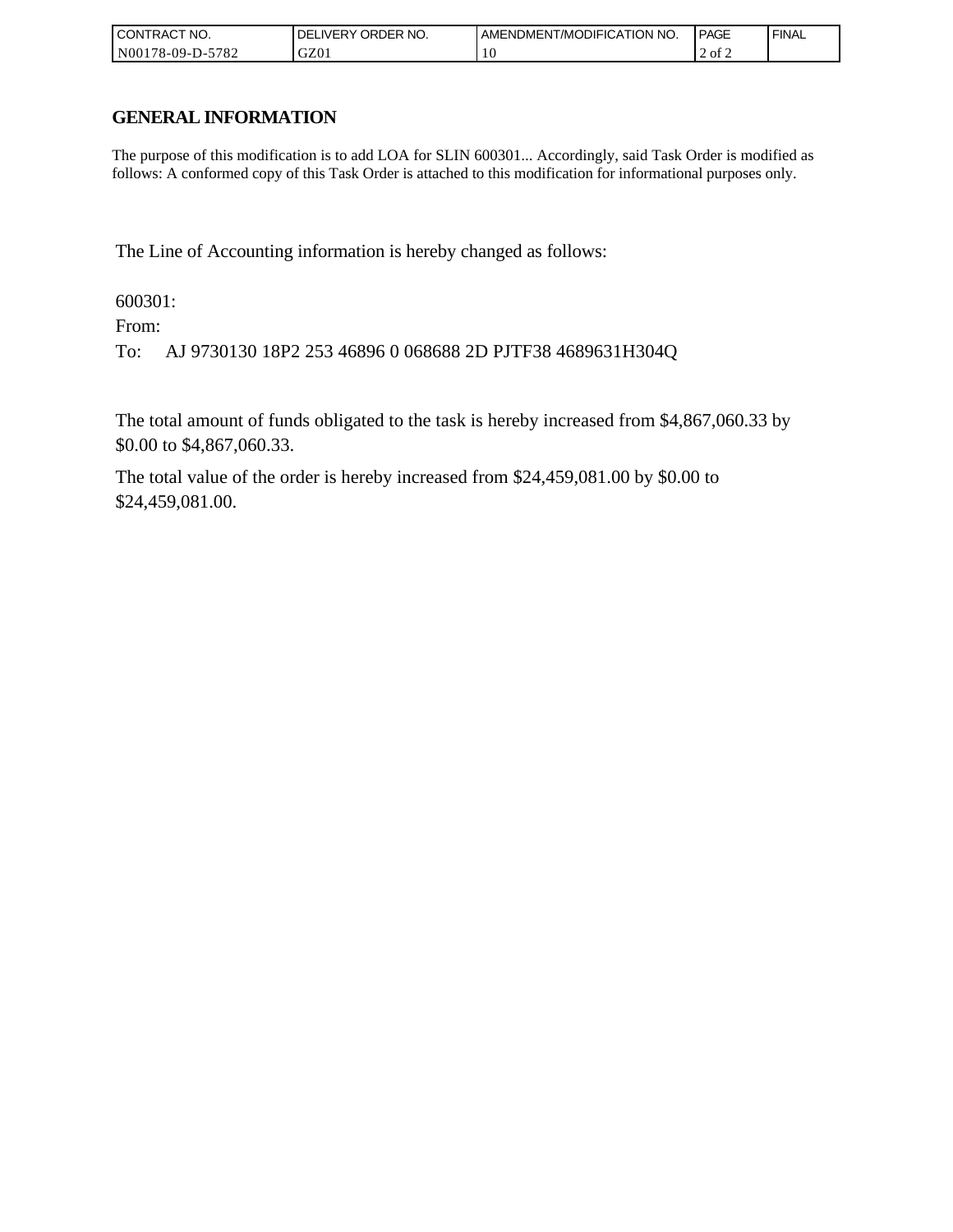| ' CONTRACT NO.             | ORDER NO.<br>. DELIVERY | <b>AMENDMENT/MODIFICATION NO.</b> | <b>PAGE</b> | ' FINAL |
|----------------------------|-------------------------|-----------------------------------|-------------|---------|
| $-5782$<br>  N00178-09-D-5 | GZ01                    | 0                                 | 2 of 2      |         |

## **GENERAL INFORMATION**

The purpose of this modification is to add LOA for SLIN 600301... Accordingly, said Task Order is modified as follows: A conformed copy of this Task Order is attached to this modification for informational purposes only.

The Line of Accounting information is hereby changed as follows:

600301:

From:

To: AJ 9730130 18P2 253 46896 0 068688 2D PJTF38 4689631H304Q

The total amount of funds obligated to the task is hereby increased from \$4,867,060.33 by \$0.00 to \$4,867,060.33.

The total value of the order is hereby increased from \$24,459,081.00 by \$0.00 to \$24,459,081.00.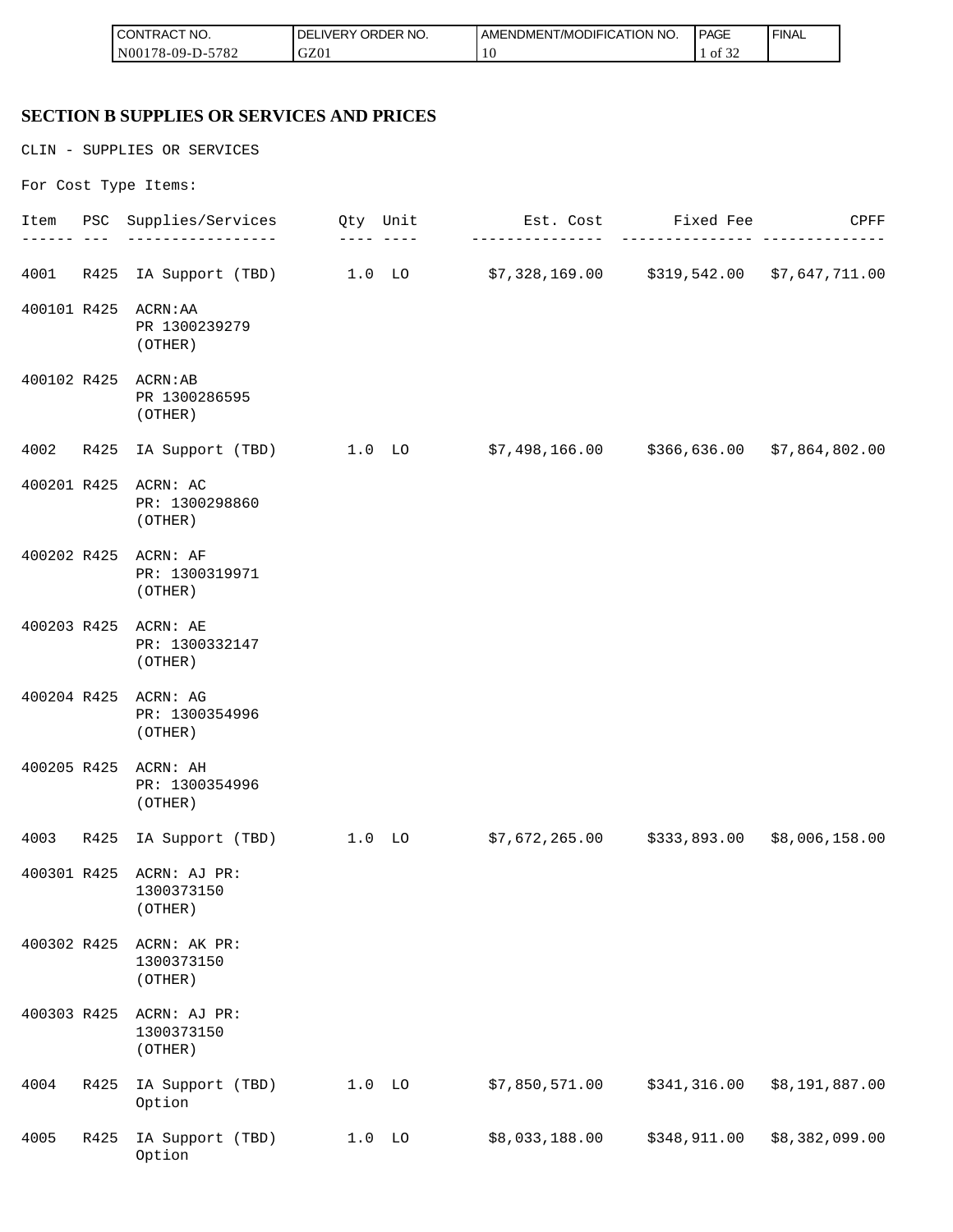| <b>CONTRACT NO.</b>  | NO.<br>ORDER<br><b>DELIVERY</b> | AMENDMENT/MODIFICATION NO. | <b>PAGE</b>       | ' FINAL |
|----------------------|---------------------------------|----------------------------|-------------------|---------|
| N00178-09-D-<br>5782 | GZ01                            |                            | 0.25<br>ΟĪ<br>ے ر |         |

# **SECTION B SUPPLIES OR SERVICES AND PRICES**

CLIN - SUPPLIES OR SERVICES

For Cost Type Items:

|             |      | Item PSC Supplies/Services                        | Qty Unit | Est. Cost Fixed Fee<br>-------------                                    | ----------   | CPFF           |
|-------------|------|---------------------------------------------------|----------|-------------------------------------------------------------------------|--------------|----------------|
| 4001        | R425 |                                                   |          | IA Support (TBD) 1.0 LO \$7,328,169.00 \$319,542.00 \$7,647,711.00      |              |                |
| 400101 R425 |      | ACRN: AA<br>PR 1300239279<br>(OTHER)              |          |                                                                         |              |                |
|             |      | 400102 R425 ACRN:AB<br>PR 1300286595<br>(OTHER)   |          |                                                                         |              |                |
| 4002        | R425 | IA Support (TBD) 1.0 LO                           |          | \$7,498,166.00     \$366,636.00  \$7,864,802.00                         |              |                |
| 400201 R425 |      | ACRN: AC<br>PR: 1300298860<br>(OTHER)             |          |                                                                         |              |                |
|             |      | 400202 R425 ACRN: AF<br>PR: 1300319971<br>(OTHER) |          |                                                                         |              |                |
|             |      | 400203 R425 ACRN: AE<br>PR: 1300332147<br>(OTHER) |          |                                                                         |              |                |
|             |      | 400204 R425 ACRN: AG<br>PR: 1300354996<br>(OTHER) |          |                                                                         |              |                |
| 400205 R425 |      | ACRN: AH<br>PR: 1300354996<br>(OTHER)             |          |                                                                         |              |                |
| 4003        |      |                                                   |          | R425 IA Support (TBD) 1.0 LO \$7,672,265.00 \$333,893.00 \$8,006,158.00 |              |                |
| 400301 R425 |      | ACRN: AJ PR:<br>1300373150<br>(OTHER)             |          |                                                                         |              |                |
| 400302 R425 |      | ACRN: AK PR:<br>1300373150<br>(OTHER)             |          |                                                                         |              |                |
| 400303 R425 |      | ACRN: AJ PR:<br>1300373150<br>(OTHER)             |          |                                                                         |              |                |
| 4004        | R425 | IA Support (TBD)<br>Option                        | $1.0$ LO | \$7,850,571.00                                                          | \$341,316.00 | \$8,191,887.00 |
| 4005        | R425 | IA Support (TBD)<br>Option                        | $1.0$ LO | \$8,033,188.00                                                          | \$348,911.00 | \$8,382,099.00 |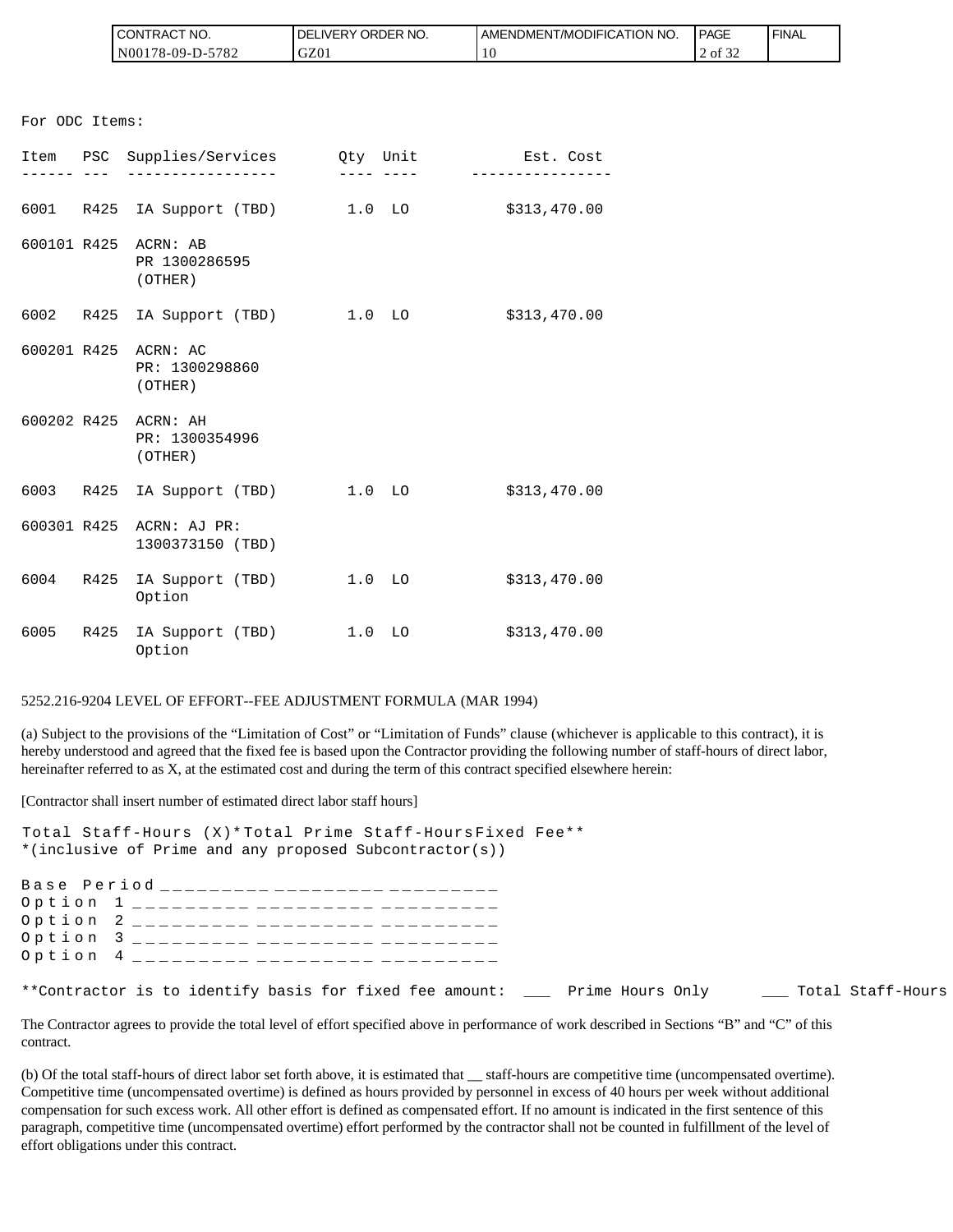| `CT NO.<br><b>CONTRAC</b> | NO.<br><b>DELIVERY ORDER</b> | AMENDMENT/MODIFICATION NO. | <b>PAGE</b>                  | <b>FINAL</b> |
|---------------------------|------------------------------|----------------------------|------------------------------|--------------|
| 5782<br>$N00178-09-D$ -   | GZ01                         | 10                         | $\sim$ $\sim$<br>2 of<br>-24 |              |

|                                      | CONTRACT NO.<br>N00178-09-D-5782                                                                                              | DELIVERY ORDER NO.<br>GZ01           | AMENDMENT/MODIFICA<br>10                                                                                                                                                                                                                                                                                                                                                                                                                    |
|--------------------------------------|-------------------------------------------------------------------------------------------------------------------------------|--------------------------------------|---------------------------------------------------------------------------------------------------------------------------------------------------------------------------------------------------------------------------------------------------------------------------------------------------------------------------------------------------------------------------------------------------------------------------------------------|
| For ODC Items:                       |                                                                                                                               |                                      |                                                                                                                                                                                                                                                                                                                                                                                                                                             |
|                                      | Item PSC Supplies/Services Qty Unit                                                                                           |                                      | Est. Cost                                                                                                                                                                                                                                                                                                                                                                                                                                   |
|                                      |                                                                                                                               |                                      | ____ ____ _ ___________                                                                                                                                                                                                                                                                                                                                                                                                                     |
|                                      | 6001 R425 IA Support (TBD) 1.0 LO \$313,470.00                                                                                |                                      |                                                                                                                                                                                                                                                                                                                                                                                                                                             |
|                                      | 600101 R425 ACRN: AB<br>PR 1300286595<br>(OTHER)                                                                              |                                      |                                                                                                                                                                                                                                                                                                                                                                                                                                             |
|                                      | 6002 R425 IA Support (TBD) 1.0 LO                                                                                             |                                      | \$313,470.00                                                                                                                                                                                                                                                                                                                                                                                                                                |
|                                      | 600201 R425 ACRN: AC<br>PR: 1300298860<br>(OTHER)                                                                             |                                      |                                                                                                                                                                                                                                                                                                                                                                                                                                             |
|                                      | 600202 R425 ACRN: AH<br>PR: 1300354996<br>(OTHER)                                                                             |                                      |                                                                                                                                                                                                                                                                                                                                                                                                                                             |
|                                      | 6003 R425 IA Support (TBD) 1.0 LO                                                                                             |                                      | \$313,470.00                                                                                                                                                                                                                                                                                                                                                                                                                                |
| 600301 R425                          | ACRN: AJ PR:<br>1300373150 (TBD)                                                                                              |                                      |                                                                                                                                                                                                                                                                                                                                                                                                                                             |
|                                      | 6004 R425 IA Support (TBD) 1.0 LO<br>Option                                                                                   |                                      | \$313,470.00                                                                                                                                                                                                                                                                                                                                                                                                                                |
|                                      | 6005 R425 IA Support (TBD) 1.0 LO<br>Option                                                                                   |                                      | \$313,470.00                                                                                                                                                                                                                                                                                                                                                                                                                                |
|                                      | 5252.216-9204 LEVEL OF EFFORT--FEE ADJUSTMENT FORMULA (MAR 1994)                                                              |                                      |                                                                                                                                                                                                                                                                                                                                                                                                                                             |
|                                      |                                                                                                                               |                                      | (a) Subject to the provisions of the "Limitation of Cost" or "Limitation of Funds" clause (whichever<br>hereby understood and agreed that the fixed fee is based upon the Contractor providing the following nu<br>hereinafter referred to as X, at the estimated cost and during the term of this contract specified elsewher                                                                                                              |
|                                      | [Contractor shall insert number of estimated direct labor staff hours]                                                        |                                      |                                                                                                                                                                                                                                                                                                                                                                                                                                             |
|                                      | Total Staff-Hours (X)* Total Prime Staff-Hours Fixed Fee**<br>*(inclusive of Prime and any proposed Subcontractor(s))         |                                      |                                                                                                                                                                                                                                                                                                                                                                                                                                             |
| Option<br>Option<br>Option<br>Option | Base Period _________ _________ _______<br>1<br>______________________<br>2<br>_________<br>3<br>_________<br>$4\overline{ }$ | _________<br>_______________________ |                                                                                                                                                                                                                                                                                                                                                                                                                                             |
|                                      | **Contractor is to identify basis for fixed fee amount: ____                                                                  |                                      | Prime                                                                                                                                                                                                                                                                                                                                                                                                                                       |
| contract.                            |                                                                                                                               |                                      | The Contractor agrees to provide the total level of effort specified above in performance of work descre                                                                                                                                                                                                                                                                                                                                    |
|                                      | effort obligations under this contract.                                                                                       |                                      | (b) Of the total staff-hours of direct labor set forth above, it is estimated that __ staff-hours are competi-<br>Competitive time (uncompensated overtime) is defined as hours provided by personnel in excess of 40<br>compensation for such excess work. All other effort is defined as compensated effort. If no amount is in<br>paragraph, competitive time (uncompensated overtime) effort performed by the contractor shall not be o |

#### 5252.216-9204 LEVEL OF EFFORT--FEE ADJUSTMENT FORMULA (MAR 1994)

(a) Subject to the provisions of the "Limitation of Cost" or "Limitation of Funds" clause (whichever is applicable to this contract), it is hereby understood and agreed that the fixed fee is based upon the Contractor providing the following number of staff-hours of direct labor, hereinafter referred to as X, at the estimated cost and during the term of this contract specified elsewhere herein:

| Total Staff-Hours (X)* Total Prime Staff-Hours Fixed Fee**                                 |  |
|--------------------------------------------------------------------------------------------|--|
| *(inclusive of Prime and any proposed Subcontractor(s))                                    |  |
|                                                                                            |  |
| Base Period __________ _________ ________                                                  |  |
| Option 1 _________ _________ ______                                                        |  |
| Option 2 _________ _________ _______                                                       |  |
| Option 3 _________ _________ ______                                                        |  |
| Option 4 _________ _________ _______                                                       |  |
|                                                                                            |  |
| **Contractor is to identify basis for fixed fee amount: Prime Hours Only Total Staff-Hours |  |

The Contractor agrees to provide the total level of effort specified above in performance of work described in Sections "B" and "C" of this contract.

(b) Of the total staff-hours of direct labor set forth above, it is estimated that \_\_ staff-hours are competitive time (uncompensated overtime). Competitive time (uncompensated overtime) is defined as hours provided by personnel in excess of 40 hours per week without additional compensation for such excess work. All other effort is defined as compensated effort. If no amount is indicated in the first sentence of this paragraph, competitive time (uncompensated overtime) effort performed by the contractor shall not be counted in fulfillment of the level of effort obligations under this contract.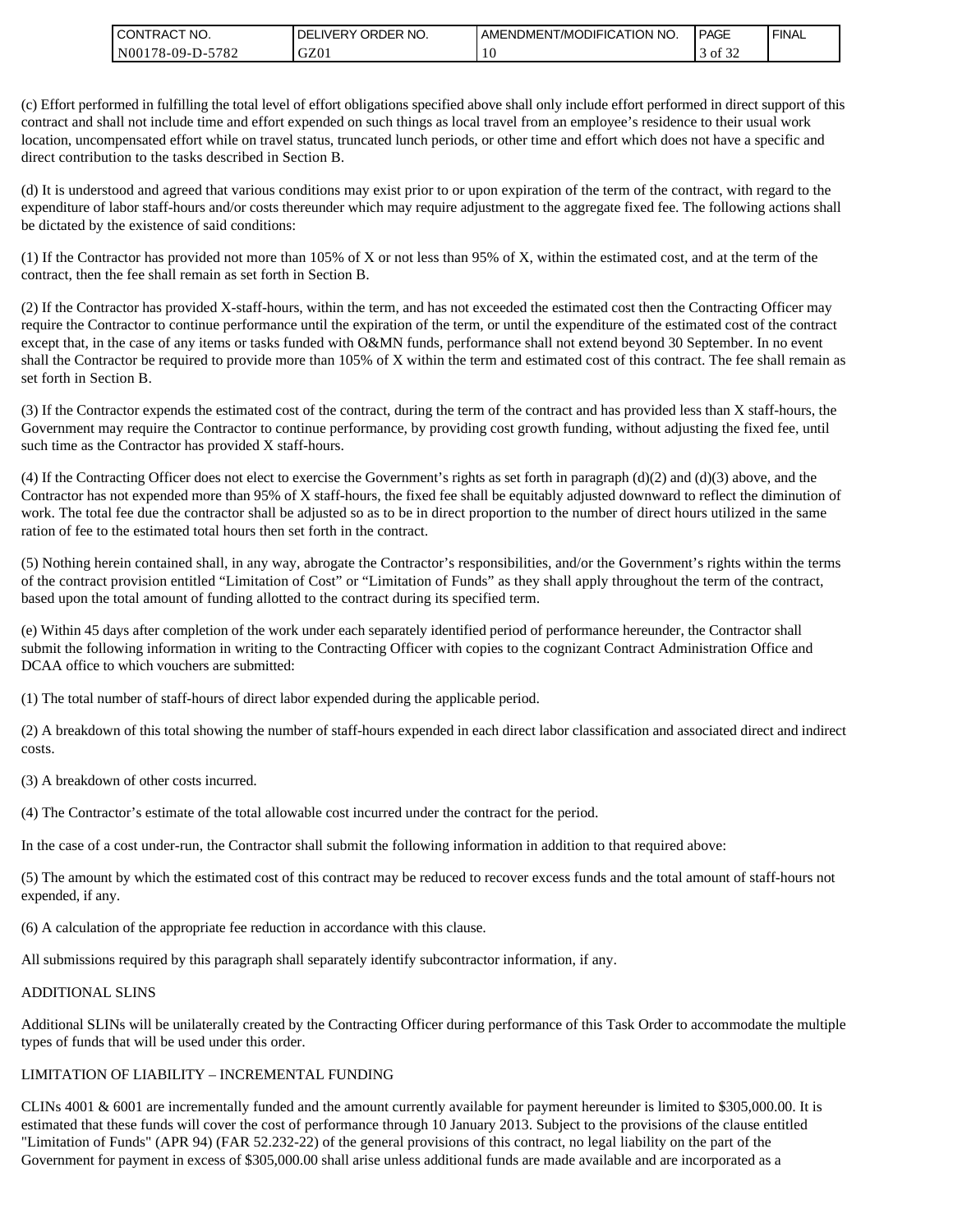| " NO.<br>l CON<br><b>'TRAC</b>                       | NO.<br><b>ORDER</b><br><b>DELIVERY</b> | ATION NO.<br>AMENDMENT/MODIFICAT | <b>PAGE</b>                | <b>FINAL</b> |
|------------------------------------------------------|----------------------------------------|----------------------------------|----------------------------|--------------|
| 5700<br>N <sub>00</sub><br>$78-09-D$ -<br>$\sqrt{2}$ | GZ01                                   | 1 U                              | $\sim$ $\sim$<br>ΟĪ<br>-24 |              |

(c) Effort performed in fulfilling the total level of effort obligations specified above shall only include effort performed in direct support of this contract and shall not include time and effort expended on such things as local travel from an employee's residence to their usual work location, uncompensated effort while on travel status, truncated lunch periods, or other time and effort which does not have a specific and direct contribution to the tasks described in Section B.

(d) It is understood and agreed that various conditions may exist prior to or upon expiration of the term of the contract, with regard to the expenditure of labor staff-hours and/or costs thereunder which may require adjustment to the aggregate fixed fee. The following actions shall be dictated by the existence of said conditions:

(1) If the Contractor has provided not more than 105% of X or not less than 95% of X, within the estimated cost, and at the term of the contract, then the fee shall remain as set forth in Section B.

(2) If the Contractor has provided X-staff-hours, within the term, and has not exceeded the estimated cost then the Contracting Officer may require the Contractor to continue performance until the expiration of the term, or until the expenditure of the estimated cost of the contract except that, in the case of any items or tasks funded with O&MN funds, performance shall not extend beyond 30 September. In no event shall the Contractor be required to provide more than 105% of X within the term and estimated cost of this contract. The fee shall remain as set forth in Section B.

(3) If the Contractor expends the estimated cost of the contract, during the term of the contract and has provided less than X staff-hours, the Government may require the Contractor to continue performance, by providing cost growth funding, without adjusting the fixed fee, until such time as the Contractor has provided X staff-hours.

(4) If the Contracting Officer does not elect to exercise the Government's rights as set forth in paragraph (d)(2) and (d)(3) above, and the Contractor has not expended more than 95% of X staff-hours, the fixed fee shall be equitably adjusted downward to reflect the diminution of work. The total fee due the contractor shall be adjusted so as to be in direct proportion to the number of direct hours utilized in the same ration of fee to the estimated total hours then set forth in the contract.

(5) Nothing herein contained shall, in any way, abrogate the Contractor's responsibilities, and/or the Government's rights within the terms of the contract provision entitled "Limitation of Cost" or "Limitation of Funds" as they shall apply throughout the term of the contract, based upon the total amount of funding allotted to the contract during its specified term.

(e) Within 45 days after completion of the work under each separately identified period of performance hereunder, the Contractor shall submit the following information in writing to the Contracting Officer with copies to the cognizant Contract Administration Office and DCAA office to which vouchers are submitted:

(1) The total number of staff-hours of direct labor expended during the applicable period.

(2) A breakdown of this total showing the number of staff-hours expended in each direct labor classification and associated direct and indirect costs.

(3) A breakdown of other costs incurred.

(4) The Contractor's estimate of the total allowable cost incurred under the contract for the period.

In the case of a cost under-run, the Contractor shall submit the following information in addition to that required above:

(5) The amount by which the estimated cost of this contract may be reduced to recover excess funds and the total amount of staff-hours not expended, if any.

(6) A calculation of the appropriate fee reduction in accordance with this clause.

All submissions required by this paragraph shall separately identify subcontractor information, if any.

#### ADDITIONAL SLINS

Additional SLINs will be unilaterally created by the Contracting Officer during performance of this Task Order to accommodate the multiple types of funds that will be used under this order.

#### LIMITATION OF LIABILITY – INCREMENTAL FUNDING

CLINs 4001 & 6001 are incrementally funded and the amount currently available for payment hereunder is limited to \$305,000.00. It is estimated that these funds will cover the cost of performance through 10 January 2013. Subject to the provisions of the clause entitled "Limitation of Funds" (APR 94) (FAR 52.232-22) of the general provisions of this contract, no legal liability on the part of the Government for payment in excess of \$305,000.00 shall arise unless additional funds are made available and are incorporated as a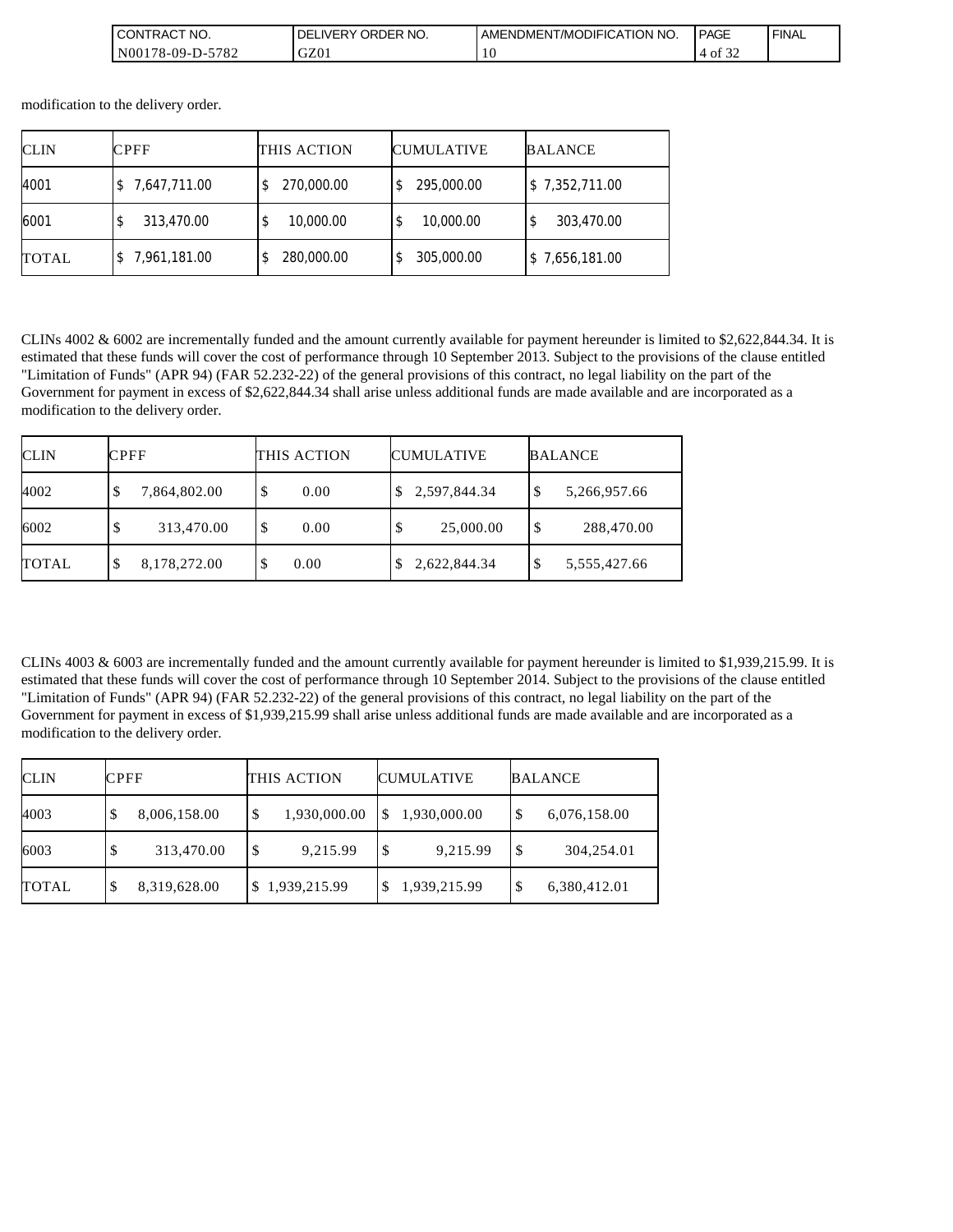| $\sim$<br>'NO.<br>`ON<br><b>'TRAC</b>                                 | ORDER NO.<br>IVEI<br>DE<br>∿כ | <b>[/MODIFICATION</b><br><b>NO</b><br>AMENDMEN. | <b>PAGE</b>                | ' FINAL |
|-----------------------------------------------------------------------|-------------------------------|-------------------------------------------------|----------------------------|---------|
| 5707<br>N00 <sup>1</sup><br>$78-09-L$<br>782<br>$\overline{ }$<br>- - | $\sim$<br>UZUI                | 10                                              | $\sim$ $\sim$<br>0İ<br>-22 |         |

modification to the delivery order.

| <b>CLIN</b>  | <b>CPFF</b>  | THIS ACTION      | <b>CUMULATIVE</b> | <b>BALANCE</b> |
|--------------|--------------|------------------|-------------------|----------------|
| 4001         | 7,647,711.00 | 270,000.00       | 295,000.00        | \$7,352,711.00 |
| 6001         | 313,470.00   | 10,000.00<br>\$  | 10,000.00         | 303,470.00     |
| <b>TOTAL</b> | 7,961,181.00 | 280,000.00<br>\$ | 305,000.00        | \$7,656,181.00 |

CLINs 4002 & 6002 are incrementally funded and the amount currently available for payment hereunder is limited to \$2,622,844.34. It is estimated that these funds will cover the cost of performance through 10 September 2013. Subject to the provisions of the clause entitled "Limitation of Funds" (APR 94) (FAR 52.232-22) of the general provisions of this contract, no legal liability on the part of the Government for payment in excess of \$2,622,844.34 shall arise unless additional funds are made available and are incorporated as a modification to the delivery order.

| <b>CLIN</b>  | <b>CPFF</b>       | THIS ACTION | <b>CUMULATIVE</b> | <b>BALANCE</b>    |  |
|--------------|-------------------|-------------|-------------------|-------------------|--|
| 4002         | 7,864,802.00<br>Φ | \$<br>0.00  | 2,597,844.34      | 5,266,957.66<br>Φ |  |
| 6002         | 313,470.00        | S.<br>0.00  | 25,000.00         | 288,470.00<br>\$  |  |
| <b>TOTAL</b> | 8,178,272.00<br>D | 0.00<br>S   | 2,622,844.34      | 5,555,427.66      |  |

CLINs 4003 & 6003 are incrementally funded and the amount currently available for payment hereunder is limited to \$1,939,215.99. It is estimated that these funds will cover the cost of performance through 10 September 2014. Subject to the provisions of the clause entitled "Limitation of Funds" (APR 94) (FAR 52.232-22) of the general provisions of this contract, no legal liability on the part of the Government for payment in excess of \$1,939,215.99 shall arise unless additional funds are made available and are incorporated as a modification to the delivery order.

| <b>CLIN</b>  | <b>CPFF</b> |              | THIS ACTION |              | <b>CUMULATIVE</b> |              | <b>BALANCE</b> |              |
|--------------|-------------|--------------|-------------|--------------|-------------------|--------------|----------------|--------------|
| 4003         | -S          | 8,006,158.00 | S           | 1,930,000.00 |                   | 1,930,000.00 | \$             | 6,076,158.00 |
| 6003         | S           | 313,470.00   | S           | 9,215.99     |                   | 9,215.99     | S              | 304,254.01   |
| <b>TOTAL</b> | \$          | 8,319,628.00 |             | 1,939,215.99 |                   | 1,939,215.99 | \$             | 6,380,412.01 |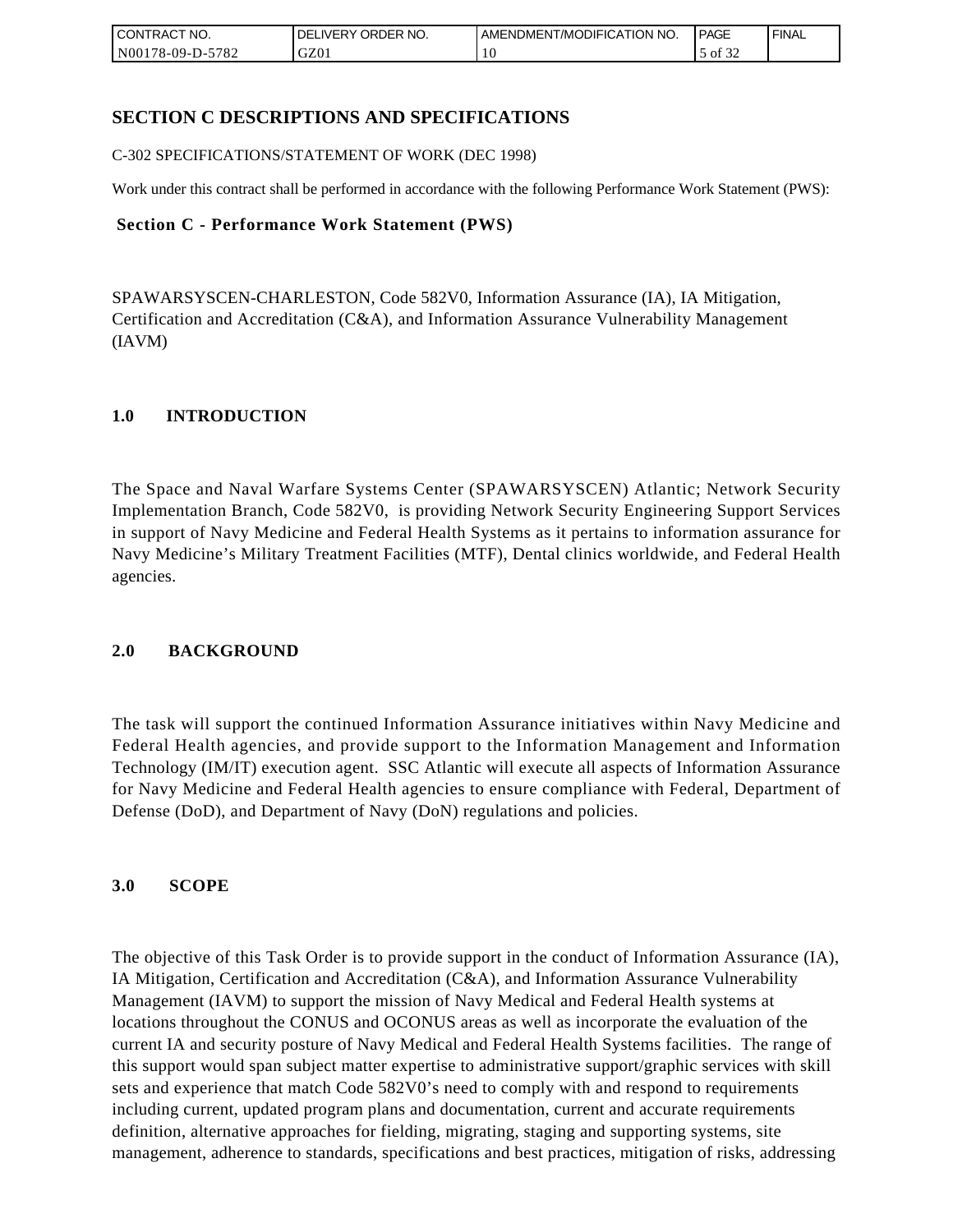| <b>CONTRACT NO.</b>    | NO.<br>' ORDER<br><b>DELIVERY</b> | AMENDMENT/MODIFICATION NO. | <b>PAGE</b>            | ' FINAL |
|------------------------|-----------------------------------|----------------------------|------------------------|---------|
| N00178-09-D-5<br>-5782 | GZ01                              | 1 U                        | $\sim$ $\sim$<br>of 32 |         |

## **SECTION C DESCRIPTIONS AND SPECIFICATIONS**

C-302 SPECIFICATIONS/STATEMENT OF WORK (DEC 1998)

Work under this contract shall be performed in accordance with the following Performance Work Statement (PWS):

### **Section C - Performance Work Statement (PWS)**

SPAWARSYSCEN-CHARLESTON, Code 582V0, Information Assurance (IA), IA Mitigation, Certification and Accreditation (C&A), and Information Assurance Vulnerability Management (IAVM)

### **1.0 INTRODUCTION**

The Space and Naval Warfare Systems Center (SPAWARSYSCEN) Atlantic; Network Security Implementation Branch, Code 582V0, is providing Network Security Engineering Support Services in support of Navy Medicine and Federal Health Systems as it pertains to information assurance for Navy Medicine's Military Treatment Facilities (MTF), Dental clinics worldwide, and Federal Health agencies.

### **2.0 BACKGROUND**

The task will support the continued Information Assurance initiatives within Navy Medicine and Federal Health agencies, and provide support to the Information Management and Information Technology (IM/IT) execution agent. SSC Atlantic will execute all aspects of Information Assurance for Navy Medicine and Federal Health agencies to ensure compliance with Federal, Department of Defense (DoD), and Department of Navy (DoN) regulations and policies.

### **3.0 SCOPE**

The objective of this Task Order is to provide support in the conduct of Information Assurance (IA), IA Mitigation, Certification and Accreditation (C&A), and Information Assurance Vulnerability Management (IAVM) to support the mission of Navy Medical and Federal Health systems at locations throughout the CONUS and OCONUS areas as well as incorporate the evaluation of the current IA and security posture of Navy Medical and Federal Health Systems facilities. The range of this support would span subject matter expertise to administrative support/graphic services with skill sets and experience that match Code 582V0's need to comply with and respond to requirements including current, updated program plans and documentation, current and accurate requirements definition, alternative approaches for fielding, migrating, staging and supporting systems, site management, adherence to standards, specifications and best practices, mitigation of risks, addressing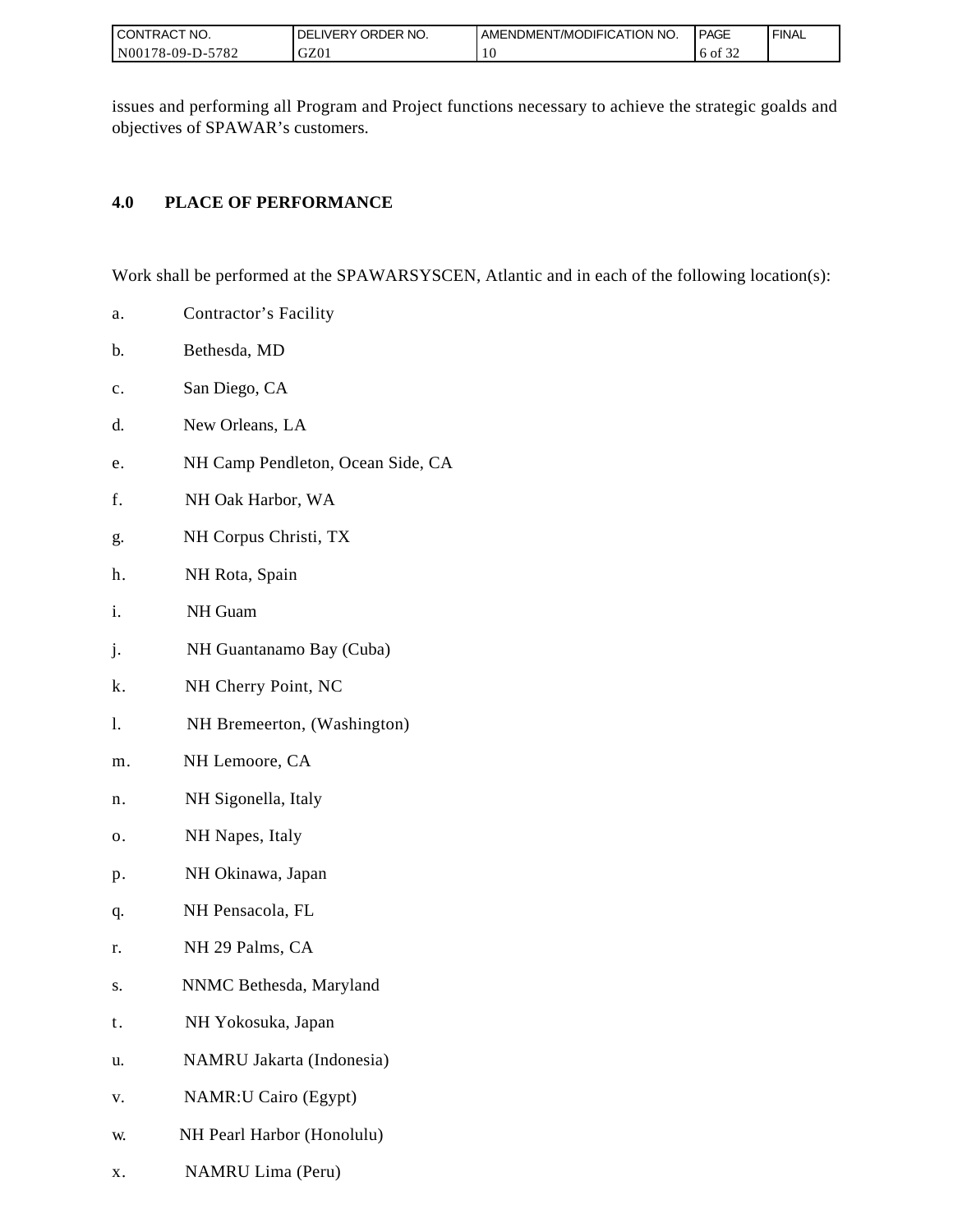| I CONTRACT NO.   | ORDER NO.<br><b>DELIVERY</b> | AMENDMENT/MODIFICATION NO. | PAGE                             | ' FINAL |
|------------------|------------------------------|----------------------------|----------------------------------|---------|
| N00178-09-D-5782 | GZ01                         | ۱0                         | $c \wedge c$<br>ΟĪ<br>. 6<br>ے ر |         |

issues and performing all Program and Project functions necessary to achieve the strategic goalds and objectives of SPAWAR's customers.

## **4.0 PLACE OF PERFORMANCE**

Work shall be performed at the SPAWARSYSCEN, Atlantic and in each of the following location(s):

- a. Contractor's Facility
- b. Bethesda, MD
- c. San Diego, CA
- d. New Orleans, LA
- e. NH Camp Pendleton, Ocean Side, CA
- f. NH Oak Harbor, WA
- g. NH Corpus Christi, TX
- h. NH Rota, Spain
- i. NH Guam
- j. NH Guantanamo Bay (Cuba)
- k. NH Cherry Point, NC
- l. NH Bremeerton, (Washington)
- m. NH Lemoore, CA
- n. NH Sigonella, Italy
- o. NH Napes, Italy
- p. NH Okinawa, Japan
- q. NH Pensacola, FL
- r. NH 29 Palms, CA
- s. NNMC Bethesda, Maryland
- t. NH Yokosuka, Japan
- u. NAMRU Jakarta (Indonesia)
- v. NAMR:U Cairo (Egypt)
- w. NH Pearl Harbor (Honolulu)
- x. NAMRU Lima (Peru)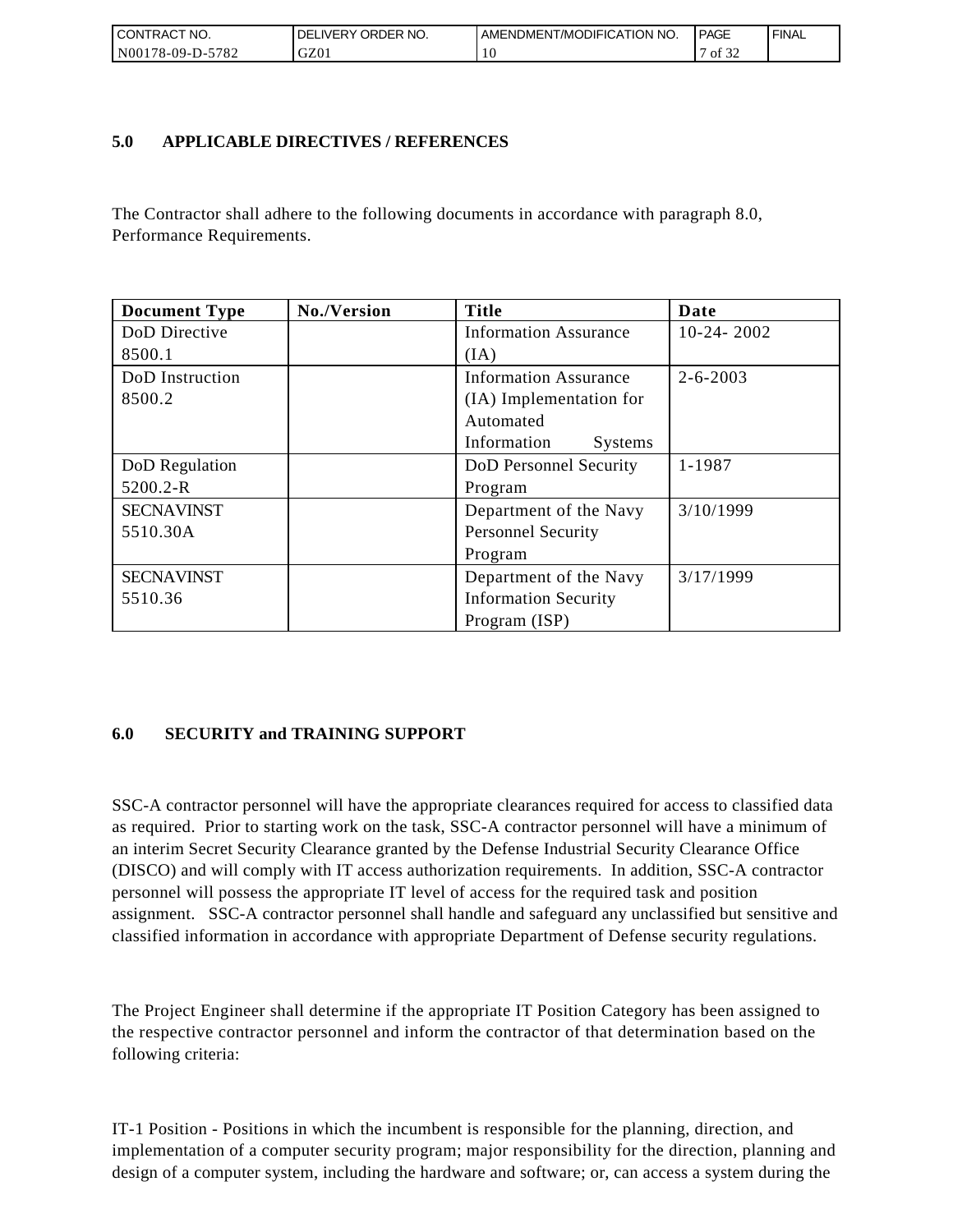| <b>CONTRACT NO.</b>                                 | ' ORDER NO.<br><b>DELIVERY</b> | AMENDMENT/MODIFICATION NO. | <b>PAGE</b>                | ' FINAL |
|-----------------------------------------------------|--------------------------------|----------------------------|----------------------------|---------|
| N <sub>00</sub><br>5782<br>ົ <sup>1</sup> 78-09-D-ວ | GZ01                           | 1 U                        | $\sim$ $\sim$<br>οt<br>ے ر |         |

### **5.0 APPLICABLE DIRECTIVES / REFERENCES**

The Contractor shall adhere to the following documents in accordance with paragraph 8.0, Performance Requirements.

| <b>Document Type</b> | No./Version | <b>Title</b>                  | Date           |
|----------------------|-------------|-------------------------------|----------------|
| DoD Directive        |             | <b>Information Assurance</b>  | $10-24-2002$   |
| 8500.1               |             | (IA)                          |                |
| DoD Instruction      |             | <b>Information Assurance</b>  | $2 - 6 - 2003$ |
| 8500.2               |             | (IA) Implementation for       |                |
|                      |             | Automated                     |                |
|                      |             | Information<br><b>Systems</b> |                |
| DoD Regulation       |             | DoD Personnel Security        | 1-1987         |
| 5200.2-R             |             | Program                       |                |
| <b>SECNAVINST</b>    |             | Department of the Navy        | 3/10/1999      |
| 5510.30A             |             | <b>Personnel Security</b>     |                |
|                      |             | Program                       |                |
| <b>SECNAVINST</b>    |             | Department of the Navy        | 3/17/1999      |
| 5510.36              |             | <b>Information Security</b>   |                |
|                      |             | Program (ISP)                 |                |

## **6.0 SECURITY and TRAINING SUPPORT**

SSC-A contractor personnel will have the appropriate clearances required for access to classified data as required. Prior to starting work on the task, SSC-A contractor personnel will have a minimum of an interim Secret Security Clearance granted by the Defense Industrial Security Clearance Office (DISCO) and will comply with IT access authorization requirements. In addition, SSC-A contractor personnel will possess the appropriate IT level of access for the required task and position assignment. SSC-A contractor personnel shall handle and safeguard any unclassified but sensitive and classified information in accordance with appropriate Department of Defense security regulations.

The Project Engineer shall determine if the appropriate IT Position Category has been assigned to the respective contractor personnel and inform the contractor of that determination based on the following criteria:

IT-1 Position - Positions in which the incumbent is responsible for the planning, direction, and implementation of a computer security program; major responsibility for the direction, planning and design of a computer system, including the hardware and software; or, can access a system during the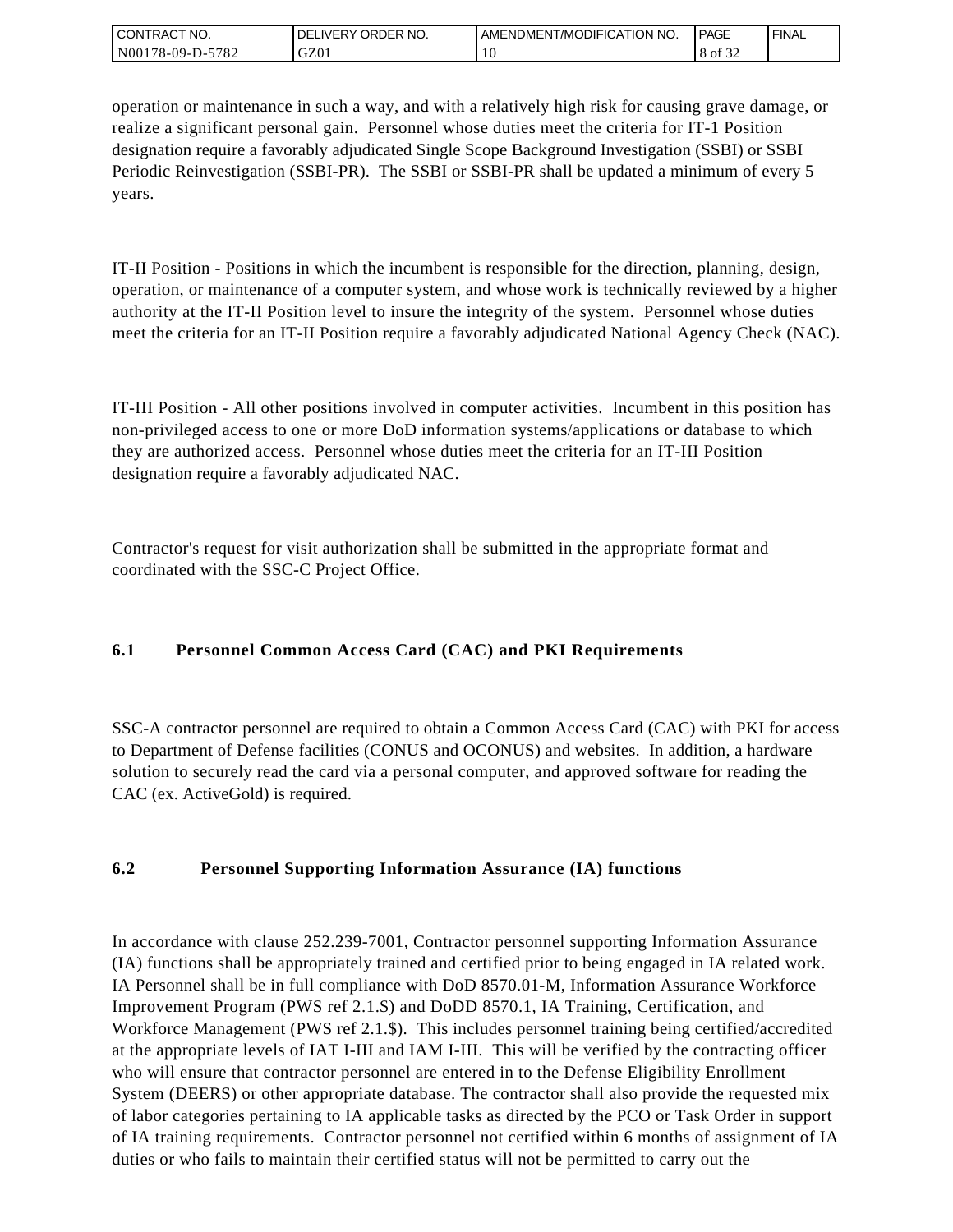| I CONTRACT NO.   | ' ORDER NO.<br><b>DELIVERY</b> | AMENDMENT/MODIFICATION NO. | PAGE            | ' FINAL |
|------------------|--------------------------------|----------------------------|-----------------|---------|
| N00178-09-D-5782 | GZ0 <sub>1</sub>               | ۰G                         | 0.22<br>8 of 32 |         |

operation or maintenance in such a way, and with a relatively high risk for causing grave damage, or realize a significant personal gain. Personnel whose duties meet the criteria for IT-1 Position designation require a favorably adjudicated Single Scope Background Investigation (SSBI) or SSBI Periodic Reinvestigation (SSBI-PR). The SSBI or SSBI-PR shall be updated a minimum of every 5 years.

IT-II Position - Positions in which the incumbent is responsible for the direction, planning, design, operation, or maintenance of a computer system, and whose work is technically reviewed by a higher authority at the IT-II Position level to insure the integrity of the system. Personnel whose duties meet the criteria for an IT-II Position require a favorably adjudicated National Agency Check (NAC).

IT-III Position - All other positions involved in computer activities. Incumbent in this position has non-privileged access to one or more DoD information systems/applications or database to which they are authorized access. Personnel whose duties meet the criteria for an IT-III Position designation require a favorably adjudicated NAC.

Contractor's request for visit authorization shall be submitted in the appropriate format and coordinated with the SSC-C Project Office.

# **6.1 Personnel Common Access Card (CAC) and PKI Requirements**

SSC-A contractor personnel are required to obtain a Common Access Card (CAC) with PKI for access to Department of Defense facilities (CONUS and OCONUS) and websites. In addition, a hardware solution to securely read the card via a personal computer, and approved software for reading the CAC (ex. ActiveGold) is required.

## **6.2 Personnel Supporting Information Assurance (IA) functions**

In accordance with clause 252.239-7001, Contractor personnel supporting Information Assurance (IA) functions shall be appropriately trained and certified prior to being engaged in IA related work. IA Personnel shall be in full compliance with DoD 8570.01-M, Information Assurance Workforce Improvement Program (PWS ref 2.1.\$) and DoDD 8570.1, IA Training, Certification, and Workforce Management (PWS ref 2.1.\$). This includes personnel training being certified/accredited at the appropriate levels of IAT I-III and IAM I-III. This will be verified by the contracting officer who will ensure that contractor personnel are entered in to the Defense Eligibility Enrollment System (DEERS) or other appropriate database. The contractor shall also provide the requested mix of labor categories pertaining to IA applicable tasks as directed by the PCO or Task Order in support of IA training requirements. Contractor personnel not certified within 6 months of assignment of IA duties or who fails to maintain their certified status will not be permitted to carry out the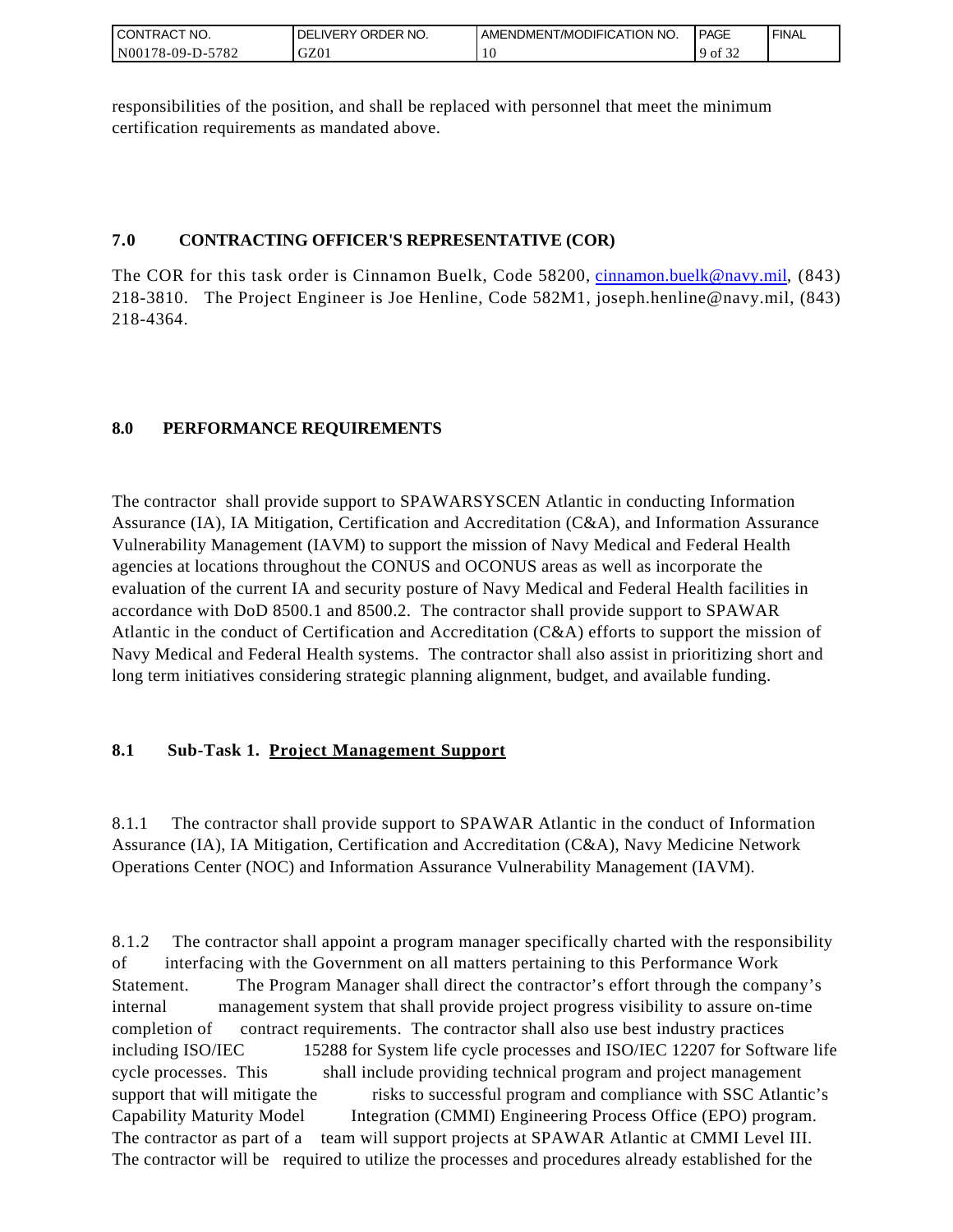| <b>CONTRACT NO.</b> | NO.<br>ORDER <sup>'</sup><br><b>DELIVERY</b> | AMENDMENT/MODIFICATION NO. | <b>PAGE</b>                  | ' FINAL |
|---------------------|----------------------------------------------|----------------------------|------------------------------|---------|
| N00178-09-D-5782    | GZ01                                         |                            | 0.25<br>$\cdot$ 9 of $\cdot$ |         |

responsibilities of the position, and shall be replaced with personnel that meet the minimum certification requirements as mandated above.

## **7.0 CONTRACTING OFFICER'S REPRESENTATIVE (COR)**

The COR for this task order is Cinnamon Buelk, Code 58200, [cinnamon.buelk@navy.mil,](mailto:cinnamon.buelk@navy.mil) (843) 218-3810. The Project Engineer is Joe Henline, Code 582M1, joseph.henline@navy.mil, (843) 218-4364.

# **8.0 PERFORMANCE REQUIREMENTS**

The contractor shall provide support to SPAWARSYSCEN Atlantic in conducting Information Assurance (IA), IA Mitigation, Certification and Accreditation (C&A), and Information Assurance Vulnerability Management (IAVM) to support the mission of Navy Medical and Federal Health agencies at locations throughout the CONUS and OCONUS areas as well as incorporate the evaluation of the current IA and security posture of Navy Medical and Federal Health facilities in accordance with DoD 8500.1 and 8500.2. The contractor shall provide support to SPAWAR Atlantic in the conduct of Certification and Accreditation (C&A) efforts to support the mission of Navy Medical and Federal Health systems. The contractor shall also assist in prioritizing short and long term initiatives considering strategic planning alignment, budget, and available funding.

## **8.1 Sub-Task 1. Project Management Support**

8.1.1 The contractor shall provide support to SPAWAR Atlantic in the conduct of Information Assurance (IA), IA Mitigation, Certification and Accreditation (C&A), Navy Medicine Network Operations Center (NOC) and Information Assurance Vulnerability Management (IAVM).

8.1.2 The contractor shall appoint a program manager specifically charted with the responsibility of interfacing with the Government on all matters pertaining to this Performance Work Statement. The Program Manager shall direct the contractor's effort through the company's internal management system that shall provide project progress visibility to assure on-time completion of contract requirements. The contractor shall also use best industry practices including ISO/IEC 15288 for System life cycle processes and ISO/IEC 12207 for Software life cycle processes. This shall include providing technical program and project management support that will mitigate the risks to successful program and compliance with SSC Atlantic's Capability Maturity Model Integration (CMMI) Engineering Process Office (EPO) program. The contractor as part of a team will support projects at SPAWAR Atlantic at CMMI Level III. The contractor will be required to utilize the processes and procedures already established for the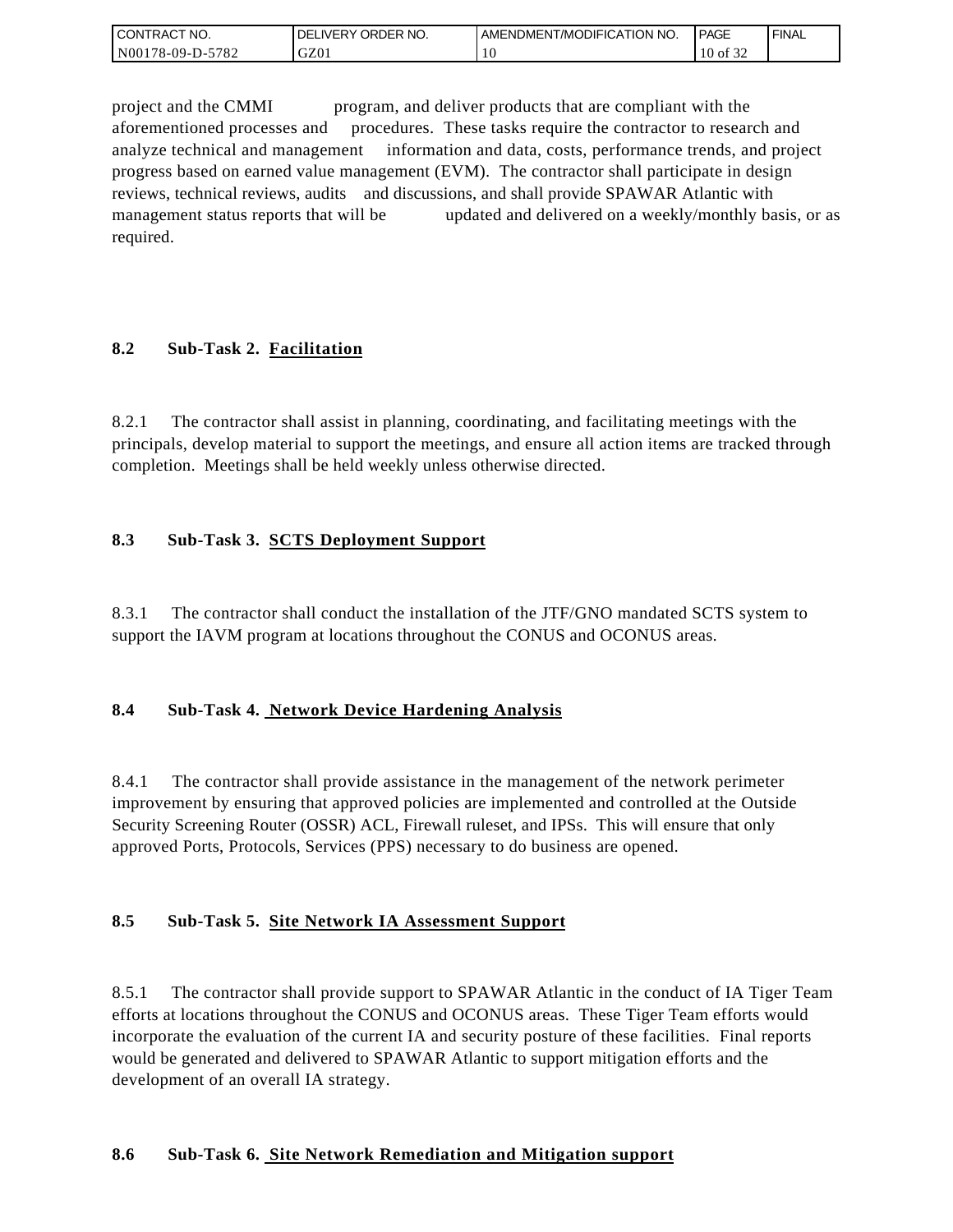| <b>CONTRACT NO.</b> | ' ORDER NO.<br><b>DELIVERY</b> | AMENDMENT/MODIFICATION NO. | <b>PAGE</b>  | ' FINAL |
|---------------------|--------------------------------|----------------------------|--------------|---------|
| N00178-09-D-5782    | GZ01                           | 10                         | $10$ of $3'$ |         |

project and the CMMI program, and deliver products that are compliant with the aforementioned processes and procedures. These tasks require the contractor to research and analyze technical and management information and data, costs, performance trends, and project progress based on earned value management (EVM). The contractor shall participate in design reviews, technical reviews, audits and discussions, and shall provide SPAWAR Atlantic with management status reports that will be updated and delivered on a weekly/monthly basis, or as required.

### **8.2 Sub-Task 2. Facilitation**

8.2.1 The contractor shall assist in planning, coordinating, and facilitating meetings with the principals, develop material to support the meetings, and ensure all action items are tracked through completion. Meetings shall be held weekly unless otherwise directed.

### **8.3 Sub-Task 3. SCTS Deployment Support**

8.3.1 The contractor shall conduct the installation of the JTF/GNO mandated SCTS system to support the IAVM program at locations throughout the CONUS and OCONUS areas.

### **8.4 Sub-Task 4. Network Device Hardening Analysis**

8.4.1 The contractor shall provide assistance in the management of the network perimeter improvement by ensuring that approved policies are implemented and controlled at the Outside Security Screening Router (OSSR) ACL, Firewall ruleset, and IPSs. This will ensure that only approved Ports, Protocols, Services (PPS) necessary to do business are opened.

### **8.5 Sub-Task 5. Site Network IA Assessment Support**

8.5.1 The contractor shall provide support to SPAWAR Atlantic in the conduct of IA Tiger Team efforts at locations throughout the CONUS and OCONUS areas. These Tiger Team efforts would incorporate the evaluation of the current IA and security posture of these facilities. Final reports would be generated and delivered to SPAWAR Atlantic to support mitigation efforts and the development of an overall IA strategy.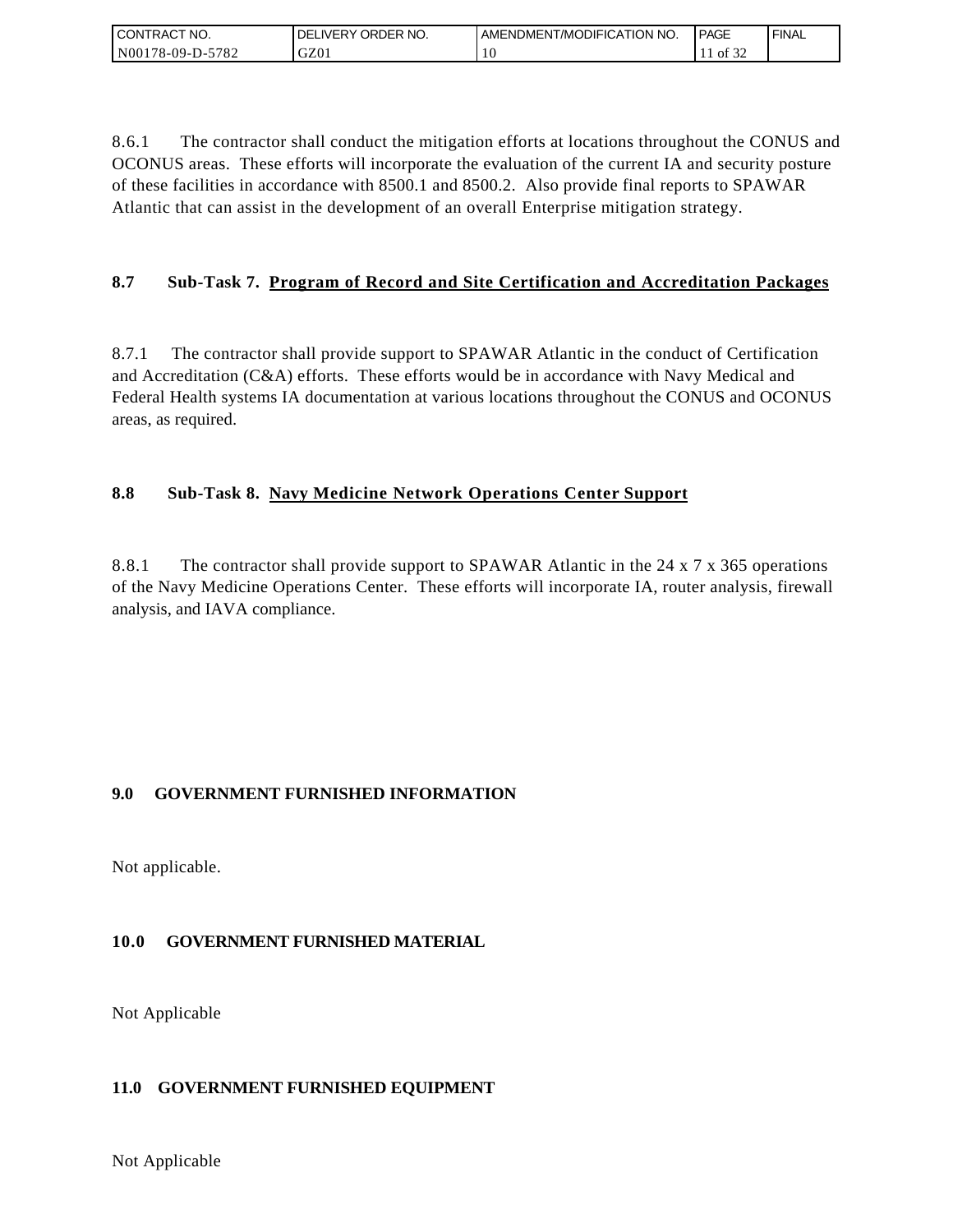| I CONTRACT NO.   | ' ORDER NO.<br>DELI<br>_IVERY | I AMENDMENT/MODIFICATION NO. | <b>PAGE</b>                | ' FINAL |
|------------------|-------------------------------|------------------------------|----------------------------|---------|
| N00178-09-D-5782 | GZ01                          | $\Omega$                     | $c \Delta$<br>of $3\angle$ |         |

8.6.1 The contractor shall conduct the mitigation efforts at locations throughout the CONUS and OCONUS areas. These efforts will incorporate the evaluation of the current IA and security posture of these facilities in accordance with 8500.1 and 8500.2. Also provide final reports to SPAWAR Atlantic that can assist in the development of an overall Enterprise mitigation strategy.

## **8.7 Sub-Task 7. Program of Record and Site Certification and Accreditation Packages**

8.7.1 The contractor shall provide support to SPAWAR Atlantic in the conduct of Certification and Accreditation (C&A) efforts. These efforts would be in accordance with Navy Medical and Federal Health systems IA documentation at various locations throughout the CONUS and OCONUS areas, as required.

### **8.8 Sub-Task 8. Navy Medicine Network Operations Center Support**

8.8.1 The contractor shall provide support to SPAWAR Atlantic in the 24 x 7 x 365 operations of the Navy Medicine Operations Center. These efforts will incorporate IA, router analysis, firewall analysis, and IAVA compliance.

### **9.0 GOVERNMENT FURNISHED INFORMATION**

Not applicable.

## **10.0 GOVERNMENT FURNISHED MATERIAL**

Not Applicable

### **11.0 GOVERNMENT FURNISHED EQUIPMENT**

Not Applicable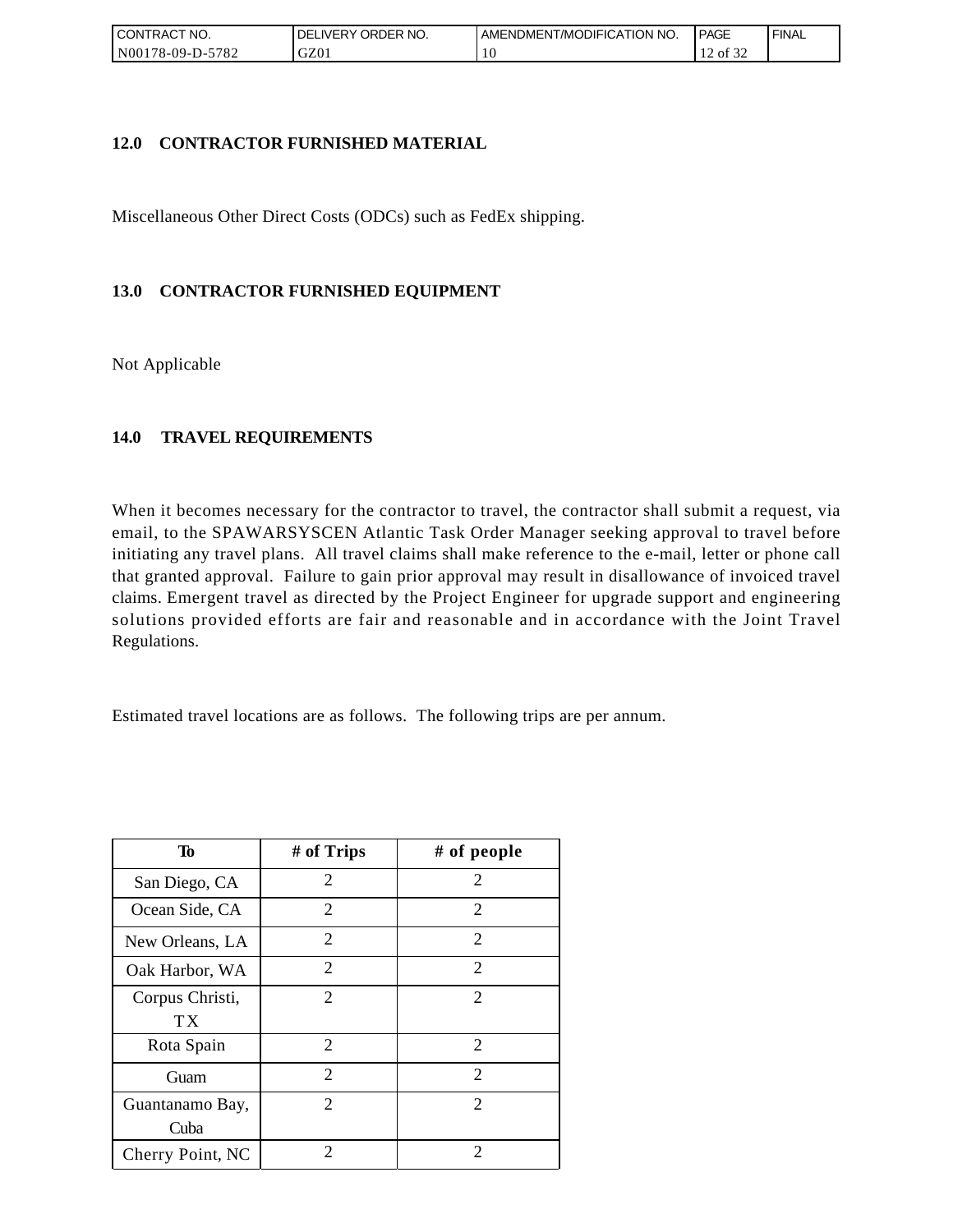| ' CONTRACT NO.          | ORDER NO.<br><b>DELIVERY</b> | AMENDMENT/MODIFICATION NO. | <b>PAGE</b>      | ' FINAL |
|-------------------------|------------------------------|----------------------------|------------------|---------|
| 5782<br>$NO0178-09-D-2$ | GZ01                         | 10                         | ΟĪ<br>ے ر<br>. . |         |

### **12.0 CONTRACTOR FURNISHED MATERIAL**

Miscellaneous Other Direct Costs (ODCs) such as FedEx shipping.

## **13.0 CONTRACTOR FURNISHED EQUIPMENT**

Not Applicable

### **14.0 TRAVEL REQUIREMENTS**

When it becomes necessary for the contractor to travel, the contractor shall submit a request, via email, to the SPAWARSYSCEN Atlantic Task Order Manager seeking approval to travel before initiating any travel plans. All travel claims shall make reference to the e-mail, letter or phone call that granted approval. Failure to gain prior approval may result in disallowance of invoiced travel claims. Emergent travel as directed by the Project Engineer for upgrade support and engineering solutions provided efforts are fair and reasonable and in accordance with the Joint Travel Regulations.

Estimated travel locations are as follows. The following trips are per annum.

| Тo               | # of Trips                  | # of people                 |
|------------------|-----------------------------|-----------------------------|
| San Diego, CA    | 2                           | 2                           |
| Ocean Side, CA   | 2                           | 2                           |
| New Orleans, LA  | $\overline{2}$              | 2                           |
| Oak Harbor, WA   | 2                           | 2                           |
| Corpus Christi,  | $\overline{2}$              | $\mathcal{D}_{\mathcal{L}}$ |
| ТX               |                             |                             |
| Rota Spain       | 2                           | 2                           |
| Guam             | $\overline{c}$              | 2                           |
| Guantanamo Bay,  | 2                           | 2                           |
| Cuba             |                             |                             |
| Cherry Point, NC | $\mathcal{D}_{\mathcal{A}}$ | $\mathcal{D}_{\cdot}$       |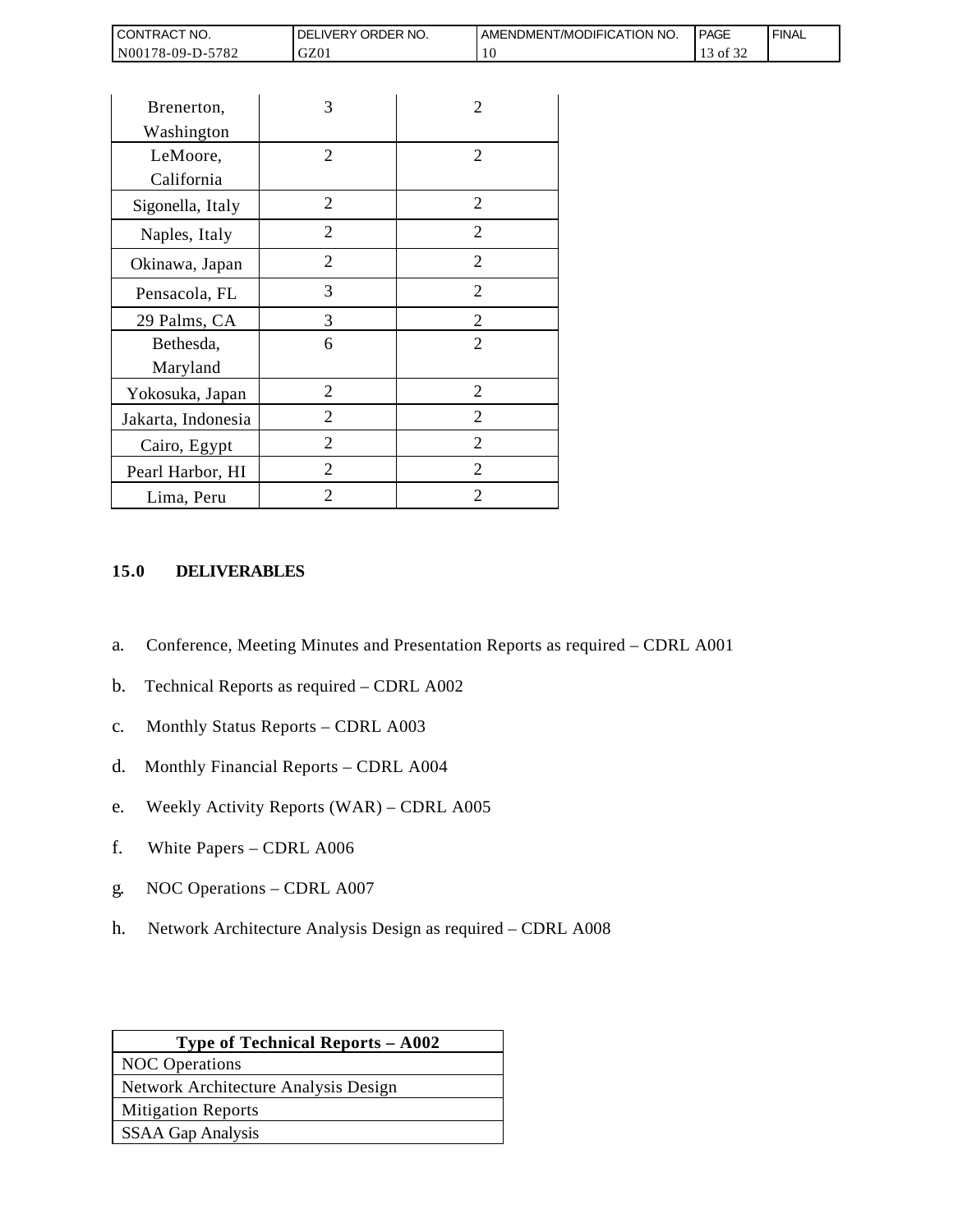| <b>CONTRACT NO.</b>               | ORDER<br>NO.<br><b>DELIVERY</b> | AMENDMENT/MODIFICATION NO. | <b>PAGE</b>                | ' FINAL |
|-----------------------------------|---------------------------------|----------------------------|----------------------------|---------|
| N001<br>5782<br>$3178 - 09 - D -$ | GZ01                            | ΔU.                        | $\sim$ $\sim$ $\sim$<br>0Ī |         |

| CONTRACT NO.                                                                   | DELIVERY ORDER NO.                                                                                                                                                                                                                                            |                | AMENDMEN |
|--------------------------------------------------------------------------------|---------------------------------------------------------------------------------------------------------------------------------------------------------------------------------------------------------------------------------------------------------------|----------------|----------|
| N00178-09-D-5782                                                               | GZ01                                                                                                                                                                                                                                                          | 10             |          |
|                                                                                |                                                                                                                                                                                                                                                               |                |          |
| Brenerton,                                                                     | 3                                                                                                                                                                                                                                                             | 2              |          |
| Washington                                                                     |                                                                                                                                                                                                                                                               |                |          |
| LeMoore,                                                                       | 2                                                                                                                                                                                                                                                             | 2              |          |
| California                                                                     |                                                                                                                                                                                                                                                               |                |          |
| Sigonella, Italy                                                               | $\overline{2}$                                                                                                                                                                                                                                                | $\overline{2}$ |          |
| Naples, Italy                                                                  | $\overline{2}$                                                                                                                                                                                                                                                | $\overline{2}$ |          |
| Okinawa, Japan                                                                 | $\overline{2}$                                                                                                                                                                                                                                                | 2              |          |
| Pensacola, FL                                                                  | 3                                                                                                                                                                                                                                                             | 2              |          |
| 29 Palms, CA                                                                   | 3                                                                                                                                                                                                                                                             | $\overline{c}$ |          |
| Bethesda,                                                                      | 6                                                                                                                                                                                                                                                             | $\overline{2}$ |          |
| Maryland                                                                       |                                                                                                                                                                                                                                                               |                |          |
| Yokosuka, Japan                                                                | $\overline{2}$                                                                                                                                                                                                                                                | $\overline{2}$ |          |
| Jakarta, Indonesia                                                             | 2                                                                                                                                                                                                                                                             | $\overline{2}$ |          |
| Cairo, Egypt                                                                   | 2                                                                                                                                                                                                                                                             | 2              |          |
| Pearl Harbor, HI                                                               | $\overline{2}$                                                                                                                                                                                                                                                | 2              |          |
| Lima, Peru                                                                     | $\overline{2}$                                                                                                                                                                                                                                                | 2              |          |
| a.<br>b.<br>$\mathbf{C}$ .<br>d.<br>e.<br>f.<br>White Papers - CDRL A006<br>g. | Conference, Meeting Minutes and Presentation Reports a<br>Technical Reports as required - CDRL A002<br>Monthly Status Reports - CDRL A003<br>Monthly Financial Reports - CDRL A004<br>Weekly Activity Reports (WAR) - CDRL A005<br>NOC Operations - CDRL A007 |                |          |
| h.                                                                             | Network Architecture Analysis Design as required – CDI                                                                                                                                                                                                        |                |          |
|                                                                                | Type of Technical Reports - A002                                                                                                                                                                                                                              |                |          |
| <b>NOC</b> Operations                                                          | Network Architecture Analysis Design                                                                                                                                                                                                                          |                |          |
| <b>Mitigation Reports</b>                                                      |                                                                                                                                                                                                                                                               |                |          |
| <b>SSAA Gap Analysis</b>                                                       |                                                                                                                                                                                                                                                               |                |          |
|                                                                                |                                                                                                                                                                                                                                                               |                |          |

### **15.0 DELIVERABLES**

- a. Conference, Meeting Minutes and Presentation Reports as required CDRL A001
- b. Technical Reports as required CDRL A002
- c. Monthly Status Reports CDRL A003
- d. Monthly Financial Reports CDRL A004
- e. Weekly Activity Reports (WAR) CDRL A005
- f. White Papers CDRL A006
- g. NOC Operations CDRL A007
- h. Network Architecture Analysis Design as required CDRL A008

| <b>Type of Technical Reports – A002</b> |  |  |
|-----------------------------------------|--|--|
| <b>NOC</b> Operations                   |  |  |
| Network Architecture Analysis Design    |  |  |
| <b>Mitigation Reports</b>               |  |  |
| <b>SSAA Gap Analysis</b>                |  |  |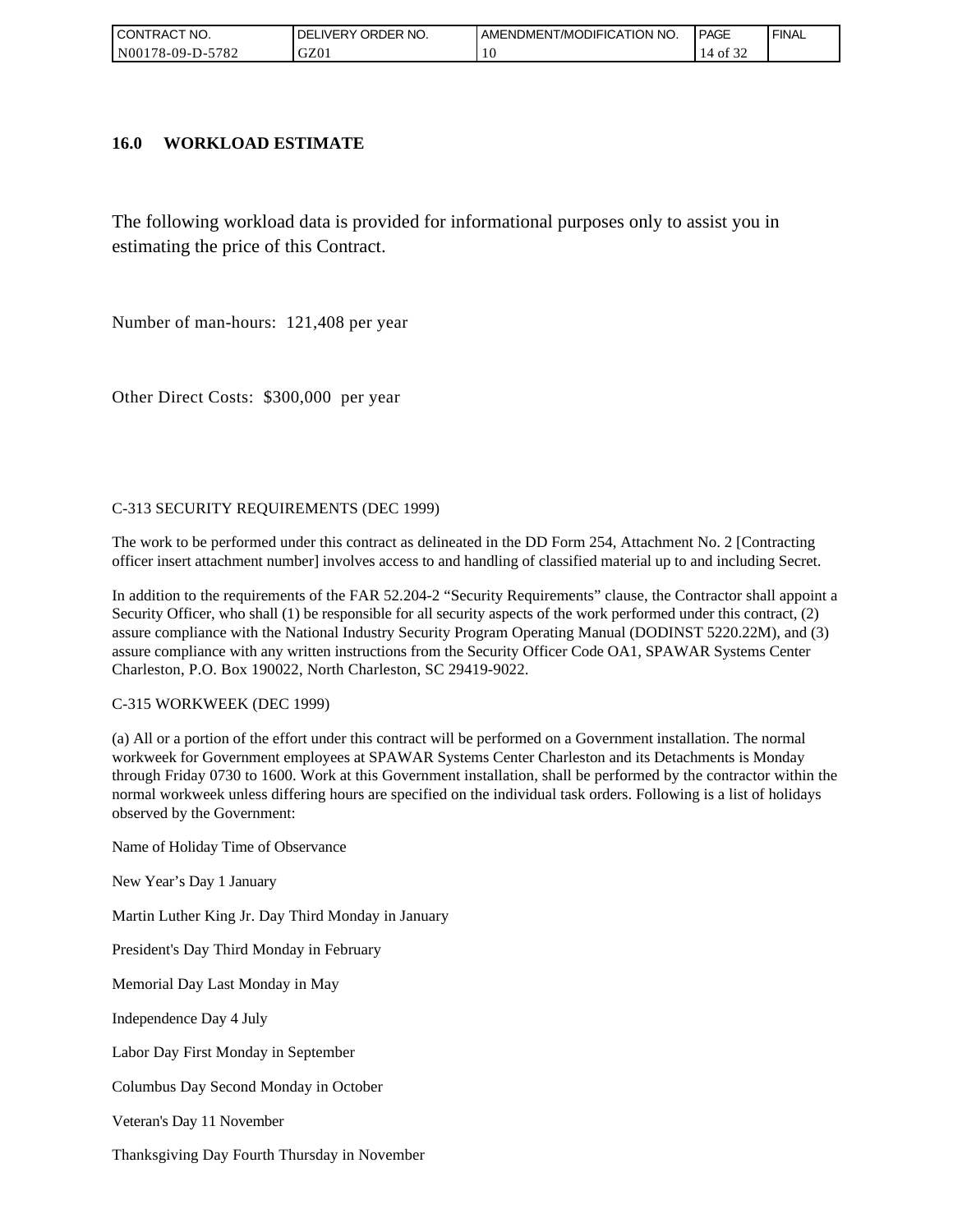| I CONTRACT NO.   | ' ORDER NO.<br>_IVERY<br>DELI | AMENDMENT/MODIFICATION NO. | <b>PAGE</b> | ' FINAL |
|------------------|-------------------------------|----------------------------|-------------|---------|
| N00178-09-D-5782 | GZ01                          | . U                        | ΟĪ<br>ے ر   |         |

#### **16.0 WORKLOAD ESTIMATE**

The following workload data is provided for informational purposes only to assist you in estimating the price of this Contract.

Number of man-hours: 121,408 per year

Other Direct Costs: \$300,000 per year

#### C-313 SECURITY REQUIREMENTS (DEC 1999)

The work to be performed under this contract as delineated in the DD Form 254, Attachment No. 2 [Contracting officer insert attachment number] involves access to and handling of classified material up to and including Secret.

In addition to the requirements of the FAR 52.204-2 "Security Requirements" clause, the Contractor shall appoint a Security Officer, who shall (1) be responsible for all security aspects of the work performed under this contract, (2) assure compliance with the National Industry Security Program Operating Manual (DODINST 5220.22M), and (3) assure compliance with any written instructions from the Security Officer Code OA1, SPAWAR Systems Center Charleston, P.O. Box 190022, North Charleston, SC 29419-9022.

#### C-315 WORKWEEK (DEC 1999)

(a) All or a portion of the effort under this contract will be performed on a Government installation. The normal workweek for Government employees at SPAWAR Systems Center Charleston and its Detachments is Monday through Friday 0730 to 1600. Work at this Government installation, shall be performed by the contractor within the normal workweek unless differing hours are specified on the individual task orders. Following is a list of holidays observed by the Government:

Name of Holiday Time of Observance

New Year's Day 1 January

Martin Luther King Jr. Day Third Monday in January

President's Day Third Monday in February

Memorial Day Last Monday in May

Independence Day 4 July

Labor Day First Monday in September

Columbus Day Second Monday in October

Veteran's Day 11 November

Thanksgiving Day Fourth Thursday in November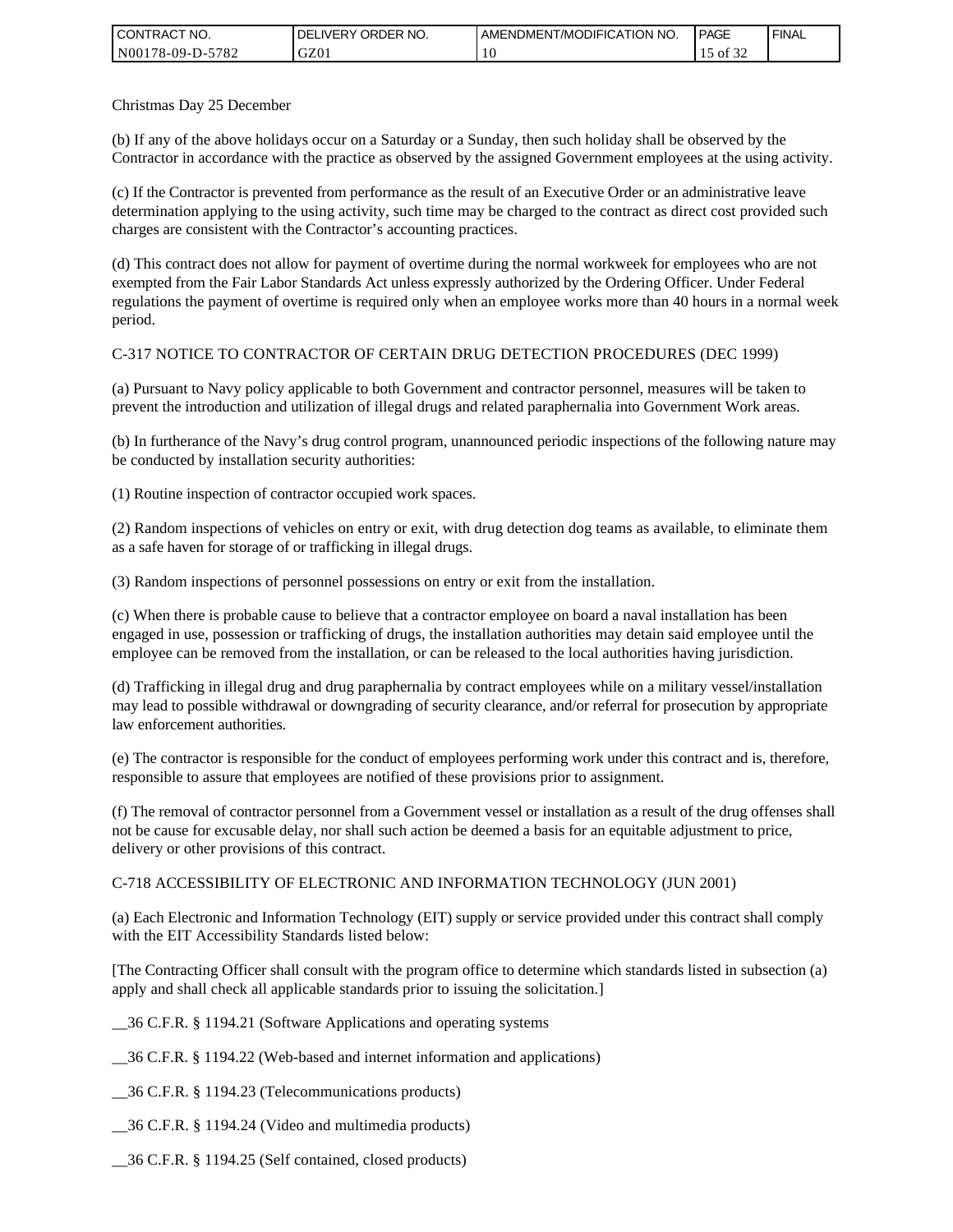| <b>CONTRACT NO.</b> | NO.<br><b>DELIVERY ORDER</b> | AMENDMENT/MODIFICATION NO. | <b>PAGE</b>       | ' FINAL |
|---------------------|------------------------------|----------------------------|-------------------|---------|
| N00178-09-D-5782    | GZ01                         | 1 U                        | 0.25<br>ΟĪ<br>ے ر |         |

Christmas Day 25 December

(b) If any of the above holidays occur on a Saturday or a Sunday, then such holiday shall be observed by the Contractor in accordance with the practice as observed by the assigned Government employees at the using activity.

(c) If the Contractor is prevented from performance as the result of an Executive Order or an administrative leave determination applying to the using activity, such time may be charged to the contract as direct cost provided such charges are consistent with the Contractor's accounting practices.

(d) This contract does not allow for payment of overtime during the normal workweek for employees who are not exempted from the Fair Labor Standards Act unless expressly authorized by the Ordering Officer. Under Federal regulations the payment of overtime is required only when an employee works more than 40 hours in a normal week period.

### C-317 NOTICE TO CONTRACTOR OF CERTAIN DRUG DETECTION PROCEDURES (DEC 1999)

(a) Pursuant to Navy policy applicable to both Government and contractor personnel, measures will be taken to prevent the introduction and utilization of illegal drugs and related paraphernalia into Government Work areas.

(b) In furtherance of the Navy's drug control program, unannounced periodic inspections of the following nature may be conducted by installation security authorities:

(1) Routine inspection of contractor occupied work spaces.

(2) Random inspections of vehicles on entry or exit, with drug detection dog teams as available, to eliminate them as a safe haven for storage of or trafficking in illegal drugs.

(3) Random inspections of personnel possessions on entry or exit from the installation.

(c) When there is probable cause to believe that a contractor employee on board a naval installation has been engaged in use, possession or trafficking of drugs, the installation authorities may detain said employee until the employee can be removed from the installation, or can be released to the local authorities having jurisdiction.

(d) Trafficking in illegal drug and drug paraphernalia by contract employees while on a military vessel/installation may lead to possible withdrawal or downgrading of security clearance, and/or referral for prosecution by appropriate law enforcement authorities.

(e) The contractor is responsible for the conduct of employees performing work under this contract and is, therefore, responsible to assure that employees are notified of these provisions prior to assignment.

(f) The removal of contractor personnel from a Government vessel or installation as a result of the drug offenses shall not be cause for excusable delay, nor shall such action be deemed a basis for an equitable adjustment to price, delivery or other provisions of this contract.

#### C-718 ACCESSIBILITY OF ELECTRONIC AND INFORMATION TECHNOLOGY (JUN 2001)

(a) Each Electronic and Information Technology (EIT) supply or service provided under this contract shall comply with the EIT Accessibility Standards listed below:

[The Contracting Officer shall consult with the program office to determine which standards listed in subsection (a) apply and shall check all applicable standards prior to issuing the solicitation.]

\_\_36 C.F.R. § 1194.21 (Software Applications and operating systems

\_\_36 C.F.R. § 1194.22 (Web-based and internet information and applications)

\_\_36 C.F.R. § 1194.23 (Telecommunications products)

\_\_36 C.F.R. § 1194.24 (Video and multimedia products)

\_\_36 C.F.R. § 1194.25 (Self contained, closed products)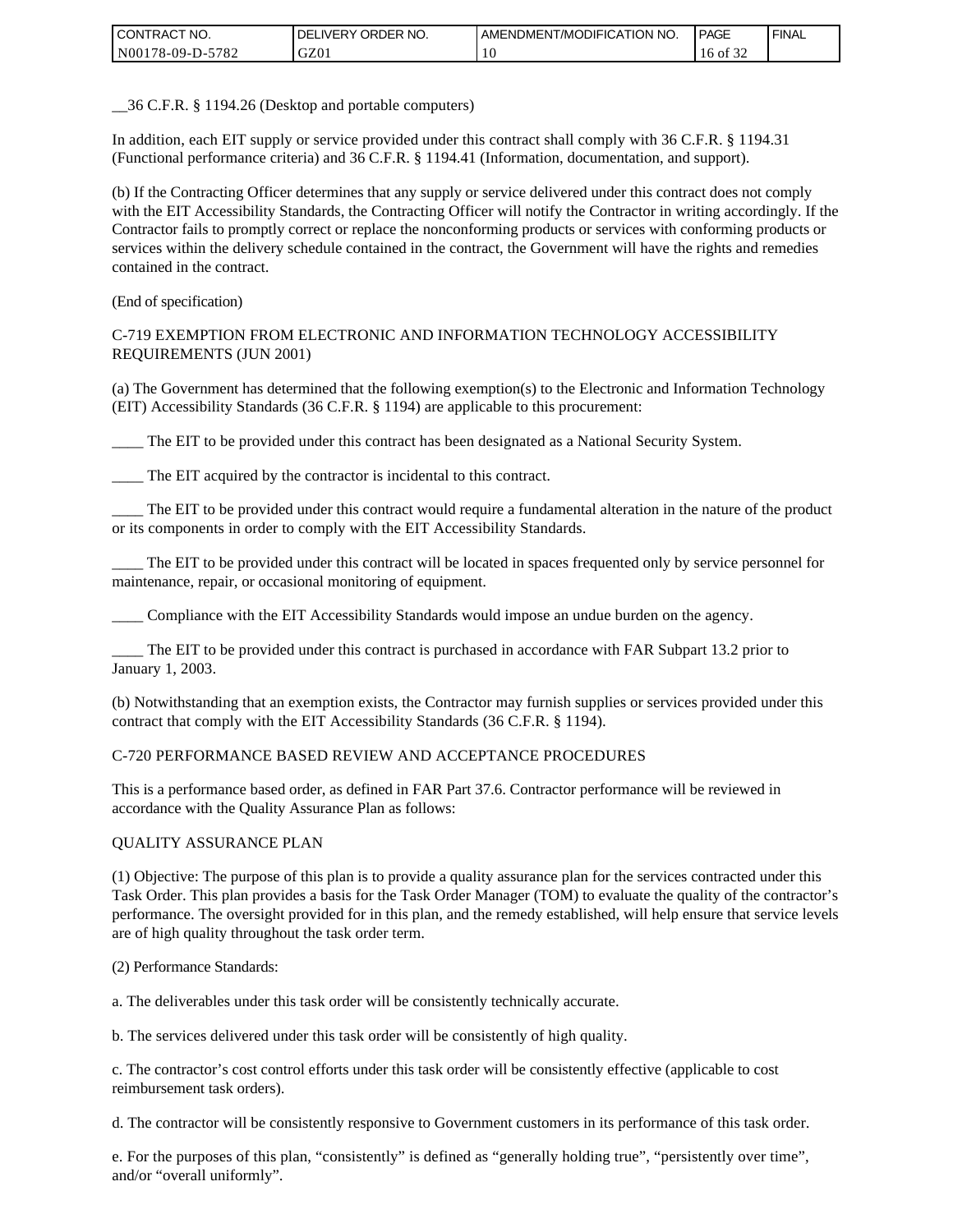| <b>CONTRACT NO.</b>   | ORDER<br>NO.<br><b>DELIVERY</b> | AMENDMENT/MODIFICATION NO. | <b>PAGE</b> | ' FINAL |
|-----------------------|---------------------------------|----------------------------|-------------|---------|
| N00178-09-D-5<br>5782 | GZ01                            | . U                        | 16 of 1     |         |

\_\_36 C.F.R. § 1194.26 (Desktop and portable computers)

In addition, each EIT supply or service provided under this contract shall comply with 36 C.F.R. § 1194.31 (Functional performance criteria) and 36 C.F.R. § 1194.41 (Information, documentation, and support).

(b) If the Contracting Officer determines that any supply or service delivered under this contract does not comply with the EIT Accessibility Standards, the Contracting Officer will notify the Contractor in writing accordingly. If the Contractor fails to promptly correct or replace the nonconforming products or services with conforming products or services within the delivery schedule contained in the contract, the Government will have the rights and remedies contained in the contract.

(End of specification)

#### C-719 EXEMPTION FROM ELECTRONIC AND INFORMATION TECHNOLOGY ACCESSIBILITY REQUIREMENTS (JUN 2001)

(a) The Government has determined that the following exemption(s) to the Electronic and Information Technology (EIT) Accessibility Standards (36 C.F.R. § 1194) are applicable to this procurement:

\_\_\_\_ The EIT to be provided under this contract has been designated as a National Security System.

The EIT acquired by the contractor is incidental to this contract.

\_\_\_\_ The EIT to be provided under this contract would require a fundamental alteration in the nature of the product or its components in order to comply with the EIT Accessibility Standards.

\_\_\_\_ The EIT to be provided under this contract will be located in spaces frequented only by service personnel for maintenance, repair, or occasional monitoring of equipment.

\_\_\_\_ Compliance with the EIT Accessibility Standards would impose an undue burden on the agency.

The EIT to be provided under this contract is purchased in accordance with FAR Subpart 13.2 prior to January 1, 2003.

(b) Notwithstanding that an exemption exists, the Contractor may furnish supplies or services provided under this contract that comply with the EIT Accessibility Standards (36 C.F.R. § 1194).

#### C-720 PERFORMANCE BASED REVIEW AND ACCEPTANCE PROCEDURES

This is a performance based order, as defined in FAR Part 37.6. Contractor performance will be reviewed in accordance with the Quality Assurance Plan as follows:

#### QUALITY ASSURANCE PLAN

(1) Objective: The purpose of this plan is to provide a quality assurance plan for the services contracted under this Task Order. This plan provides a basis for the Task Order Manager (TOM) to evaluate the quality of the contractor's performance. The oversight provided for in this plan, and the remedy established, will help ensure that service levels are of high quality throughout the task order term.

(2) Performance Standards:

a. The deliverables under this task order will be consistently technically accurate.

b. The services delivered under this task order will be consistently of high quality.

c. The contractor's cost control efforts under this task order will be consistently effective (applicable to cost reimbursement task orders).

d. The contractor will be consistently responsive to Government customers in its performance of this task order.

e. For the purposes of this plan, "consistently" is defined as "generally holding true", "persistently over time", and/or "overall uniformly".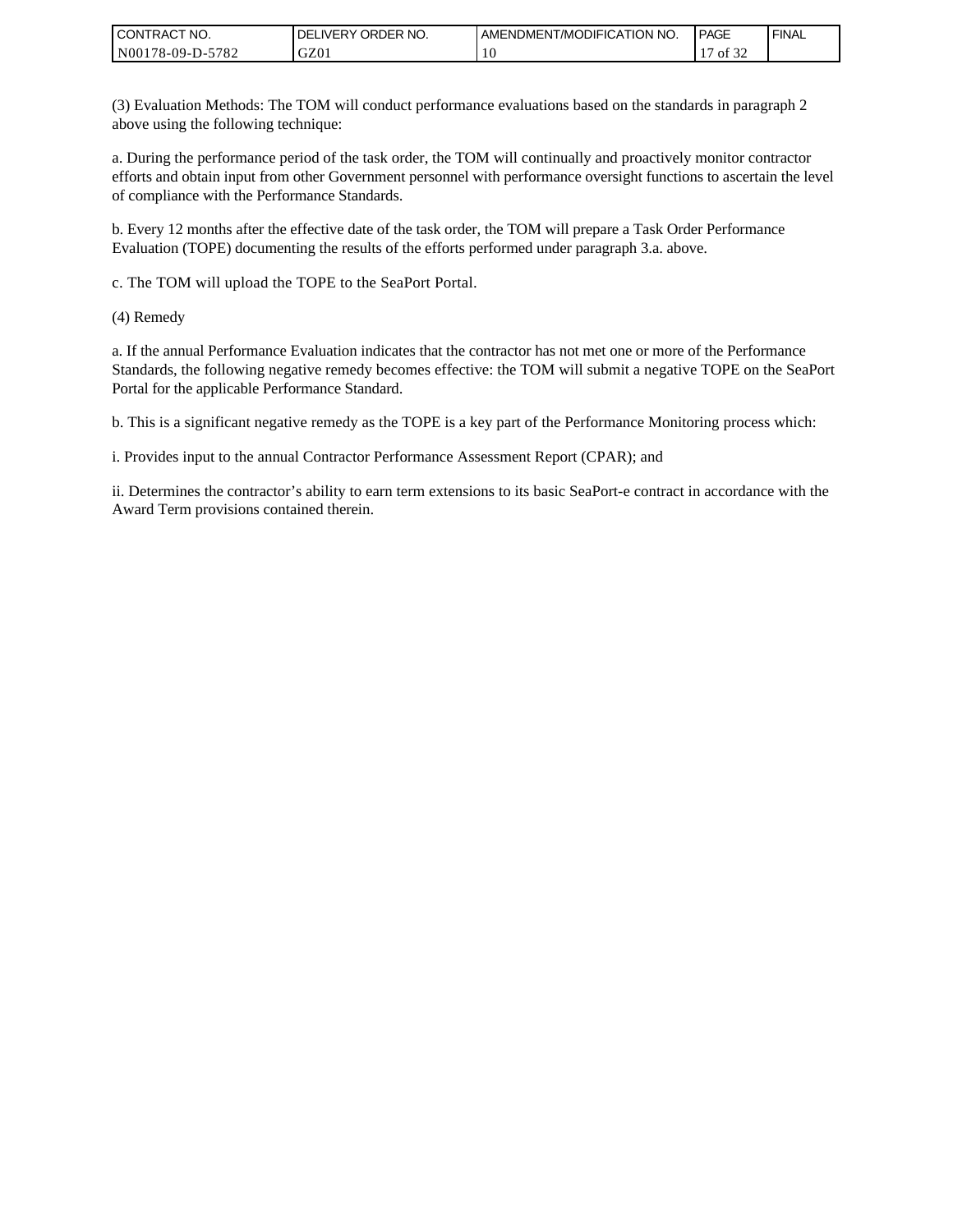| I CONTRACT NO.   | ORDER NO.<br><b>DELIVERY</b> | AMENDMENT/MODIFICATION NO. | <b>PAGE</b> | ' FINAL |
|------------------|------------------------------|----------------------------|-------------|---------|
| N00178-09-D-5782 | GZ0 <sub>1</sub>             | 10                         | 0.25<br>ΟĪ  |         |

(3) Evaluation Methods: The TOM will conduct performance evaluations based on the standards in paragraph 2 above using the following technique:

a. During the performance period of the task order, the TOM will continually and proactively monitor contractor efforts and obtain input from other Government personnel with performance oversight functions to ascertain the level of compliance with the Performance Standards.

b. Every 12 months after the effective date of the task order, the TOM will prepare a Task Order Performance Evaluation (TOPE) documenting the results of the efforts performed under paragraph 3.a. above.

c. The TOM will upload the TOPE to the SeaPort Portal.

(4) Remedy

a. If the annual Performance Evaluation indicates that the contractor has not met one or more of the Performance Standards, the following negative remedy becomes effective: the TOM will submit a negative TOPE on the SeaPort Portal for the applicable Performance Standard.

b. This is a significant negative remedy as the TOPE is a key part of the Performance Monitoring process which:

i. Provides input to the annual Contractor Performance Assessment Report (CPAR); and

ii. Determines the contractor's ability to earn term extensions to its basic SeaPort-e contract in accordance with the Award Term provisions contained therein.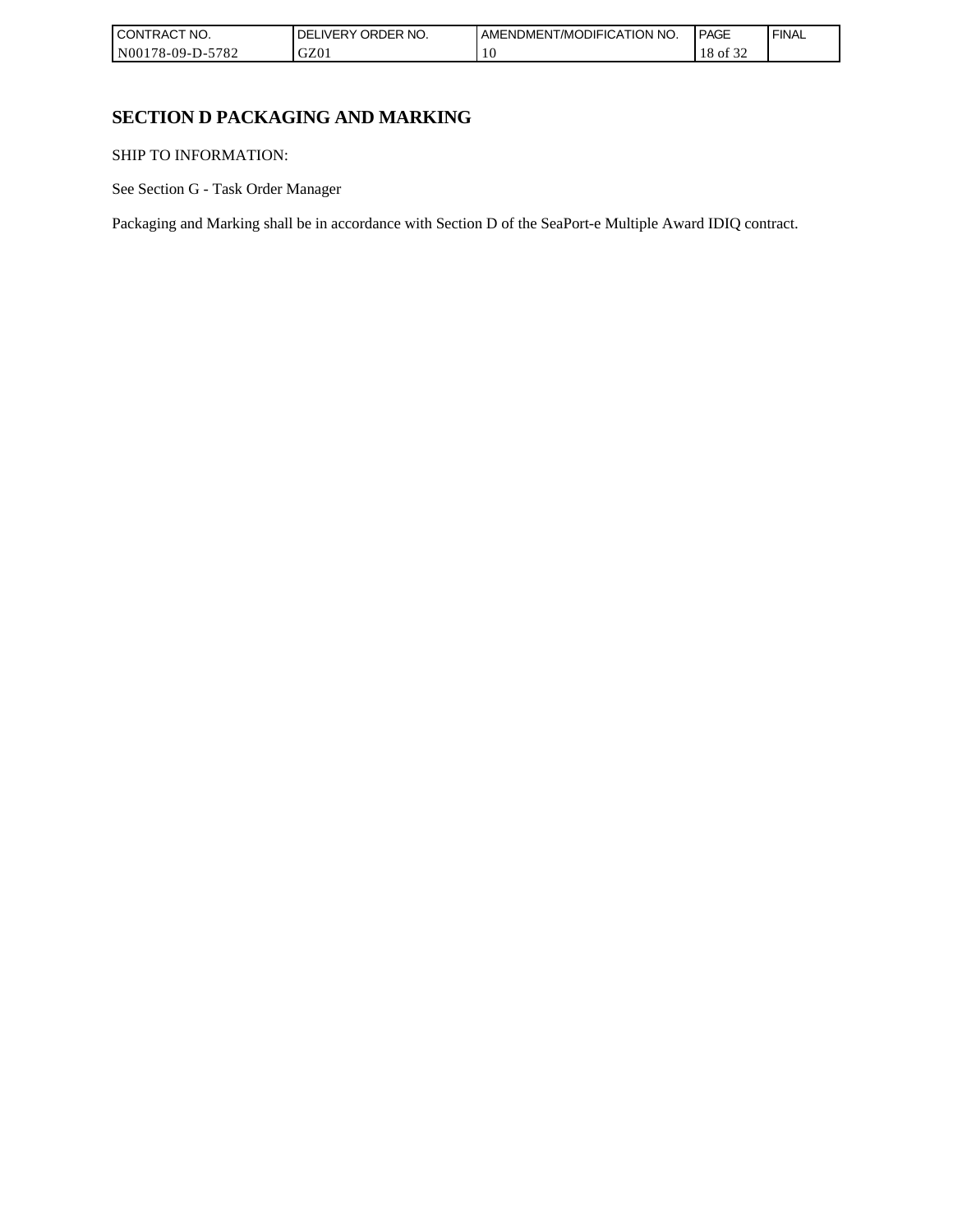| 'NO.<br><b>CONTRACT</b>                      | ORDER NO.<br>DE<br><b>IVERY</b> | AMENDMENT/MODIFICATION NO. | <b>PAGE</b>           | <b>FINAL</b> |
|----------------------------------------------|---------------------------------|----------------------------|-----------------------|--------------|
| 5700<br>N00178-09-L<br>D-:<br>$'$ O $\angle$ | GZ01                            |                            | $\sim$<br>` OI<br>-24 |              |

# **SECTION D PACKAGING AND MARKING**

SHIP TO INFORMATION:

See Section G - Task Order Manager

Packaging and Marking shall be in accordance with Section D of the SeaPort-e Multiple Award IDIQ contract.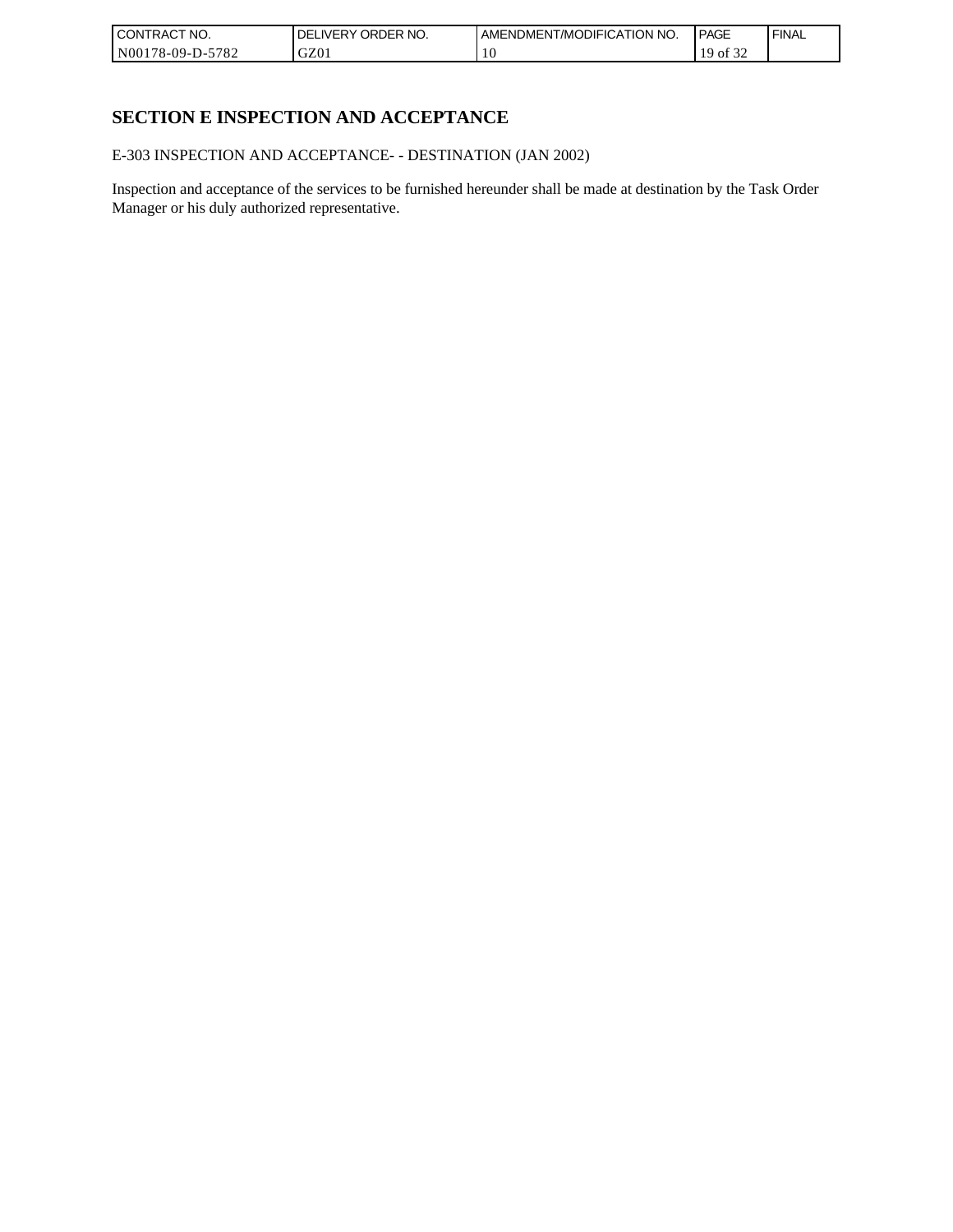| I CONTRACT NO.   | ORDER NO.<br><b>DELIVERY</b> | AMENDMENT/MODIFICATION NO. | <b>PAGE</b>       | ' FINAL |
|------------------|------------------------------|----------------------------|-------------------|---------|
| N00178-09-D-5782 | GZ0 <sub>1</sub>             | 10                         | 0.25<br>1 Q<br>0Ī |         |

# **SECTION E INSPECTION AND ACCEPTANCE**

E-303 INSPECTION AND ACCEPTANCE- - DESTINATION (JAN 2002)

Inspection and acceptance of the services to be furnished hereunder shall be made at destination by the Task Order Manager or his duly authorized representative.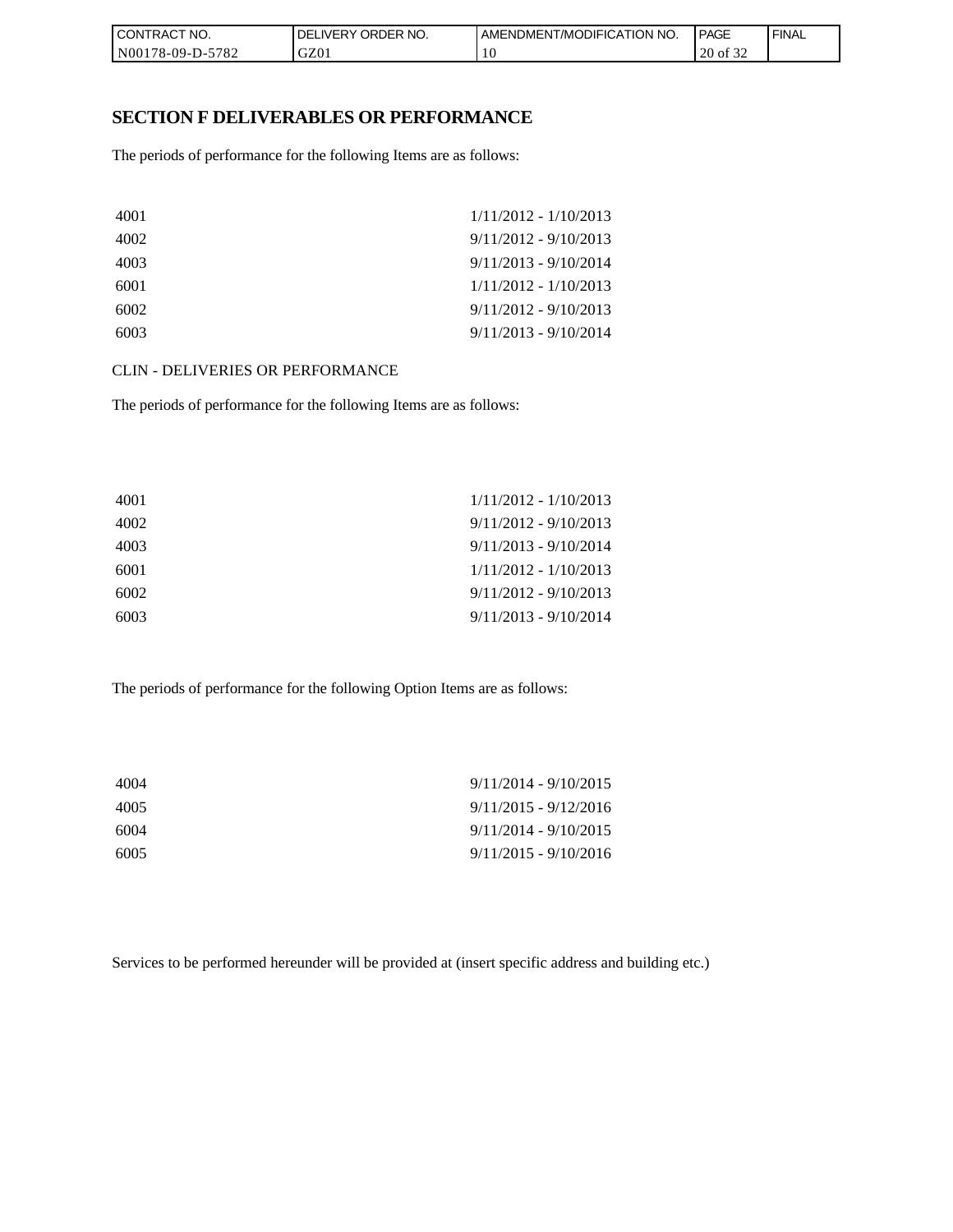| CONTRACT NO.               | ORDER<br>NO.<br><b>DELIVERY</b> | AMENDMENT/MODIFICATION NO. | PAGE                                      | <b>FINAL</b> |
|----------------------------|---------------------------------|----------------------------|-------------------------------------------|--------------|
| $-5782$<br>  N00178-09-D-5 | GZ01                            | 1 U                        | $\sim$ $\sim$ $\sim$<br>20<br>' of<br>ے ر |              |

### **SECTION F DELIVERABLES OR PERFORMANCE**

The periods of performance for the following Items are as follows:

| 4001 | $1/11/2012 - 1/10/2013$ |
|------|-------------------------|
| 4002 | $9/11/2012 - 9/10/2013$ |
| 4003 | $9/11/2013 - 9/10/2014$ |
| 6001 | $1/11/2012 - 1/10/2013$ |
| 6002 | $9/11/2012 - 9/10/2013$ |
| 6003 | $9/11/2013 - 9/10/2014$ |

CLIN - DELIVERIES OR PERFORMANCE

The periods of performance for the following Items are as follows:

| 4001 | $1/11/2012 - 1/10/2013$ |
|------|-------------------------|
| 4002 | $9/11/2012 - 9/10/2013$ |
| 4003 | $9/11/2013 - 9/10/2014$ |
| 6001 | $1/11/2012 - 1/10/2013$ |
| 6002 | $9/11/2012 - 9/10/2013$ |
| 6003 | $9/11/2013 - 9/10/2014$ |

The periods of performance for the following Option Items are as follows:

| 4004 | $9/11/2014 - 9/10/2015$ |
|------|-------------------------|
| 4005 | $9/11/2015 - 9/12/2016$ |
| 6004 | $9/11/2014 - 9/10/2015$ |
| 6005 | $9/11/2015 - 9/10/2016$ |

Services to be performed hereunder will be provided at (insert specific address and building etc.)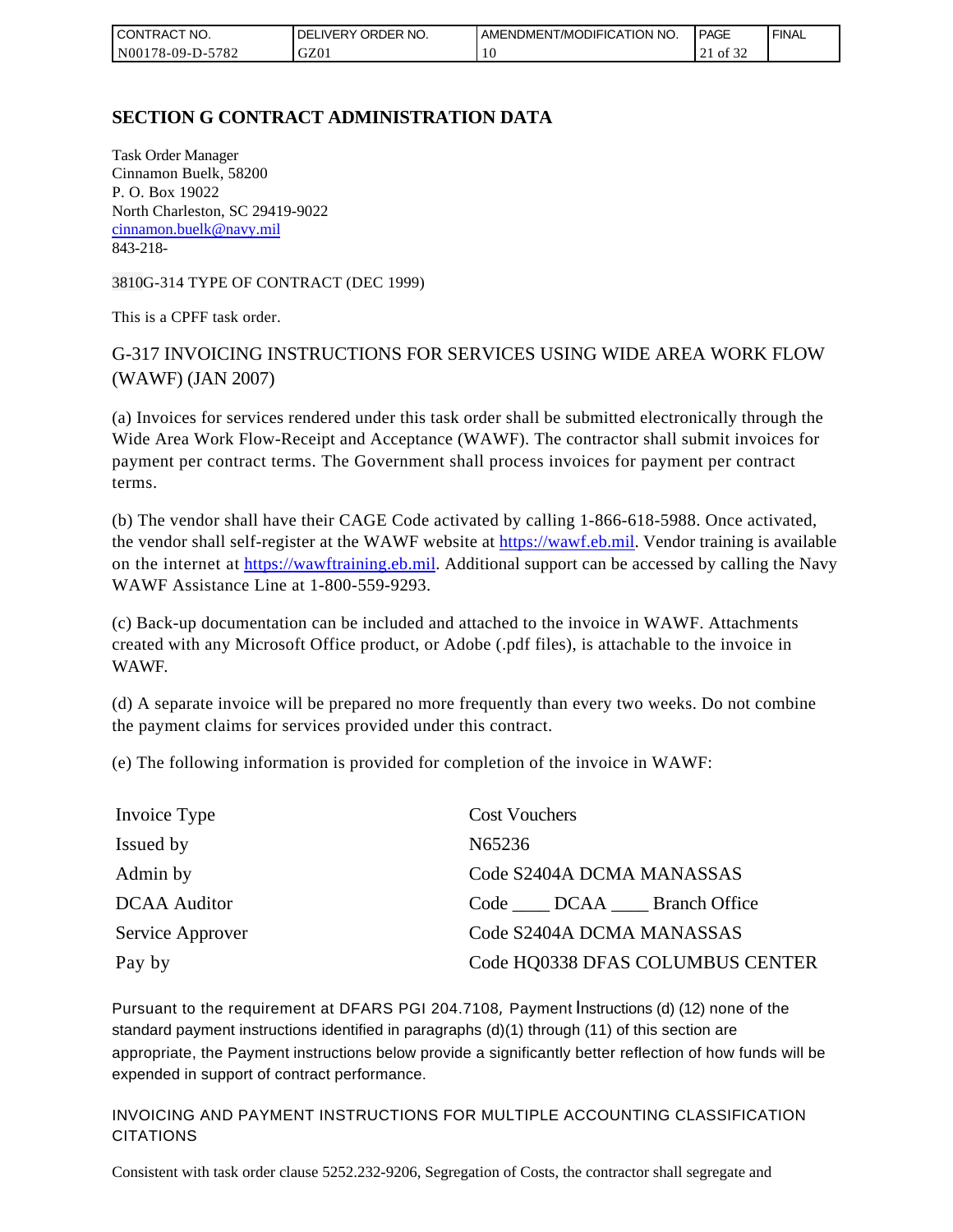| l CON<br>TRACT NO.                     | ORDER NO.<br><b>IVERY</b><br>DELI | AMENDMENT/MODIFICATION NO. | <b>PAGE</b> | ' FINAL |
|----------------------------------------|-----------------------------------|----------------------------|-------------|---------|
| 5782<br>N001<br>*78-09-D- <sub>~</sub> | GZ0 <sub>1</sub>                  | 10                         | ΟĪ<br>∠⊥    |         |

## **SECTION G CONTRACT ADMINISTRATION DATA**

Task Order Manager Cinnamon Buelk, 58200 P. O. Box 19022 North Charleston, SC 29419-9022 [cinnamon.buelk@navy.mil](mailto:cinnamon.buelk@navy.mil) 843-218-

3810G-314 TYPE OF CONTRACT (DEC 1999)

This is a CPFF task order.

# G-317 INVOICING INSTRUCTIONS FOR SERVICES USING WIDE AREA WORK FLOW (WAWF) (JAN 2007)

(a) Invoices for services rendered under this task order shall be submitted electronically through the Wide Area Work Flow-Receipt and Acceptance (WAWF). The contractor shall submit invoices for payment per contract terms. The Government shall process invoices for payment per contract terms.

(b) The vendor shall have their CAGE Code activated by calling 1-866-618-5988. Once activated, the vendor shall self-register at the WAWF website at [https://wawf.eb.mil.](https://wawf.eb.mil/) Vendor training is available on the internet at [https://wawftraining.eb.mil.](https://wawftraining.eb.mil/) Additional support can be accessed by calling the Navy WAWF Assistance Line at 1-800-559-9293.

(c) Back-up documentation can be included and attached to the invoice in WAWF. Attachments created with any Microsoft Office product, or Adobe (.pdf files), is attachable to the invoice in WAWF.

(d) A separate invoice will be prepared no more frequently than every two weeks. Do not combine the payment claims for services provided under this contract.

(e) The following information is provided for completion of the invoice in WAWF:

| Invoice Type        | <b>Cost Vouchers</b>             |
|---------------------|----------------------------------|
| Issued by           | N65236                           |
| Admin by            | Code S2404A DCMA MANASSAS        |
| <b>DCAA</b> Auditor | Code DCAA Branch Office          |
| Service Approver    | Code S2404A DCMA MANASSAS        |
| Pay by              | Code HQ0338 DFAS COLUMBUS CENTER |

Pursuant to the requirement at DFARS PGI 204.7108, Payment Instructions (d) (12) none of the standard payment instructions identified in paragraphs (d)(1) through (11) of this section are appropriate, the Payment instructions below provide a significantly better reflection of how funds will be expended in support of contract performance.

INVOICING AND PAYMENT INSTRUCTIONS FOR MULTIPLE ACCOUNTING CLASSIFICATION CITATIONS

Consistent with task order clause 5252.232-9206, Segregation of Costs, the contractor shall segregate and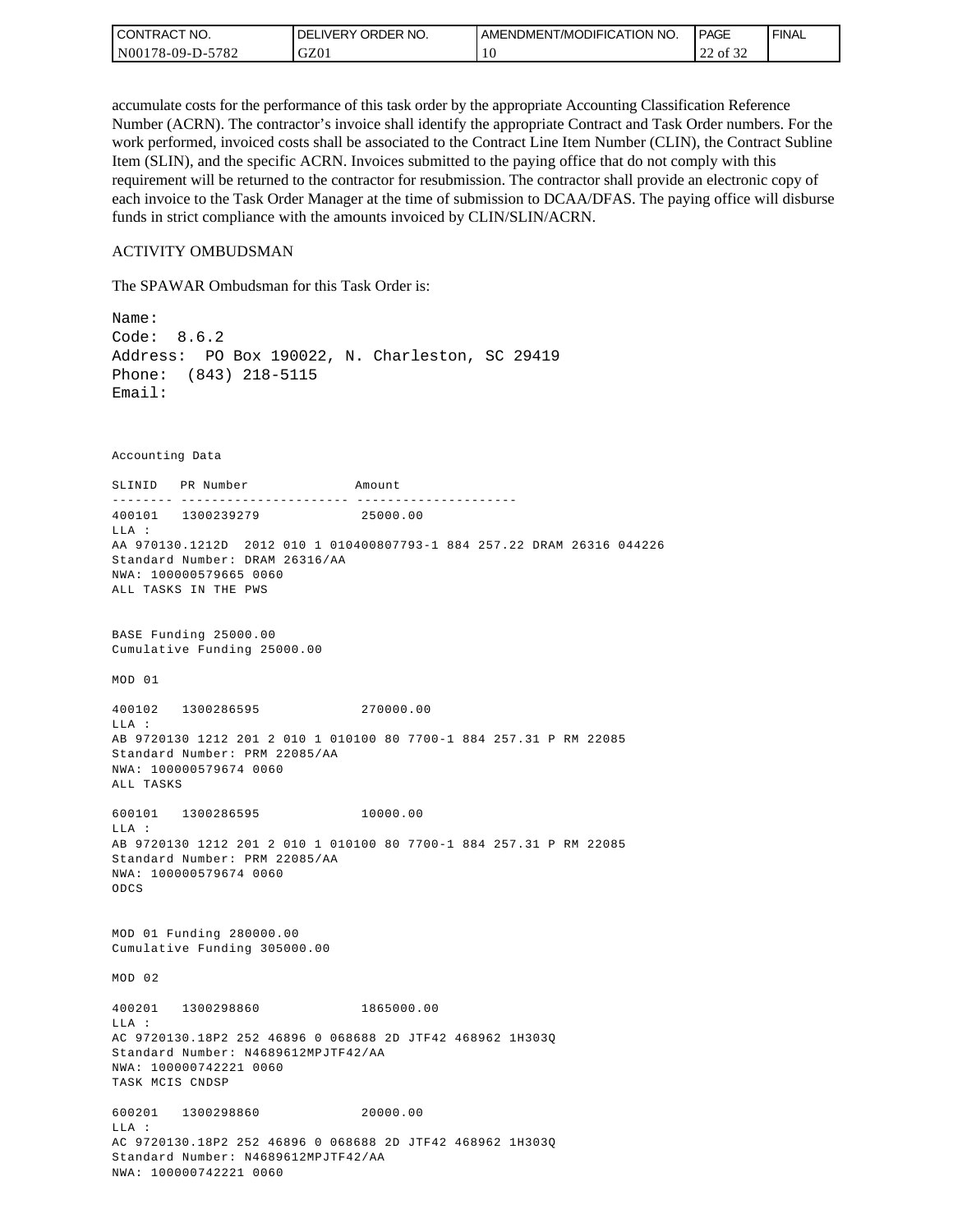| CONTRACT NO.               | ORDER NO.<br>DEI<br>_IVERY | I AMENDMENT/MODIFICATION NO. | <b>PAGE</b>                         | ' FINAL |
|----------------------------|----------------------------|------------------------------|-------------------------------------|---------|
| $-5782$<br>  N00178-09-D-5 | GZ01                       | 0                            | $\sim$ $\sim$<br>$\sim$<br>22 of 32 |         |

accumulate costs for the performance of this task order by the appropriate Accounting Classification Reference Number (ACRN). The contractor's invoice shall identify the appropriate Contract and Task Order numbers. For the work performed, invoiced costs shall be associated to the Contract Line Item Number (CLIN), the Contract Subline Item (SLIN), and the specific ACRN. Invoices submitted to the paying office that do not comply with this requirement will be returned to the contractor for resubmission. The contractor shall provide an electronic copy of each invoice to the Task Order Manager at the time of submission to DCAA/DFAS. The paying office will disburse funds in strict compliance with the amounts invoiced by CLIN/SLIN/ACRN.

#### ACTIVITY OMBUDSMAN

The SPAWAR Ombudsman for this Task Order is:

Name: Code: 8.6.2 Address: PO Box 190022, N. Charleston, SC 29419 Phone: (843) 218-5115 Email: Accounting Data SLINID PR Number Amount -------- ---------------------- ---------------------400101 1300239279 25000.00 LLA : AA 970130.1212D 2012 010 1 010400807793-1 884 257.22 DRAM 26316 044226 Standard Number: DRAM 26316/AA NWA: 100000579665 0060 ALL TASKS IN THE PWS BASE Funding 25000.00 Cumulative Funding 25000.00 MOD 01 400102 1300286595 270000.00  $T.T.A$  : AB 9720130 1212 201 2 010 1 010100 80 7700-1 884 257.31 P RM 22085 Standard Number: PRM 22085/AA NWA: 100000579674 0060 ALL TASKS 600101 1300286595 10000.00 LLA : AB 9720130 1212 201 2 010 1 010100 80 7700-1 884 257.31 P RM 22085 Standard Number: PRM 22085/AA NWA: 100000579674 0060 ODCS MOD 01 Funding 280000.00 Cumulative Funding 305000.00 MOD 02 400201 1300298860 1865000.00 LLA : AC 9720130.18P2 252 46896 0 068688 2D JTF42 468962 1H303Q Standard Number: N4689612MPJTF42/AA NWA: 100000742221 0060 TASK MCIS CNDSP 600201 1300298860 20000.00 LLA : AC 9720130.18P2 252 46896 0 068688 2D JTF42 468962 1H303Q Standard Number: N4689612MPJTF42/AA NWA: 100000742221 0060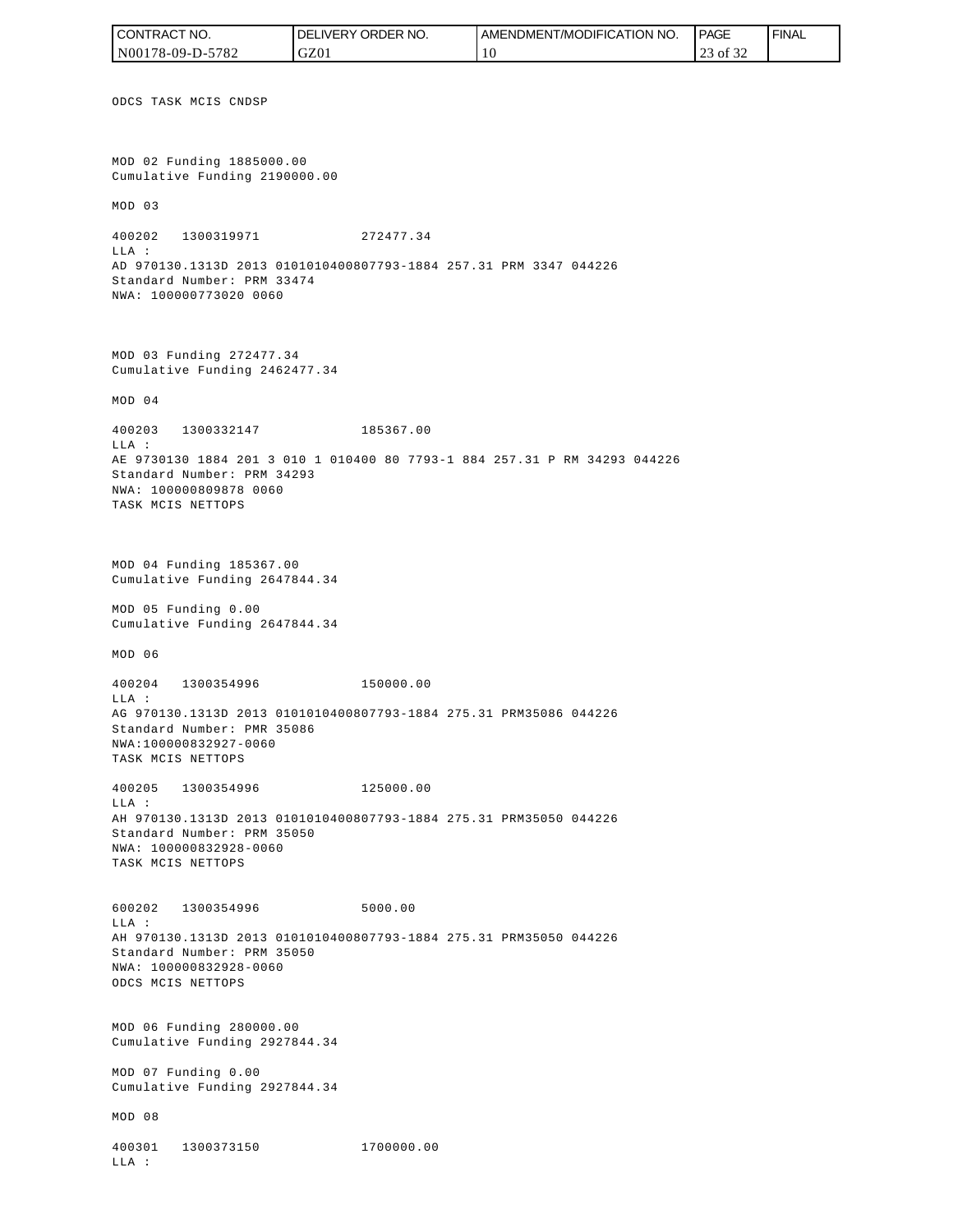ODCS TASK MCIS CNDSP MOD 02 Funding 1885000.00 Cumulative Funding 2190000.00 MOD 03 400202 1300319971 272477.34 LLA : AD 970130.1313D 2013 0101010400807793-1884 257.31 PRM 3347 044226 Standard Number: PRM 33474 NWA: 100000773020 0060 MOD 03 Funding 272477.34 Cumulative Funding 2462477.34 MOD 04 400203 1300332147 185367.00  $T.T.A$  : AE 9730130 1884 201 3 010 1 010400 80 7793-1 884 257.31 P RM 34293 044226 Standard Number: PRM 34293 NWA: 100000809878 0060 TASK MCIS NETTOPS MOD 04 Funding 185367.00 Cumulative Funding 2647844.34 MOD 05 Funding 0.00 Cumulative Funding 2647844.34 MOD 06 400204 1300354996 150000.00 LLA : AG 970130.1313D 2013 0101010400807793-1884 275.31 PRM35086 044226 Standard Number: PMR 35086 NWA:100000832927-0060 TASK MCIS NETTOPS 400205 1300354996 125000.00 LLA : AH 970130.1313D 2013 0101010400807793-1884 275.31 PRM35050 044226 Standard Number: PRM 35050 NWA: 100000832928-0060 TASK MCIS NETTOPS 600202 1300354996 5000.00 LLA : AH 970130.1313D 2013 0101010400807793-1884 275.31 PRM35050 044226 Standard Number: PRM 35050 NWA: 100000832928-0060 ODCS MCIS NETTOPS MOD 06 Funding 280000.00 Cumulative Funding 2927844.34 MOD 07 Funding 0.00 Cumulative Funding 2927844.34 MOD 08 400301 1300373150 1700000.00 LLA : CONTRACT NO. N00178-09-D-5782 DELIVERY ORDER NO. GZ01 AMENDMENT/MODIFICATION NO. 10 **PAGE**  23 of 32 FINAL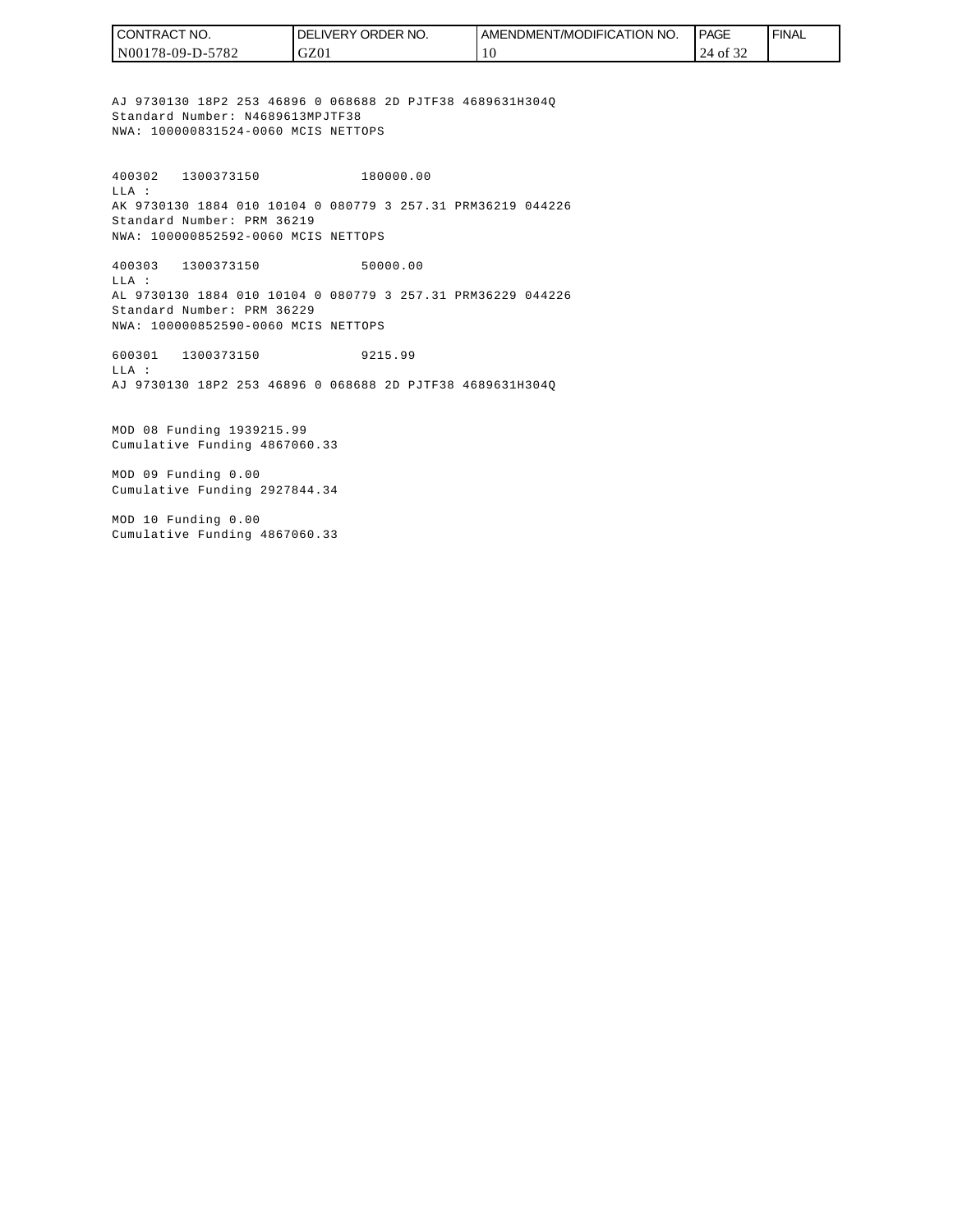| I CONTRACT NO.   | <b>I DELIVERY ORDER NO.</b> | I AMENDMENT/MODIFICATION NO. | <b>PAGE</b> | <b>FINAL</b> |
|------------------|-----------------------------|------------------------------|-------------|--------------|
| N00178-09-D-5782 | GZ01                        | 1 U                          | of 32       |              |

AJ 9730130 18P2 253 46896 0 068688 2D PJTF38 4689631H304Q Standard Number: N4689613MPJTF38 NWA: 100000831524-0060 MCIS NETTOPS

400302 1300373150 180000.00 LLA : AK 9730130 1884 010 10104 0 080779 3 257.31 PRM36219 044226 Standard Number: PRM 36219 NWA: 100000852592-0060 MCIS NETTOPS

400303 1300373150 50000.00 LLA : AL 9730130 1884 010 10104 0 080779 3 257.31 PRM36229 044226 Standard Number: PRM 36229 NWA: 100000852590-0060 MCIS NETTOPS

600301 1300373150 9215.99 LLA : AJ 9730130 18P2 253 46896 0 068688 2D PJTF38 4689631H304Q

MOD 08 Funding 1939215.99 Cumulative Funding 4867060.33

MOD 09 Funding 0.00 Cumulative Funding 2927844.34

MOD 10 Funding 0.00 Cumulative Funding 4867060.33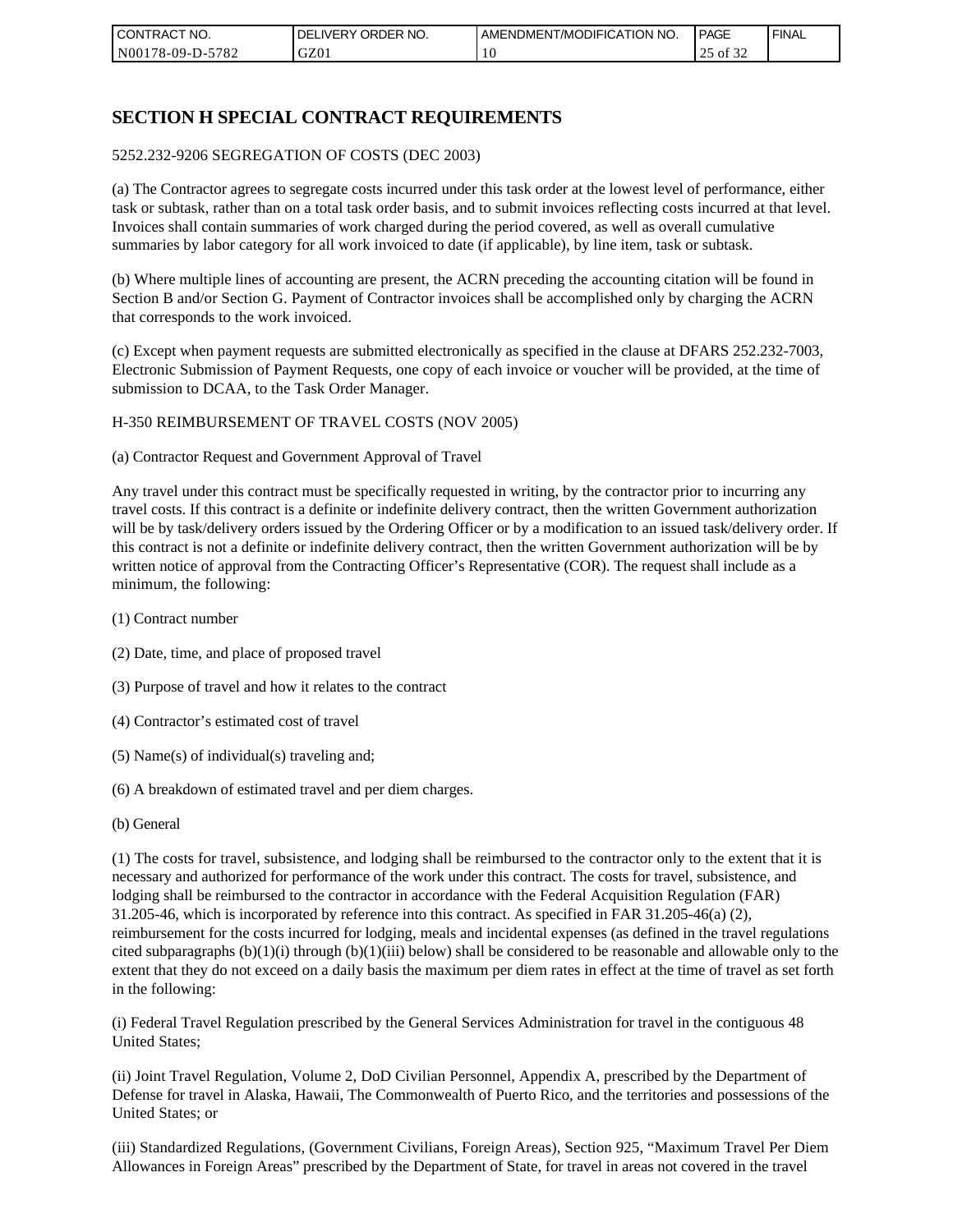| CONTRACT NO.            | ORDER NO.<br><b>DELIVERY</b> | AMENDMENT/MODIFICATION NO. | <b>PAGE</b>    | ' FINAL |
|-------------------------|------------------------------|----------------------------|----------------|---------|
| 5782<br>  N00178-09-D-5 | GZ01                         | 10                         | ΟĪ<br>ے ر<br>ت |         |

# **SECTION H SPECIAL CONTRACT REQUIREMENTS**

#### 5252.232-9206 SEGREGATION OF COSTS (DEC 2003)

(a) The Contractor agrees to segregate costs incurred under this task order at the lowest level of performance, either task or subtask, rather than on a total task order basis, and to submit invoices reflecting costs incurred at that level. Invoices shall contain summaries of work charged during the period covered, as well as overall cumulative summaries by labor category for all work invoiced to date (if applicable), by line item, task or subtask.

(b) Where multiple lines of accounting are present, the ACRN preceding the accounting citation will be found in Section B and/or Section G. Payment of Contractor invoices shall be accomplished only by charging the ACRN that corresponds to the work invoiced.

(c) Except when payment requests are submitted electronically as specified in the clause at DFARS 252.232-7003, Electronic Submission of Payment Requests, one copy of each invoice or voucher will be provided, at the time of submission to DCAA, to the Task Order Manager.

#### H-350 REIMBURSEMENT OF TRAVEL COSTS (NOV 2005)

(a) Contractor Request and Government Approval of Travel

Any travel under this contract must be specifically requested in writing, by the contractor prior to incurring any travel costs. If this contract is a definite or indefinite delivery contract, then the written Government authorization will be by task/delivery orders issued by the Ordering Officer or by a modification to an issued task/delivery order. If this contract is not a definite or indefinite delivery contract, then the written Government authorization will be by written notice of approval from the Contracting Officer's Representative (COR). The request shall include as a minimum, the following:

- (1) Contract number
- (2) Date, time, and place of proposed travel
- (3) Purpose of travel and how it relates to the contract
- (4) Contractor's estimated cost of travel
- (5) Name(s) of individual(s) traveling and;
- (6) A breakdown of estimated travel and per diem charges.
- (b) General

(1) The costs for travel, subsistence, and lodging shall be reimbursed to the contractor only to the extent that it is necessary and authorized for performance of the work under this contract. The costs for travel, subsistence, and lodging shall be reimbursed to the contractor in accordance with the Federal Acquisition Regulation (FAR) 31.205-46, which is incorporated by reference into this contract. As specified in FAR 31.205-46(a) (2), reimbursement for the costs incurred for lodging, meals and incidental expenses (as defined in the travel regulations cited subparagraphs  $(b)(1)(i)$  through  $(b)(1)(iii)$  below) shall be considered to be reasonable and allowable only to the extent that they do not exceed on a daily basis the maximum per diem rates in effect at the time of travel as set forth in the following:

(i) Federal Travel Regulation prescribed by the General Services Administration for travel in the contiguous 48 United States;

(ii) Joint Travel Regulation, Volume 2, DoD Civilian Personnel, Appendix A, prescribed by the Department of Defense for travel in Alaska, Hawaii, The Commonwealth of Puerto Rico, and the territories and possessions of the United States; or

(iii) Standardized Regulations, (Government Civilians, Foreign Areas), Section 925, "Maximum Travel Per Diem Allowances in Foreign Areas" prescribed by the Department of State, for travel in areas not covered in the travel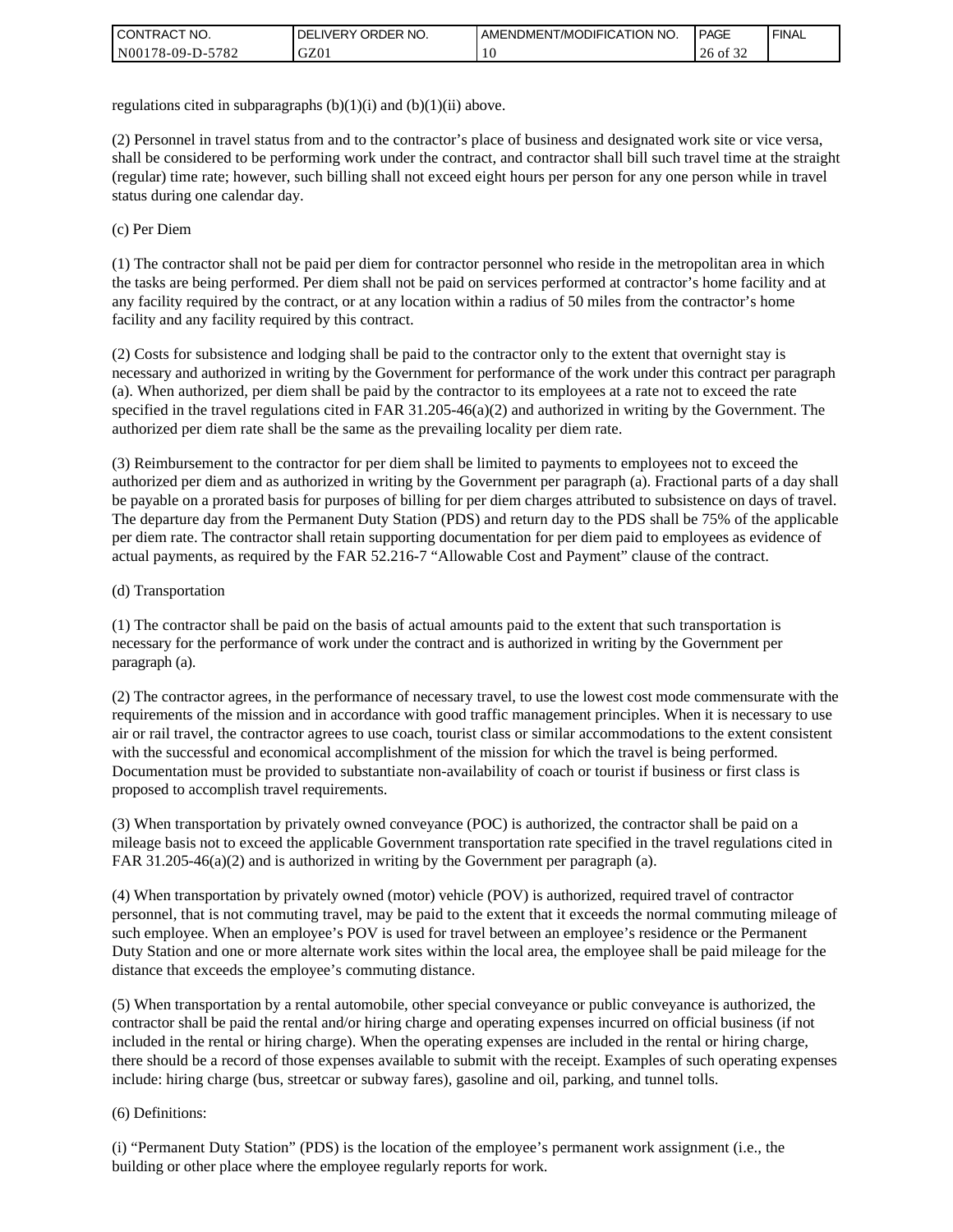| I CONTRACT NO.           | ' ORDER NO.<br><b>DELIVERY</b> | AMENDMENT/MODIFICATION NO. | <b>PAGE</b>         | ' FINAL |
|--------------------------|--------------------------------|----------------------------|---------------------|---------|
| N00178-09-D-5<br>$-5782$ | GZ01                           | ۰G                         | 26<br>$\cdot$ of 3. |         |

regulations cited in subparagraphs  $(b)(1)(i)$  and  $(b)(1)(ii)$  above.

(2) Personnel in travel status from and to the contractor's place of business and designated work site or vice versa, shall be considered to be performing work under the contract, and contractor shall bill such travel time at the straight (regular) time rate; however, such billing shall not exceed eight hours per person for any one person while in travel status during one calendar day.

(c) Per Diem

(1) The contractor shall not be paid per diem for contractor personnel who reside in the metropolitan area in which the tasks are being performed. Per diem shall not be paid on services performed at contractor's home facility and at any facility required by the contract, or at any location within a radius of 50 miles from the contractor's home facility and any facility required by this contract.

(2) Costs for subsistence and lodging shall be paid to the contractor only to the extent that overnight stay is necessary and authorized in writing by the Government for performance of the work under this contract per paragraph (a). When authorized, per diem shall be paid by the contractor to its employees at a rate not to exceed the rate specified in the travel regulations cited in FAR 31.205-46(a)(2) and authorized in writing by the Government. The authorized per diem rate shall be the same as the prevailing locality per diem rate.

(3) Reimbursement to the contractor for per diem shall be limited to payments to employees not to exceed the authorized per diem and as authorized in writing by the Government per paragraph (a). Fractional parts of a day shall be payable on a prorated basis for purposes of billing for per diem charges attributed to subsistence on days of travel. The departure day from the Permanent Duty Station (PDS) and return day to the PDS shall be 75% of the applicable per diem rate. The contractor shall retain supporting documentation for per diem paid to employees as evidence of actual payments, as required by the FAR 52.216-7 "Allowable Cost and Payment" clause of the contract.

#### (d) Transportation

(1) The contractor shall be paid on the basis of actual amounts paid to the extent that such transportation is necessary for the performance of work under the contract and is authorized in writing by the Government per paragraph (a).

(2) The contractor agrees, in the performance of necessary travel, to use the lowest cost mode commensurate with the requirements of the mission and in accordance with good traffic management principles. When it is necessary to use air or rail travel, the contractor agrees to use coach, tourist class or similar accommodations to the extent consistent with the successful and economical accomplishment of the mission for which the travel is being performed. Documentation must be provided to substantiate non-availability of coach or tourist if business or first class is proposed to accomplish travel requirements.

(3) When transportation by privately owned conveyance (POC) is authorized, the contractor shall be paid on a mileage basis not to exceed the applicable Government transportation rate specified in the travel regulations cited in FAR 31.205-46(a)(2) and is authorized in writing by the Government per paragraph (a).

(4) When transportation by privately owned (motor) vehicle (POV) is authorized, required travel of contractor personnel, that is not commuting travel, may be paid to the extent that it exceeds the normal commuting mileage of such employee. When an employee's POV is used for travel between an employee's residence or the Permanent Duty Station and one or more alternate work sites within the local area, the employee shall be paid mileage for the distance that exceeds the employee's commuting distance.

(5) When transportation by a rental automobile, other special conveyance or public conveyance is authorized, the contractor shall be paid the rental and/or hiring charge and operating expenses incurred on official business (if not included in the rental or hiring charge). When the operating expenses are included in the rental or hiring charge, there should be a record of those expenses available to submit with the receipt. Examples of such operating expenses include: hiring charge (bus, streetcar or subway fares), gasoline and oil, parking, and tunnel tolls.

#### (6) Definitions:

(i) "Permanent Duty Station" (PDS) is the location of the employee's permanent work assignment (i.e., the building or other place where the employee regularly reports for work.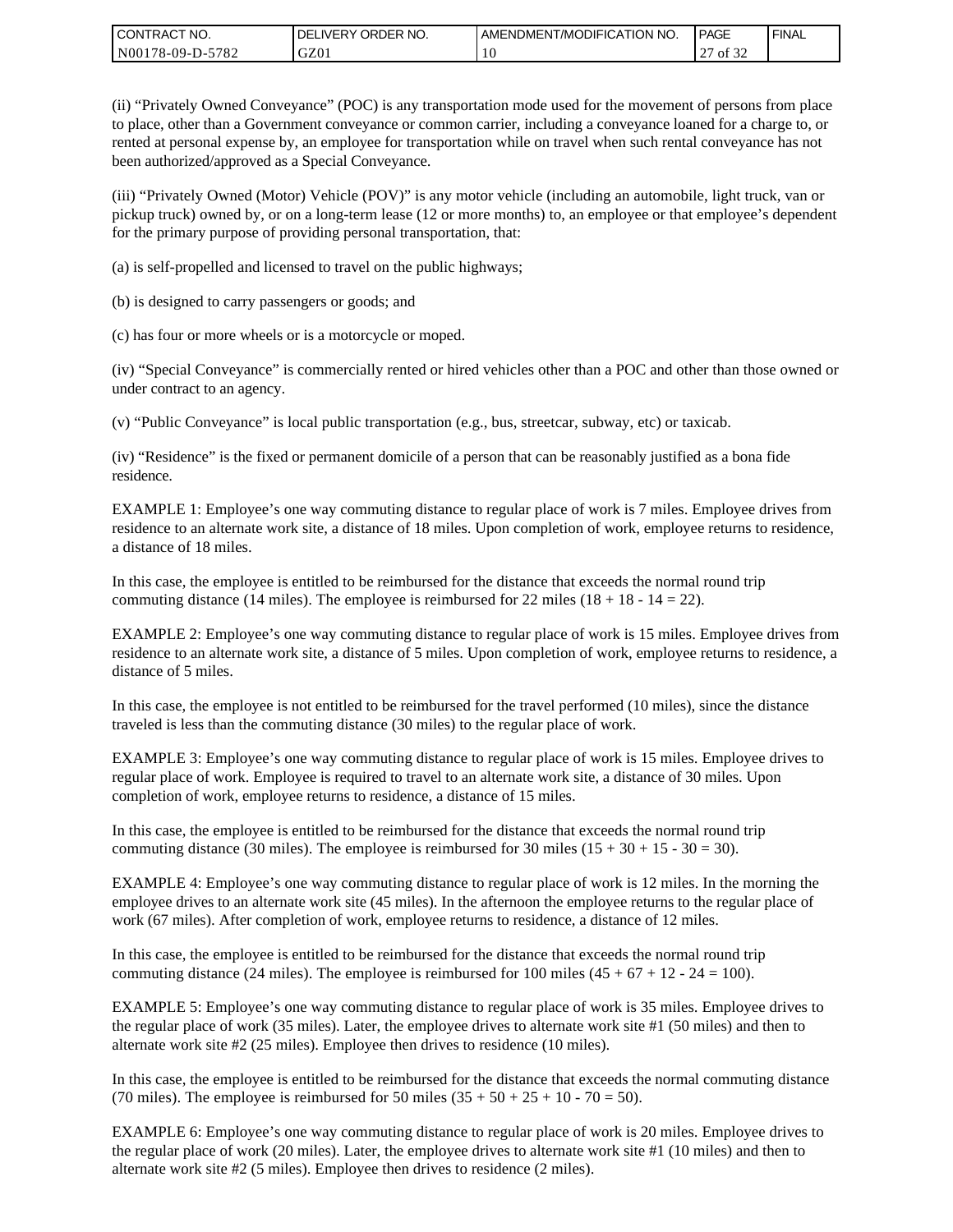| I CONTRACT NO.   | ' ORDER NO.<br><b>DELIVERY</b> | I AMENDMENT/MODIFICATION NO. | PAGE         | ' FINAL |
|------------------|--------------------------------|------------------------------|--------------|---------|
| N00178-09-D-5782 | GZ01                           | 0                            | of 32<br>ا ت |         |

(ii) "Privately Owned Conveyance" (POC) is any transportation mode used for the movement of persons from place to place, other than a Government conveyance or common carrier, including a conveyance loaned for a charge to, or rented at personal expense by, an employee for transportation while on travel when such rental conveyance has not been authorized/approved as a Special Conveyance.

(iii) "Privately Owned (Motor) Vehicle (POV)" is any motor vehicle (including an automobile, light truck, van or pickup truck) owned by, or on a long-term lease (12 or more months) to, an employee or that employee's dependent for the primary purpose of providing personal transportation, that:

(a) is self-propelled and licensed to travel on the public highways;

(b) is designed to carry passengers or goods; and

(c) has four or more wheels or is a motorcycle or moped.

(iv) "Special Conveyance" is commercially rented or hired vehicles other than a POC and other than those owned or under contract to an agency.

(v) "Public Conveyance" is local public transportation (e.g., bus, streetcar, subway, etc) or taxicab.

(iv) "Residence" is the fixed or permanent domicile of a person that can be reasonably justified as a bona fide residence.

EXAMPLE 1: Employee's one way commuting distance to regular place of work is 7 miles. Employee drives from residence to an alternate work site, a distance of 18 miles. Upon completion of work, employee returns to residence, a distance of 18 miles.

In this case, the employee is entitled to be reimbursed for the distance that exceeds the normal round trip commuting distance (14 miles). The employee is reimbursed for 22 miles (18 + 18 - 14 = 22).

EXAMPLE 2: Employee's one way commuting distance to regular place of work is 15 miles. Employee drives from residence to an alternate work site, a distance of 5 miles. Upon completion of work, employee returns to residence, a distance of 5 miles.

In this case, the employee is not entitled to be reimbursed for the travel performed (10 miles), since the distance traveled is less than the commuting distance (30 miles) to the regular place of work.

EXAMPLE 3: Employee's one way commuting distance to regular place of work is 15 miles. Employee drives to regular place of work. Employee is required to travel to an alternate work site, a distance of 30 miles. Upon completion of work, employee returns to residence, a distance of 15 miles.

In this case, the employee is entitled to be reimbursed for the distance that exceeds the normal round trip commuting distance (30 miles). The employee is reimbursed for 30 miles  $(15 + 30 + 15 - 30 = 30)$ .

EXAMPLE 4: Employee's one way commuting distance to regular place of work is 12 miles. In the morning the employee drives to an alternate work site (45 miles). In the afternoon the employee returns to the regular place of work (67 miles). After completion of work, employee returns to residence, a distance of 12 miles.

In this case, the employee is entitled to be reimbursed for the distance that exceeds the normal round trip commuting distance (24 miles). The employee is reimbursed for 100 miles  $(45 + 67 + 12 - 24 = 100)$ .

EXAMPLE 5: Employee's one way commuting distance to regular place of work is 35 miles. Employee drives to the regular place of work (35 miles). Later, the employee drives to alternate work site #1 (50 miles) and then to alternate work site #2 (25 miles). Employee then drives to residence (10 miles).

In this case, the employee is entitled to be reimbursed for the distance that exceeds the normal commuting distance (70 miles). The employee is reimbursed for 50 miles  $(35 + 50 + 25 + 10 - 70 = 50)$ .

EXAMPLE 6: Employee's one way commuting distance to regular place of work is 20 miles. Employee drives to the regular place of work (20 miles). Later, the employee drives to alternate work site #1 (10 miles) and then to alternate work site #2 (5 miles). Employee then drives to residence (2 miles).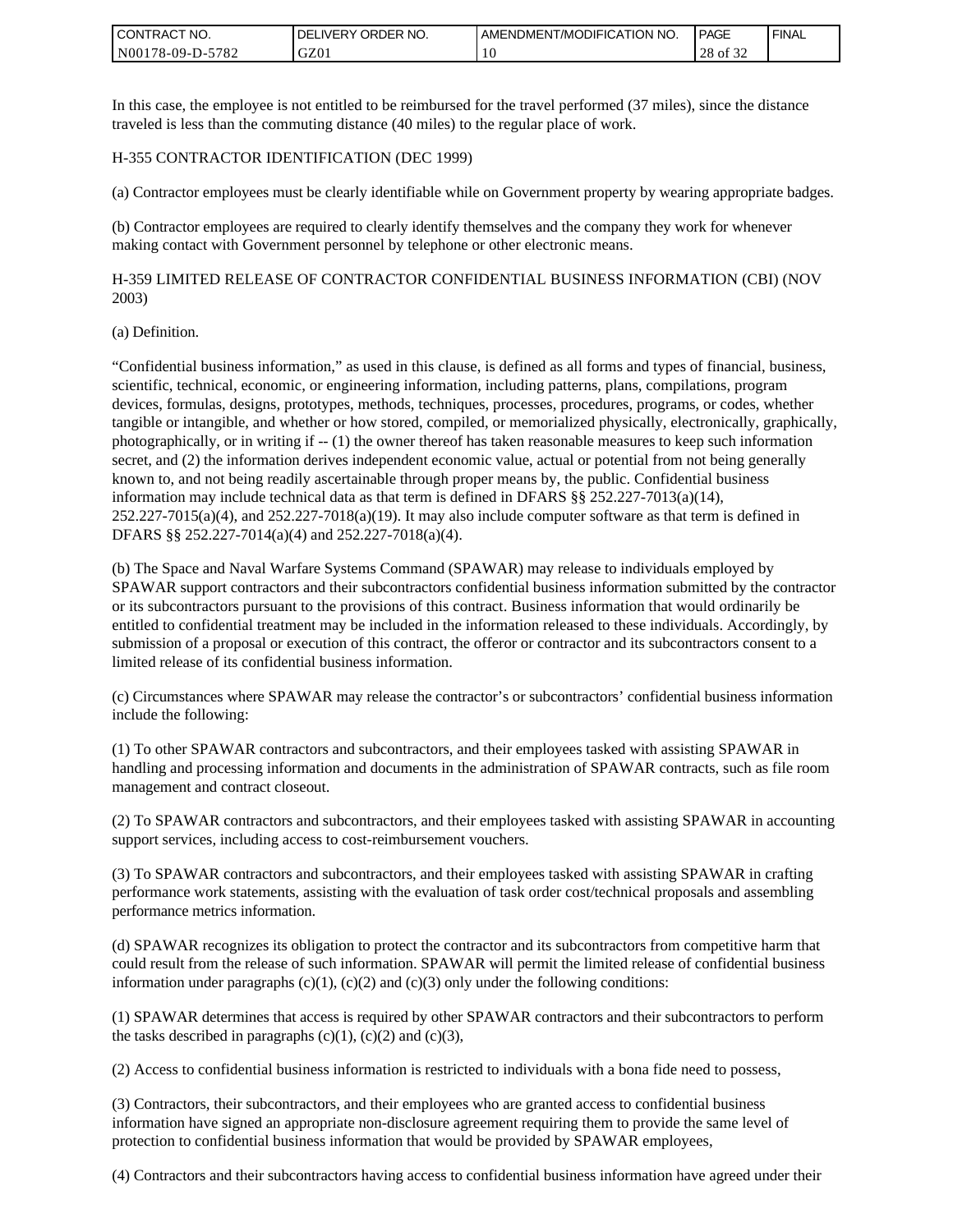| <b>CONTRACT NO.</b> | ' ORDER NO.<br><b>DELIVERY</b> | I AMENDMENT/MODIFICATION NO. | PAGE        | ' FINAL |
|---------------------|--------------------------------|------------------------------|-------------|---------|
| N00178-09-D-5782    | GZ01                           | 0                            | 28<br>of 32 |         |

In this case, the employee is not entitled to be reimbursed for the travel performed (37 miles), since the distance traveled is less than the commuting distance (40 miles) to the regular place of work.

#### H-355 CONTRACTOR IDENTIFICATION (DEC 1999)

(a) Contractor employees must be clearly identifiable while on Government property by wearing appropriate badges.

(b) Contractor employees are required to clearly identify themselves and the company they work for whenever making contact with Government personnel by telephone or other electronic means.

H-359 LIMITED RELEASE OF CONTRACTOR CONFIDENTIAL BUSINESS INFORMATION (CBI) (NOV 2003)

#### (a) Definition.

"Confidential business information," as used in this clause, is defined as all forms and types of financial, business, scientific, technical, economic, or engineering information, including patterns, plans, compilations, program devices, formulas, designs, prototypes, methods, techniques, processes, procedures, programs, or codes, whether tangible or intangible, and whether or how stored, compiled, or memorialized physically, electronically, graphically, photographically, or in writing if -- (1) the owner thereof has taken reasonable measures to keep such information secret, and (2) the information derives independent economic value, actual or potential from not being generally known to, and not being readily ascertainable through proper means by, the public. Confidential business information may include technical data as that term is defined in DFARS §§ 252.227-7013(a)(14),  $252.227-7015(a)(4)$ , and  $252.227-7018(a)(19)$ . It may also include computer software as that term is defined in DFARS §§ 252.227-7014(a)(4) and 252.227-7018(a)(4).

(b) The Space and Naval Warfare Systems Command (SPAWAR) may release to individuals employed by SPAWAR support contractors and their subcontractors confidential business information submitted by the contractor or its subcontractors pursuant to the provisions of this contract. Business information that would ordinarily be entitled to confidential treatment may be included in the information released to these individuals. Accordingly, by submission of a proposal or execution of this contract, the offeror or contractor and its subcontractors consent to a limited release of its confidential business information.

(c) Circumstances where SPAWAR may release the contractor's or subcontractors' confidential business information include the following:

(1) To other SPAWAR contractors and subcontractors, and their employees tasked with assisting SPAWAR in handling and processing information and documents in the administration of SPAWAR contracts, such as file room management and contract closeout.

(2) To SPAWAR contractors and subcontractors, and their employees tasked with assisting SPAWAR in accounting support services, including access to cost-reimbursement vouchers.

(3) To SPAWAR contractors and subcontractors, and their employees tasked with assisting SPAWAR in crafting performance work statements, assisting with the evaluation of task order cost/technical proposals and assembling performance metrics information.

(d) SPAWAR recognizes its obligation to protect the contractor and its subcontractors from competitive harm that could result from the release of such information. SPAWAR will permit the limited release of confidential business information under paragraphs  $(c)(1)$ ,  $(c)(2)$  and  $(c)(3)$  only under the following conditions:

(1) SPAWAR determines that access is required by other SPAWAR contractors and their subcontractors to perform the tasks described in paragraphs  $(c)(1)$ ,  $(c)(2)$  and  $(c)(3)$ ,

(2) Access to confidential business information is restricted to individuals with a bona fide need to possess,

(3) Contractors, their subcontractors, and their employees who are granted access to confidential business information have signed an appropriate non-disclosure agreement requiring them to provide the same level of protection to confidential business information that would be provided by SPAWAR employees,

(4) Contractors and their subcontractors having access to confidential business information have agreed under their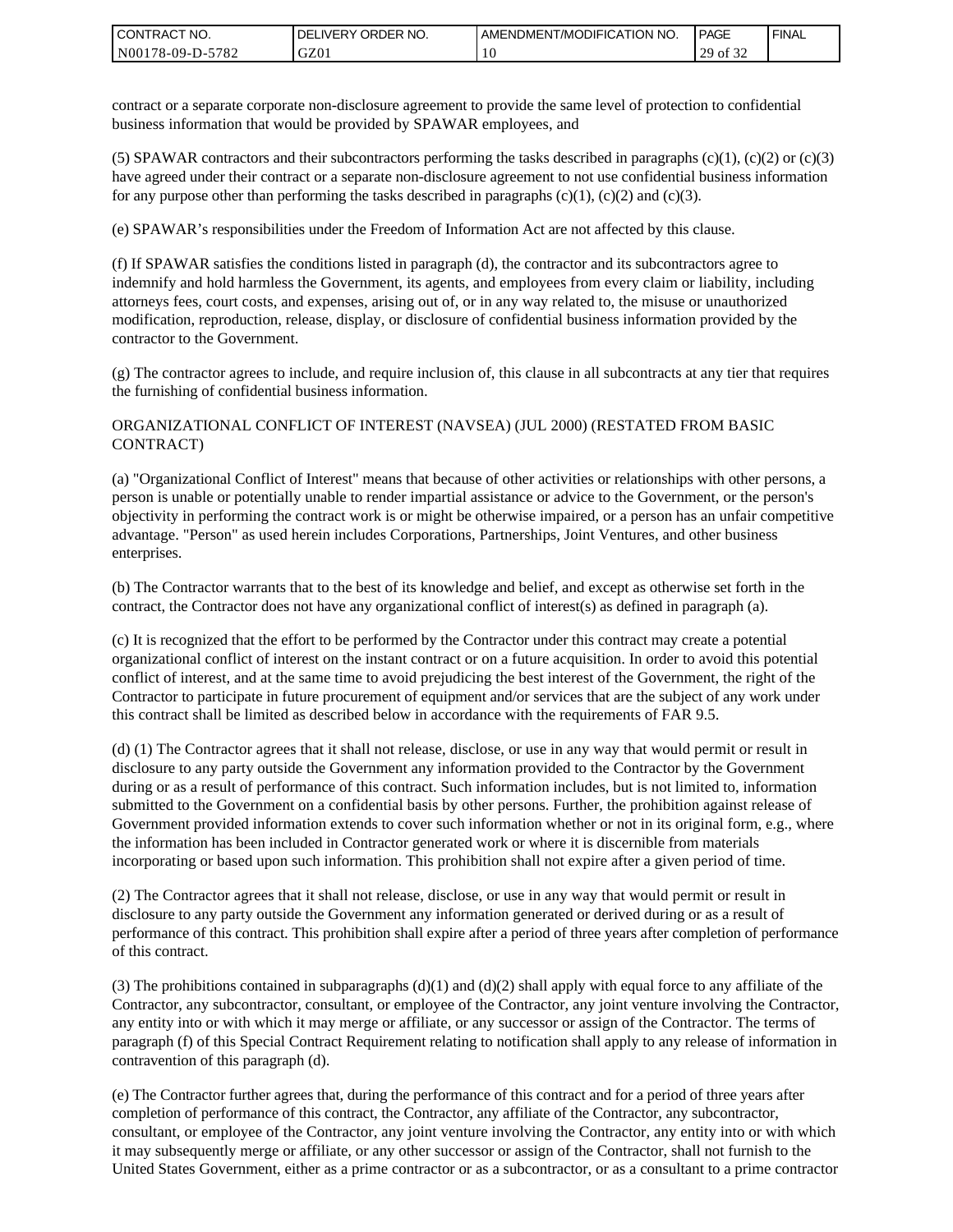| <b>CONTRACT NO.</b> | ' ORDER NO.<br><b>DELIVERY</b> | AMENDMENT/MODIFICATION NO. | <b>PAGE</b>                    | ' FINAL |
|---------------------|--------------------------------|----------------------------|--------------------------------|---------|
| N00178-09-D-5782    | GZ01                           | 1 U                        | 0.22<br>20<br>ΟĪ<br>ر _<br>ے ر |         |

contract or a separate corporate non-disclosure agreement to provide the same level of protection to confidential business information that would be provided by SPAWAR employees, and

(5) SPAWAR contractors and their subcontractors performing the tasks described in paragraphs  $(c)(1)$ ,  $(c)(2)$  or  $(c)(3)$ have agreed under their contract or a separate non-disclosure agreement to not use confidential business information for any purpose other than performing the tasks described in paragraphs  $(c)(1)$ ,  $(c)(2)$  and  $(c)(3)$ .

(e) SPAWAR's responsibilities under the Freedom of Information Act are not affected by this clause.

(f) If SPAWAR satisfies the conditions listed in paragraph (d), the contractor and its subcontractors agree to indemnify and hold harmless the Government, its agents, and employees from every claim or liability, including attorneys fees, court costs, and expenses, arising out of, or in any way related to, the misuse or unauthorized modification, reproduction, release, display, or disclosure of confidential business information provided by the contractor to the Government.

(g) The contractor agrees to include, and require inclusion of, this clause in all subcontracts at any tier that requires the furnishing of confidential business information.

#### ORGANIZATIONAL CONFLICT OF INTEREST (NAVSEA) (JUL 2000) (RESTATED FROM BASIC CONTRACT)

(a) "Organizational Conflict of Interest" means that because of other activities or relationships with other persons, a person is unable or potentially unable to render impartial assistance or advice to the Government, or the person's objectivity in performing the contract work is or might be otherwise impaired, or a person has an unfair competitive advantage. "Person" as used herein includes Corporations, Partnerships, Joint Ventures, and other business enterprises.

(b) The Contractor warrants that to the best of its knowledge and belief, and except as otherwise set forth in the contract, the Contractor does not have any organizational conflict of interest(s) as defined in paragraph (a).

(c) It is recognized that the effort to be performed by the Contractor under this contract may create a potential organizational conflict of interest on the instant contract or on a future acquisition. In order to avoid this potential conflict of interest, and at the same time to avoid prejudicing the best interest of the Government, the right of the Contractor to participate in future procurement of equipment and/or services that are the subject of any work under this contract shall be limited as described below in accordance with the requirements of FAR 9.5.

(d) (1) The Contractor agrees that it shall not release, disclose, or use in any way that would permit or result in disclosure to any party outside the Government any information provided to the Contractor by the Government during or as a result of performance of this contract. Such information includes, but is not limited to, information submitted to the Government on a confidential basis by other persons. Further, the prohibition against release of Government provided information extends to cover such information whether or not in its original form, e.g., where the information has been included in Contractor generated work or where it is discernible from materials incorporating or based upon such information. This prohibition shall not expire after a given period of time.

(2) The Contractor agrees that it shall not release, disclose, or use in any way that would permit or result in disclosure to any party outside the Government any information generated or derived during or as a result of performance of this contract. This prohibition shall expire after a period of three years after completion of performance of this contract.

(3) The prohibitions contained in subparagraphs  $(d)(1)$  and  $(d)(2)$  shall apply with equal force to any affiliate of the Contractor, any subcontractor, consultant, or employee of the Contractor, any joint venture involving the Contractor, any entity into or with which it may merge or affiliate, or any successor or assign of the Contractor. The terms of paragraph (f) of this Special Contract Requirement relating to notification shall apply to any release of information in contravention of this paragraph (d).

(e) The Contractor further agrees that, during the performance of this contract and for a period of three years after completion of performance of this contract, the Contractor, any affiliate of the Contractor, any subcontractor, consultant, or employee of the Contractor, any joint venture involving the Contractor, any entity into or with which it may subsequently merge or affiliate, or any other successor or assign of the Contractor, shall not furnish to the United States Government, either as a prime contractor or as a subcontractor, or as a consultant to a prime contractor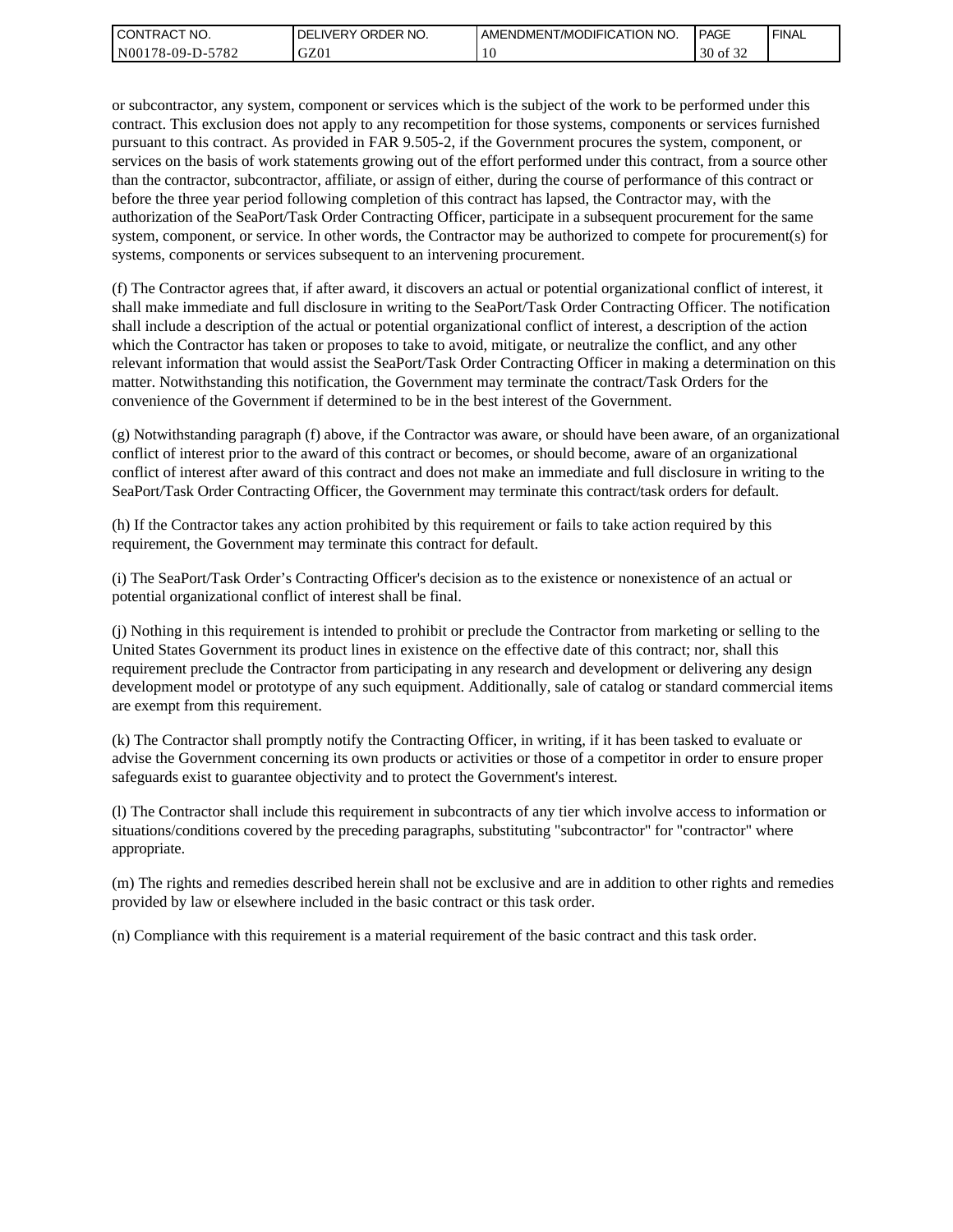| l CON <sup>-</sup><br>'TRACT NO. | ORDER<br>NO.<br>.IVERY<br>DELI | AMENDMENT/MODIFICATION NO. | <b>PAGE</b>                         | ' FINAL |
|----------------------------------|--------------------------------|----------------------------|-------------------------------------|---------|
| N00178-09-D-5<br>5782            | GZ01                           | . U                        | 0.22<br>$\Omega$<br>ΟĪ<br>3U<br>ے ر |         |

or subcontractor, any system, component or services which is the subject of the work to be performed under this contract. This exclusion does not apply to any recompetition for those systems, components or services furnished pursuant to this contract. As provided in FAR 9.505-2, if the Government procures the system, component, or services on the basis of work statements growing out of the effort performed under this contract, from a source other than the contractor, subcontractor, affiliate, or assign of either, during the course of performance of this contract or before the three year period following completion of this contract has lapsed, the Contractor may, with the authorization of the SeaPort/Task Order Contracting Officer, participate in a subsequent procurement for the same system, component, or service. In other words, the Contractor may be authorized to compete for procurement(s) for systems, components or services subsequent to an intervening procurement.

(f) The Contractor agrees that, if after award, it discovers an actual or potential organizational conflict of interest, it shall make immediate and full disclosure in writing to the SeaPort/Task Order Contracting Officer. The notification shall include a description of the actual or potential organizational conflict of interest, a description of the action which the Contractor has taken or proposes to take to avoid, mitigate, or neutralize the conflict, and any other relevant information that would assist the SeaPort/Task Order Contracting Officer in making a determination on this matter. Notwithstanding this notification, the Government may terminate the contract/Task Orders for the convenience of the Government if determined to be in the best interest of the Government.

(g) Notwithstanding paragraph (f) above, if the Contractor was aware, or should have been aware, of an organizational conflict of interest prior to the award of this contract or becomes, or should become, aware of an organizational conflict of interest after award of this contract and does not make an immediate and full disclosure in writing to the SeaPort/Task Order Contracting Officer, the Government may terminate this contract/task orders for default.

(h) If the Contractor takes any action prohibited by this requirement or fails to take action required by this requirement, the Government may terminate this contract for default.

(i) The SeaPort/Task Order's Contracting Officer's decision as to the existence or nonexistence of an actual or potential organizational conflict of interest shall be final.

(j) Nothing in this requirement is intended to prohibit or preclude the Contractor from marketing or selling to the United States Government its product lines in existence on the effective date of this contract; nor, shall this requirement preclude the Contractor from participating in any research and development or delivering any design development model or prototype of any such equipment. Additionally, sale of catalog or standard commercial items are exempt from this requirement.

(k) The Contractor shall promptly notify the Contracting Officer, in writing, if it has been tasked to evaluate or advise the Government concerning its own products or activities or those of a competitor in order to ensure proper safeguards exist to guarantee objectivity and to protect the Government's interest.

(l) The Contractor shall include this requirement in subcontracts of any tier which involve access to information or situations/conditions covered by the preceding paragraphs, substituting "subcontractor" for "contractor" where appropriate.

(m) The rights and remedies described herein shall not be exclusive and are in addition to other rights and remedies provided by law or elsewhere included in the basic contract or this task order.

(n) Compliance with this requirement is a material requirement of the basic contract and this task order.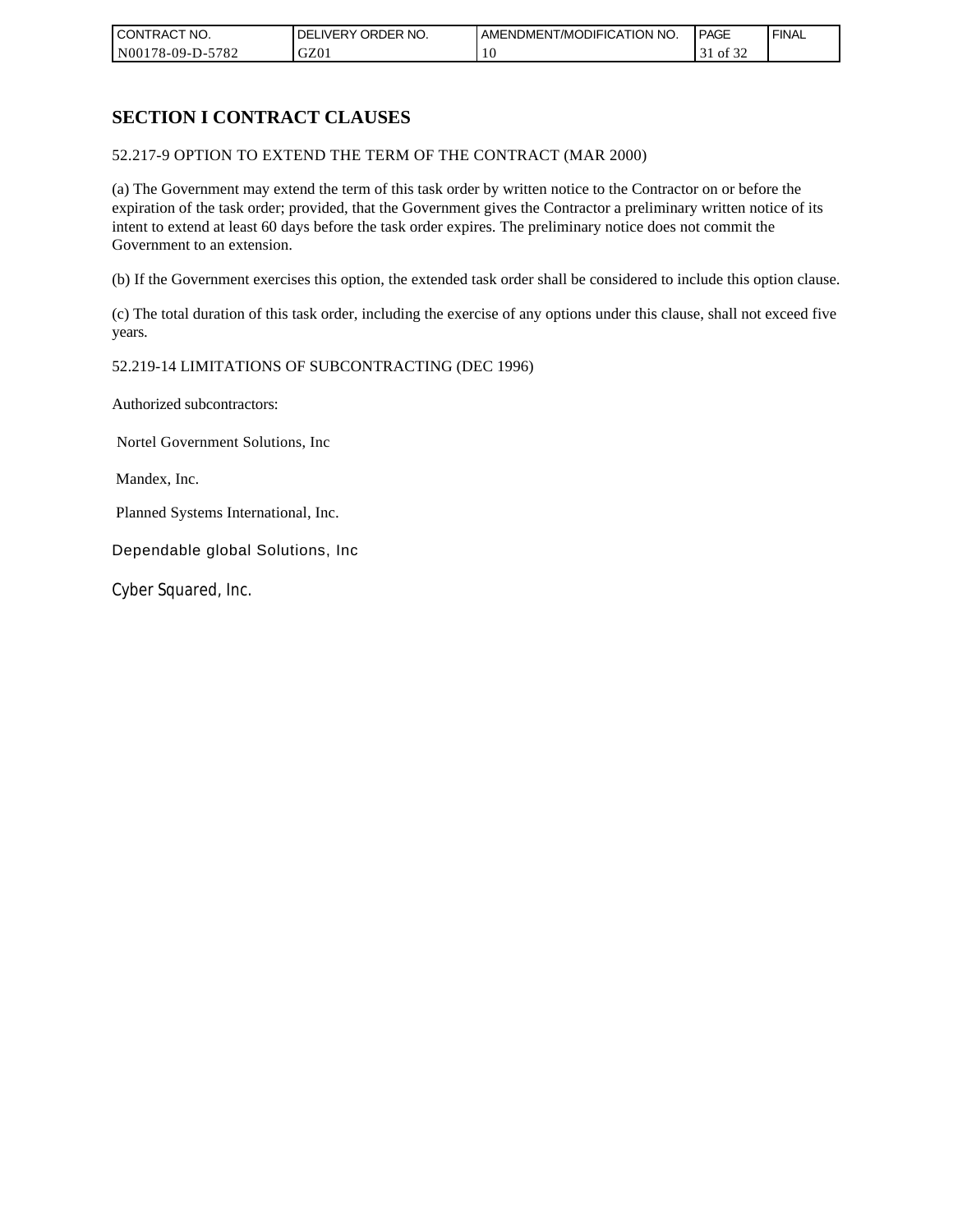| CONTRACT NO.     | ORDER <sup>'</sup><br>NO.<br><b>DELIVERY</b> | AMENDMENT/MODIFICATION NO. | PAGE            | <b>FINAL</b> |
|------------------|----------------------------------------------|----------------------------|-----------------|--------------|
| N00178-09-D-5782 | GZ01                                         | 1 U                        | 0Ī<br>51<br>ے ر |              |

# **SECTION I CONTRACT CLAUSES**

52.217-9 OPTION TO EXTEND THE TERM OF THE CONTRACT (MAR 2000)

(a) The Government may extend the term of this task order by written notice to the Contractor on or before the expiration of the task order; provided, that the Government gives the Contractor a preliminary written notice of its intent to extend at least 60 days before the task order expires. The preliminary notice does not commit the Government to an extension.

(b) If the Government exercises this option, the extended task order shall be considered to include this option clause.

(c) The total duration of this task order, including the exercise of any options under this clause, shall not exceed five years.

#### 52.219-14 LIMITATIONS OF SUBCONTRACTING (DEC 1996)

Authorized subcontractors:

Nortel Government Solutions, Inc

Mandex, Inc.

Planned Systems International, Inc.

Dependable global Solutions, Inc

Cyber Squared, Inc.